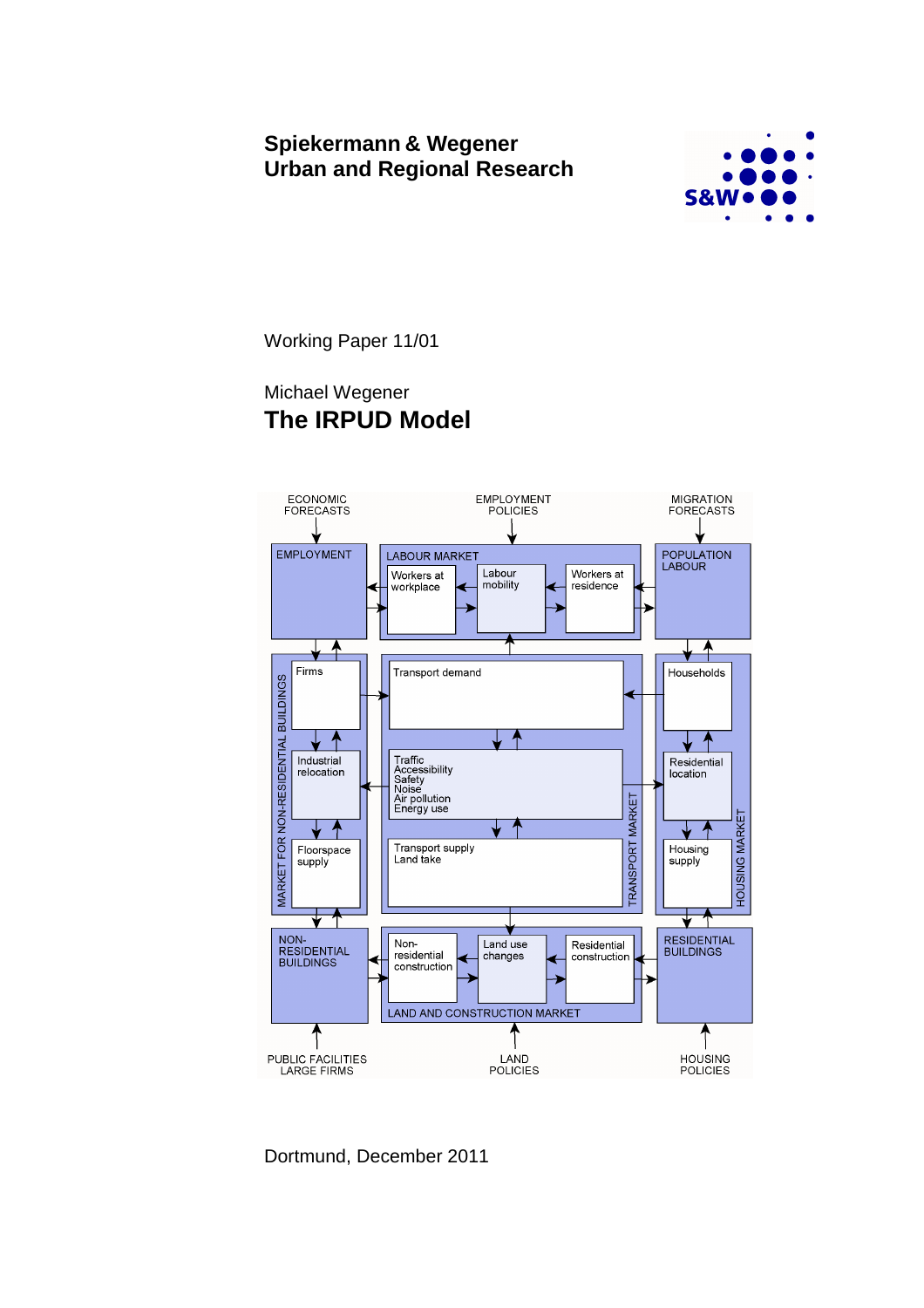# **Spiekermann & Wegener Urban and Regional Research**



Working Paper 11/01

# Michael Wegener **The IRPUD Model**



Dortmund, December 2011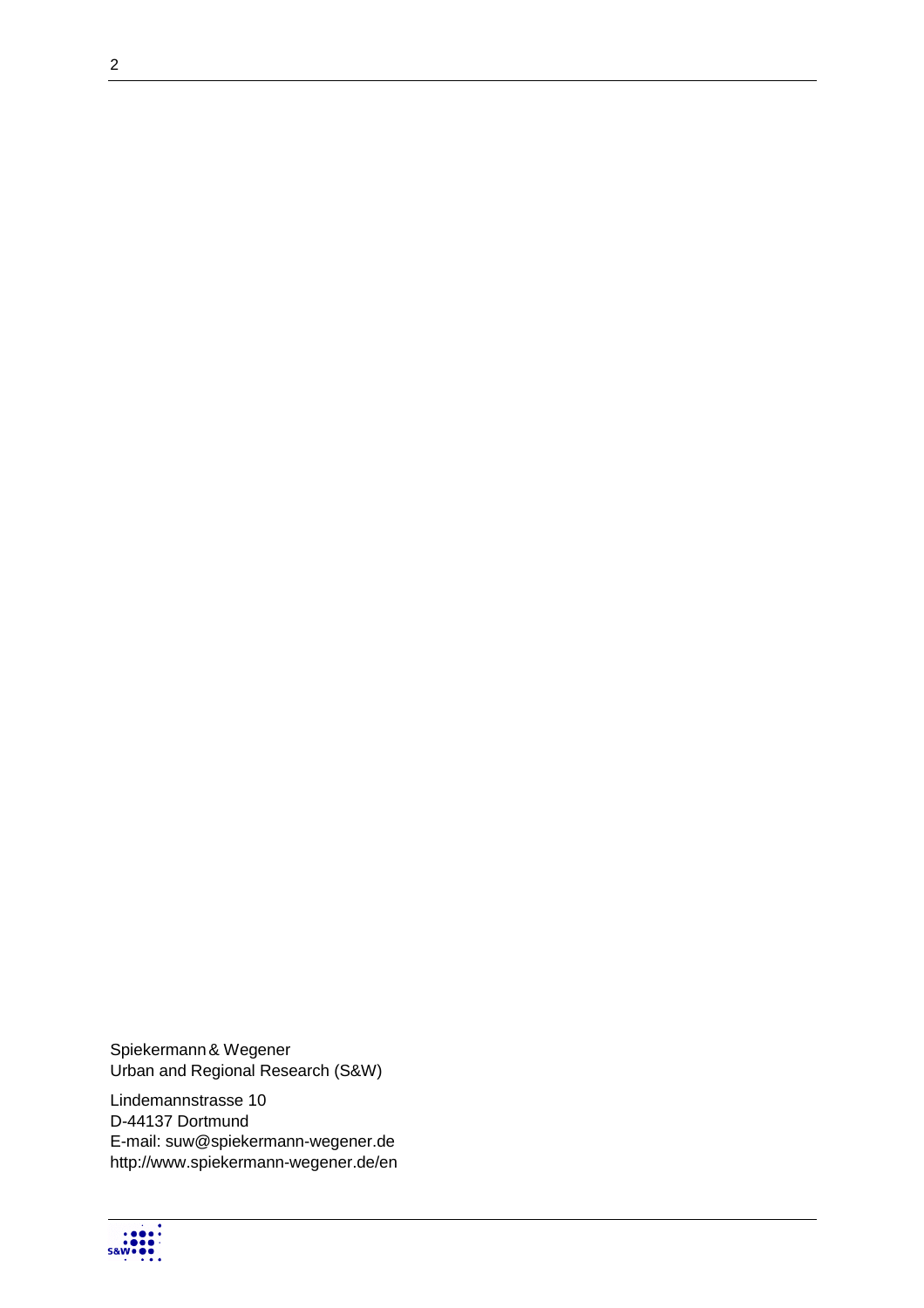Spiekermann & Wegener Urban and Regional Research (S&W)

Lindemannstrasse 10 D-44137 Dortmund E-mail: suw@spiekermann-wegener.de http://www.spiekermann-wegener.de/en

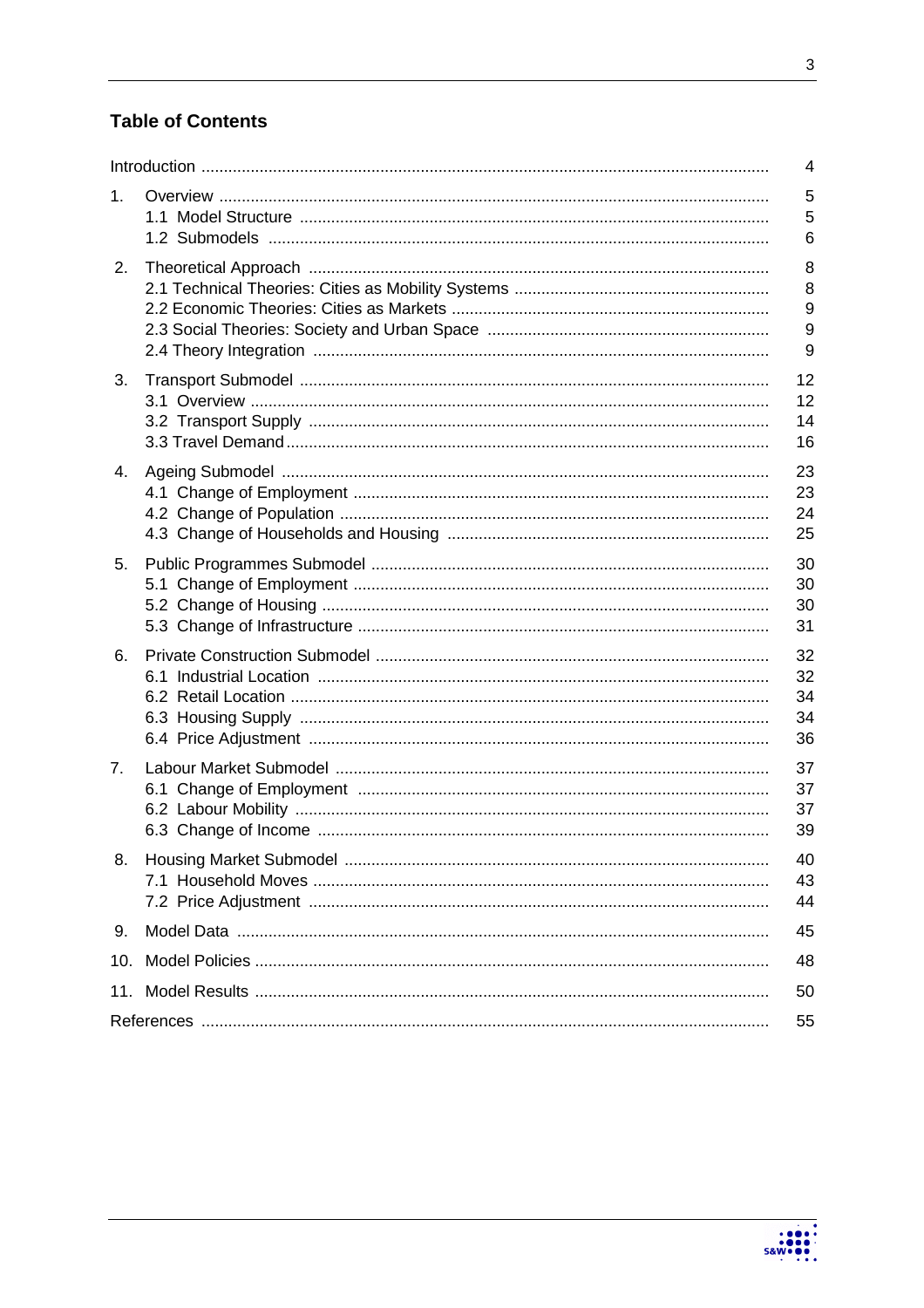# **Table of Contents**

|     | $\overline{4}$             |
|-----|----------------------------|
| 1.  | 5<br>5<br>6                |
| 2.  | 8<br>8<br>9<br>9<br>9      |
| 3.  | 12<br>12<br>14<br>16       |
| 4.  | 23<br>23<br>24<br>25       |
| 5.  | 30<br>30<br>30<br>31       |
| 6.  | 32<br>32<br>34<br>34<br>36 |
| 7.  | 37<br>37<br>37<br>39       |
| 8.  | 40<br>43<br>44             |
| 9.  | 45                         |
| 10. | 48                         |
|     | 50                         |
|     | 55                         |



 $\mathbf{3}$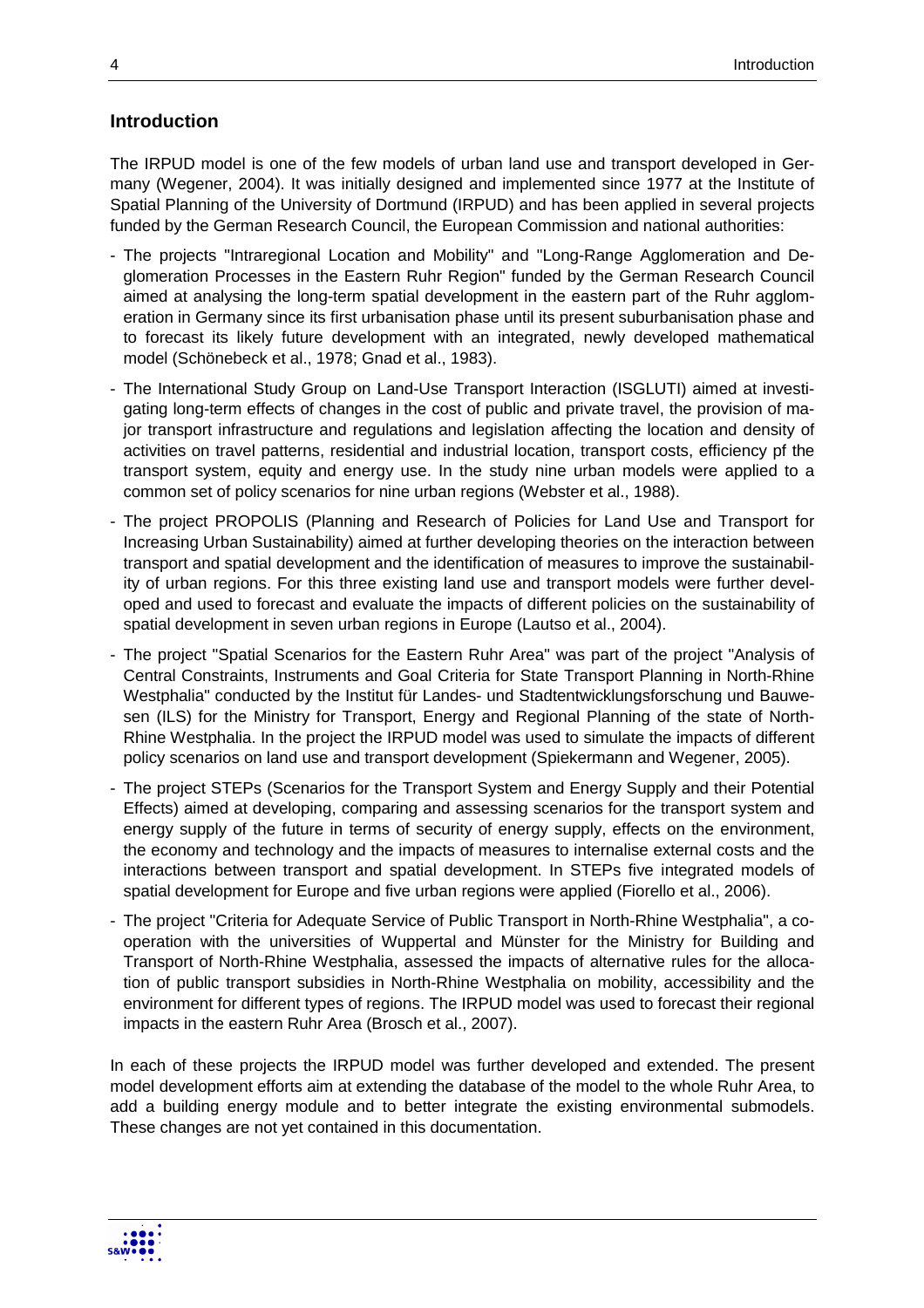# **Introduction**

The IRPUD model is one of the few models of urban land use and transport developed in Germany (Wegener, 2004). It was initially designed and implemented since 1977 at the Institute of Spatial Planning of the University of Dortmund (IRPUD) and has been applied in several projects funded by the German Research Council, the European Commission and national authorities:

- The projects "Intraregional Location and Mobility" and "Long-Range Agglomeration and Deglomeration Processes in the Eastern Ruhr Region" funded by the German Research Council aimed at analysing the long-term spatial development in the eastern part of the Ruhr agglomeration in Germany since its first urbanisation phase until its present suburbanisation phase and to forecast its likely future development with an integrated, newly developed mathematical model (Schönebeck et al., 1978; Gnad et al., 1983).
- The International Study Group on Land-Use Transport Interaction (ISGLUTI) aimed at investigating long-term effects of changes in the cost of public and private travel, the provision of major transport infrastructure and regulations and legislation affecting the location and density of activities on travel patterns, residential and industrial location, transport costs, efficiency pf the transport system, equity and energy use. In the study nine urban models were applied to a common set of policy scenarios for nine urban regions (Webster et al., 1988).
- The project PROPOLIS (Planning and Research of Policies for Land Use and Transport for Increasing Urban Sustainability) aimed at further developing theories on the interaction between transport and spatial development and the identification of measures to improve the sustainability of urban regions. For this three existing land use and transport models were further developed and used to forecast and evaluate the impacts of different policies on the sustainability of spatial development in seven urban regions in Europe (Lautso et al., 2004).
- The project "Spatial Scenarios for the Eastern Ruhr Area" was part of the project "Analysis of Central Constraints, Instruments and Goal Criteria for State Transport Planning in North-Rhine Westphalia" conducted by the Institut für Landes- und Stadtentwicklungsforschung und Bauwesen (ILS) for the Ministry for Transport, Energy and Regional Planning of the state of North-Rhine Westphalia. In the project the IRPUD model was used to simulate the impacts of different policy scenarios on land use and transport development (Spiekermann and Wegener, 2005).
- The project STEPs (Scenarios for the Transport System and Energy Supply and their Potential Effects) aimed at developing, comparing and assessing scenarios for the transport system and energy supply of the future in terms of security of energy supply, effects on the environment, the economy and technology and the impacts of measures to internalise external costs and the interactions between transport and spatial development. In STEPs five integrated models of spatial development for Europe and five urban regions were applied (Fiorello et al., 2006).
- The project "Criteria for Adequate Service of Public Transport in North-Rhine Westphalia", a cooperation with the universities of Wuppertal and Münster for the Ministry for Building and Transport of North-Rhine Westphalia, assessed the impacts of alternative rules for the allocation of public transport subsidies in North-Rhine Westphalia on mobility, accessibility and the environment for different types of regions. The IRPUD model was used to forecast their regional impacts in the eastern Ruhr Area (Brosch et al., 2007).

In each of these projects the IRPUD model was further developed and extended. The present model development efforts aim at extending the database of the model to the whole Ruhr Area, to add a building energy module and to better integrate the existing environmental submodels. These changes are not yet contained in this documentation.



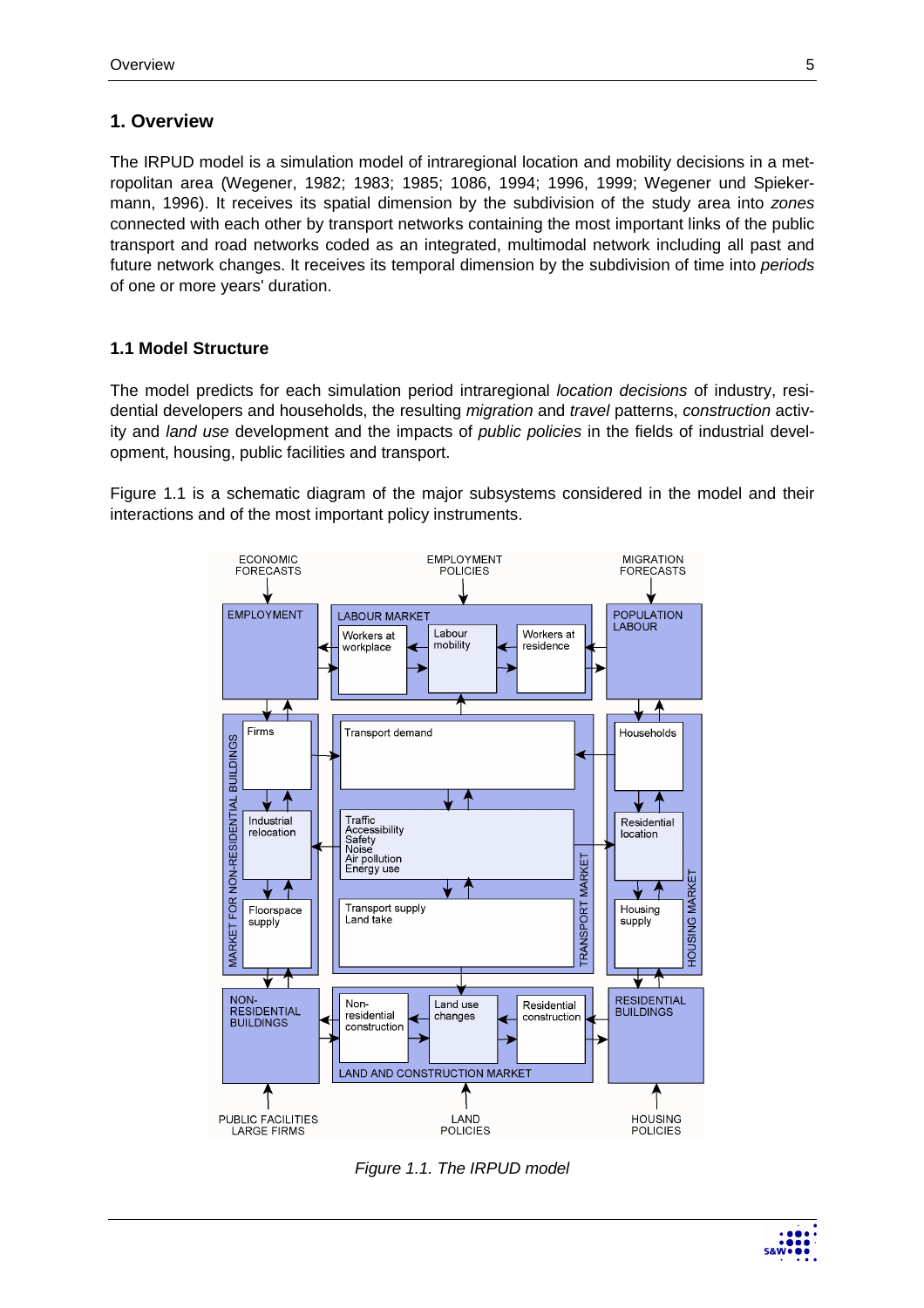# **1. Overview**

The IRPUD model is a simulation model of intraregional location and mobility decisions in a metropolitan area (Wegener, 1982; 1983; 1985; 1086, 1994; 1996, 1999; Wegener und Spiekermann, 1996). It receives its spatial dimension by the subdivision of the study area into zones connected with each other by transport networks containing the most important links of the public transport and road networks coded as an integrated, multimodal network including all past and future network changes. It receives its temporal dimension by the subdivision of time into periods of one or more years' duration.

# **1.1 Model Structure**

The model predicts for each simulation period intraregional location decisions of industry, residential developers and households, the resulting *migration* and *travel* patterns, *construction* activity and *land use* development and the impacts of *public policies* in the fields of industrial development, housing, public facilities and transport.

Figure 1.1 is a schematic diagram of the major subsystems considered in the model and their interactions and of the most important policy instruments.



Figure 1.1. The IRPUD model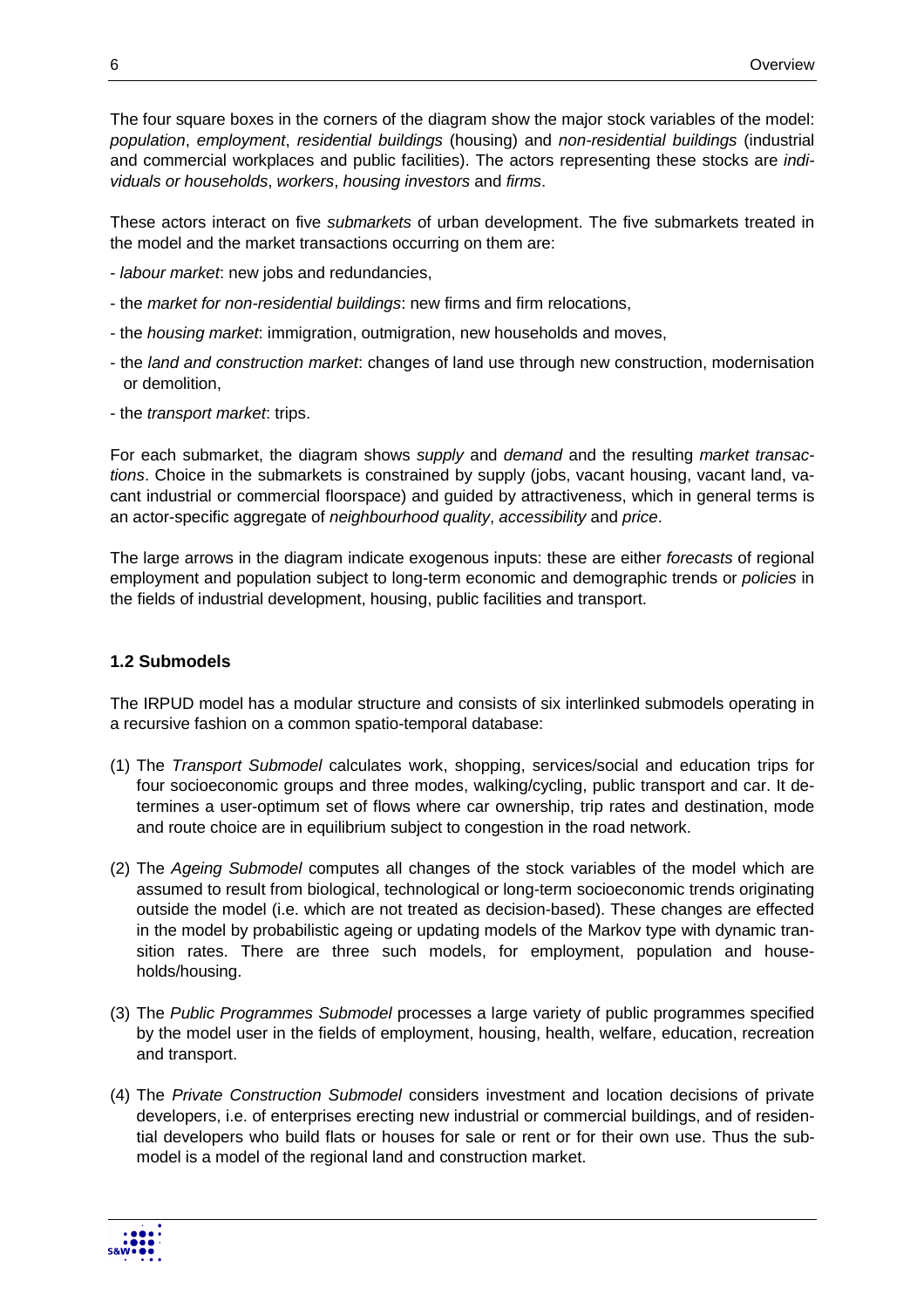The four square boxes in the corners of the diagram show the major stock variables of the model: population, employment, residential buildings (housing) and non-residential buildings (industrial and commercial workplaces and public facilities). The actors representing these stocks are individuals or households, workers, housing investors and firms.

These actors interact on five submarkets of urban development. The five submarkets treated in the model and the market transactions occurring on them are:

- labour market: new jobs and redundancies,
- the market for non-residential buildings: new firms and firm relocations,
- the *housing market*: immigration, outmigration, new households and moves,
- the land and construction market: changes of land use through new construction, modernisation or demolition,
- the *transport market*: trips.

For each submarket, the diagram shows supply and demand and the resulting market transactions. Choice in the submarkets is constrained by supply (jobs, vacant housing, vacant land, vacant industrial or commercial floorspace) and guided by attractiveness, which in general terms is an actor-specific aggregate of neighbourhood quality, accessibility and price.

The large arrows in the diagram indicate exogenous inputs: these are either forecasts of regional employment and population subject to long-term economic and demographic trends or *policies* in the fields of industrial development, housing, public facilities and transport.

### **1.2 Submodels**

The IRPUD model has a modular structure and consists of six interlinked submodels operating in a recursive fashion on a common spatio-temporal database:

- (1) The Transport Submodel calculates work, shopping, services/social and education trips for four socioeconomic groups and three modes, walking/cycling, public transport and car. It determines a user-optimum set of flows where car ownership, trip rates and destination, mode and route choice are in equilibrium subject to congestion in the road network.
- (2) The Ageing Submodel computes all changes of the stock variables of the model which are assumed to result from biological, technological or long-term socioeconomic trends originating outside the model (i.e. which are not treated as decision-based). These changes are effected in the model by probabilistic ageing or updating models of the Markov type with dynamic transition rates. There are three such models, for employment, population and households/housing.
- (3) The Public Programmes Submodel processes a large variety of public programmes specified by the model user in the fields of employment, housing, health, welfare, education, recreation and transport.
- (4) The Private Construction Submodel considers investment and location decisions of private developers, i.e. of enterprises erecting new industrial or commercial buildings, and of residential developers who build flats or houses for sale or rent or for their own use. Thus the submodel is a model of the regional land and construction market.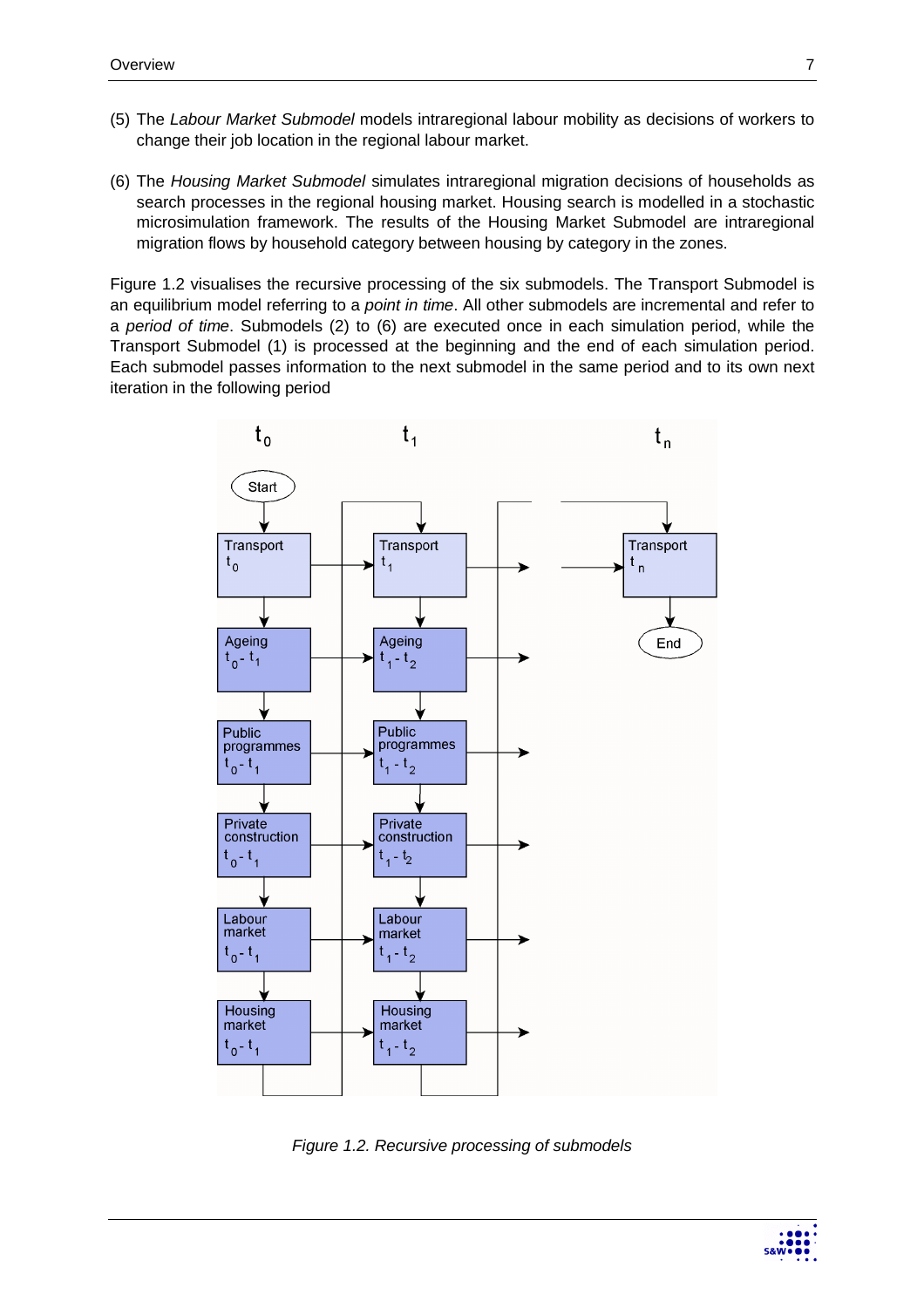- (5) The Labour Market Submodel models intraregional labour mobility as decisions of workers to change their job location in the regional labour market.
- (6) The Housing Market Submodel simulates intraregional migration decisions of households as search processes in the regional housing market. Housing search is modelled in a stochastic microsimulation framework. The results of the Housing Market Submodel are intraregional migration flows by household category between housing by category in the zones.

Figure 1.2 visualises the recursive processing of the six submodels. The Transport Submodel is an equilibrium model referring to a *point in time*. All other submodels are incremental and refer to a period of time. Submodels (2) to (6) are executed once in each simulation period, while the Transport Submodel (1) is processed at the beginning and the end of each simulation period. Each submodel passes information to the next submodel in the same period and to its own next iteration in the following period





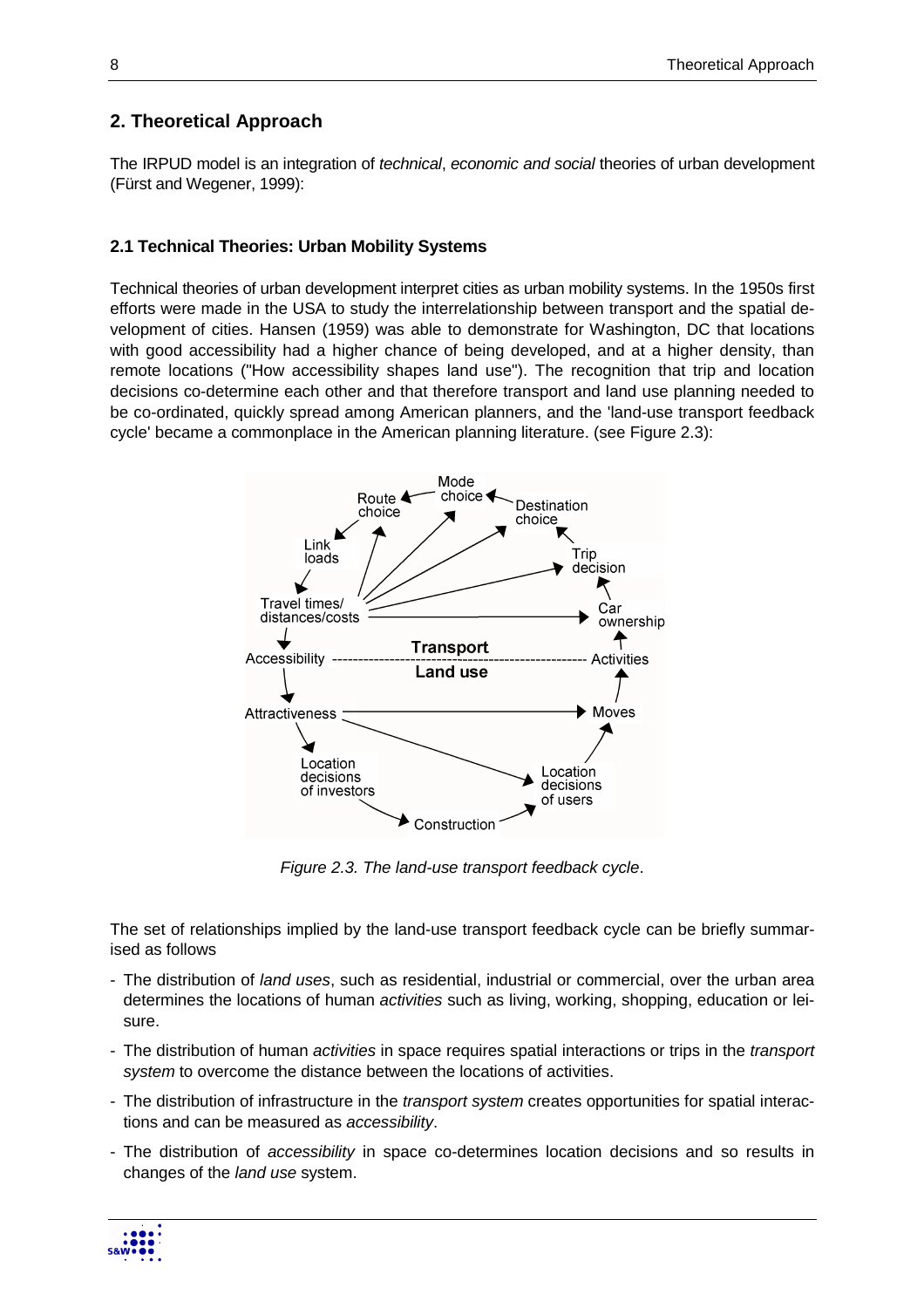# **2. Theoretical Approach**

The IRPUD model is an integration of *technical, economic and social* theories of urban development (Fürst and Wegener, 1999):

# **2.1 Technical Theories: Urban Mobility Systems**

Technical theories of urban development interpret cities as urban mobility systems. In the 1950s first efforts were made in the USA to study the interrelationship between transport and the spatial development of cities. Hansen (1959) was able to demonstrate for Washington, DC that locations with good accessibility had a higher chance of being developed, and at a higher density, than remote locations ("How accessibility shapes land use"). The recognition that trip and location decisions co-determine each other and that therefore transport and land use planning needed to be co-ordinated, quickly spread among American planners, and the 'land-use transport feedback cycle' became a commonplace in the American planning literature. (see Figure 2.3):



Figure 2.3. The land-use transport feedback cycle.

The set of relationships implied by the land-use transport feedback cycle can be briefly summarised as follows

- The distribution of land uses, such as residential, industrial or commercial, over the urban area determines the locations of human activities such as living, working, shopping, education or leisure.
- The distribution of human *activities* in space requires spatial interactions or trips in the *transport* system to overcome the distance between the locations of activities.
- The distribution of infrastructure in the *transport system* creates opportunities for spatial interactions and can be measured as accessibility.
- The distribution of *accessibility* in space co-determines location decisions and so results in changes of the land use system.

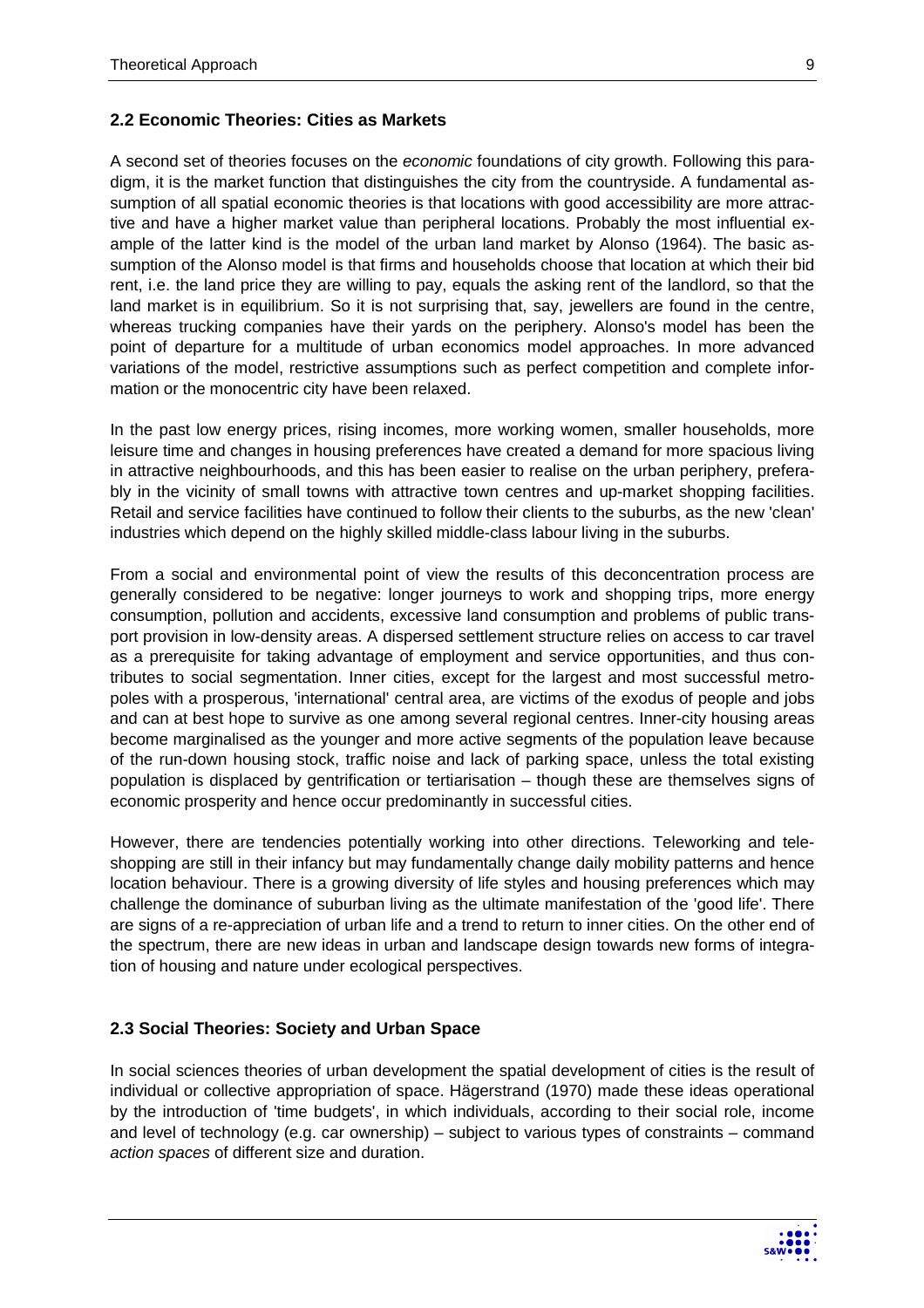### **2.2 Economic Theories: Cities as Markets**

A second set of theories focuses on the economic foundations of city growth. Following this paradigm, it is the market function that distinguishes the city from the countryside. A fundamental assumption of all spatial economic theories is that locations with good accessibility are more attractive and have a higher market value than peripheral locations. Probably the most influential example of the latter kind is the model of the urban land market by Alonso (1964). The basic assumption of the Alonso model is that firms and households choose that location at which their bid rent, i.e. the land price they are willing to pay, equals the asking rent of the landlord, so that the land market is in equilibrium. So it is not surprising that, say, jewellers are found in the centre, whereas trucking companies have their yards on the periphery. Alonso's model has been the point of departure for a multitude of urban economics model approaches. In more advanced variations of the model, restrictive assumptions such as perfect competition and complete information or the monocentric city have been relaxed.

In the past low energy prices, rising incomes, more working women, smaller households, more leisure time and changes in housing preferences have created a demand for more spacious living in attractive neighbourhoods, and this has been easier to realise on the urban periphery, preferably in the vicinity of small towns with attractive town centres and up-market shopping facilities. Retail and service facilities have continued to follow their clients to the suburbs, as the new 'clean' industries which depend on the highly skilled middle-class labour living in the suburbs.

From a social and environmental point of view the results of this deconcentration process are generally considered to be negative: longer journeys to work and shopping trips, more energy consumption, pollution and accidents, excessive land consumption and problems of public transport provision in low-density areas. A dispersed settlement structure relies on access to car travel as a prerequisite for taking advantage of employment and service opportunities, and thus contributes to social segmentation. Inner cities, except for the largest and most successful metropoles with a prosperous, 'international' central area, are victims of the exodus of people and jobs and can at best hope to survive as one among several regional centres. Inner-city housing areas become marginalised as the younger and more active segments of the population leave because of the run-down housing stock, traffic noise and lack of parking space, unless the total existing population is displaced by gentrification or tertiarisation – though these are themselves signs of economic prosperity and hence occur predominantly in successful cities.

However, there are tendencies potentially working into other directions. Teleworking and teleshopping are still in their infancy but may fundamentally change daily mobility patterns and hence location behaviour. There is a growing diversity of life styles and housing preferences which may challenge the dominance of suburban living as the ultimate manifestation of the 'good life'. There are signs of a re-appreciation of urban life and a trend to return to inner cities. On the other end of the spectrum, there are new ideas in urban and landscape design towards new forms of integration of housing and nature under ecological perspectives.

### **2.3 Social Theories: Society and Urban Space**

In social sciences theories of urban development the spatial development of cities is the result of individual or collective appropriation of space. Hägerstrand (1970) made these ideas operational by the introduction of 'time budgets', in which individuals, according to their social role, income and level of technology (e.g. car ownership) – subject to various types of constraints – command action spaces of different size and duration.

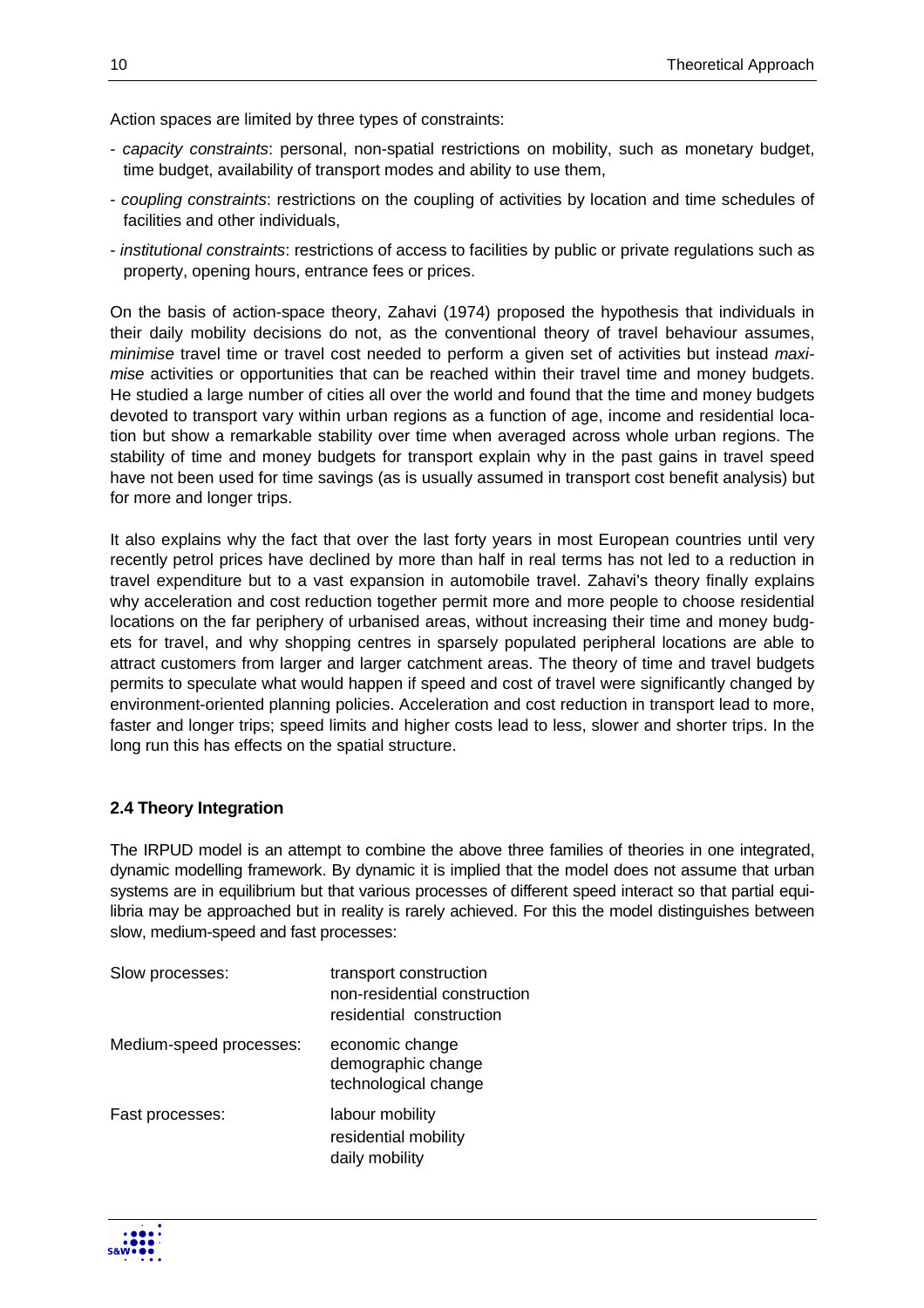Action spaces are limited by three types of constraints:

- capacity constraints: personal, non-spatial restrictions on mobility, such as monetary budget, time budget, availability of transport modes and ability to use them,
- coupling constraints: restrictions on the coupling of activities by location and time schedules of facilities and other individuals,
- institutional constraints: restrictions of access to facilities by public or private regulations such as property, opening hours, entrance fees or prices.

On the basis of action-space theory, Zahavi (1974) proposed the hypothesis that individuals in their daily mobility decisions do not, as the conventional theory of travel behaviour assumes, minimise travel time or travel cost needed to perform a given set of activities but instead maximise activities or opportunities that can be reached within their travel time and money budgets. He studied a large number of cities all over the world and found that the time and money budgets devoted to transport vary within urban regions as a function of age, income and residential location but show a remarkable stability over time when averaged across whole urban regions. The stability of time and money budgets for transport explain why in the past gains in travel speed have not been used for time savings (as is usually assumed in transport cost benefit analysis) but for more and longer trips.

It also explains why the fact that over the last forty years in most European countries until very recently petrol prices have declined by more than half in real terms has not led to a reduction in travel expenditure but to a vast expansion in automobile travel. Zahavi's theory finally explains why acceleration and cost reduction together permit more and more people to choose residential locations on the far periphery of urbanised areas, without increasing their time and money budgets for travel, and why shopping centres in sparsely populated peripheral locations are able to attract customers from larger and larger catchment areas. The theory of time and travel budgets permits to speculate what would happen if speed and cost of travel were significantly changed by environment-oriented planning policies. Acceleration and cost reduction in transport lead to more, faster and longer trips; speed limits and higher costs lead to less, slower and shorter trips. In the long run this has effects on the spatial structure.

# **2.4 Theory Integration**

The IRPUD model is an attempt to combine the above three families of theories in one integrated, dynamic modelling framework. By dynamic it is implied that the model does not assume that urban systems are in equilibrium but that various processes of different speed interact so that partial equilibria may be approached but in reality is rarely achieved. For this the model distinguishes between slow, medium-speed and fast processes:

| transport construction<br>non-residential construction<br>residential construction |
|------------------------------------------------------------------------------------|
| economic change<br>demographic change<br>technological change                      |
| labour mobility<br>residential mobility<br>daily mobility                          |
|                                                                                    |

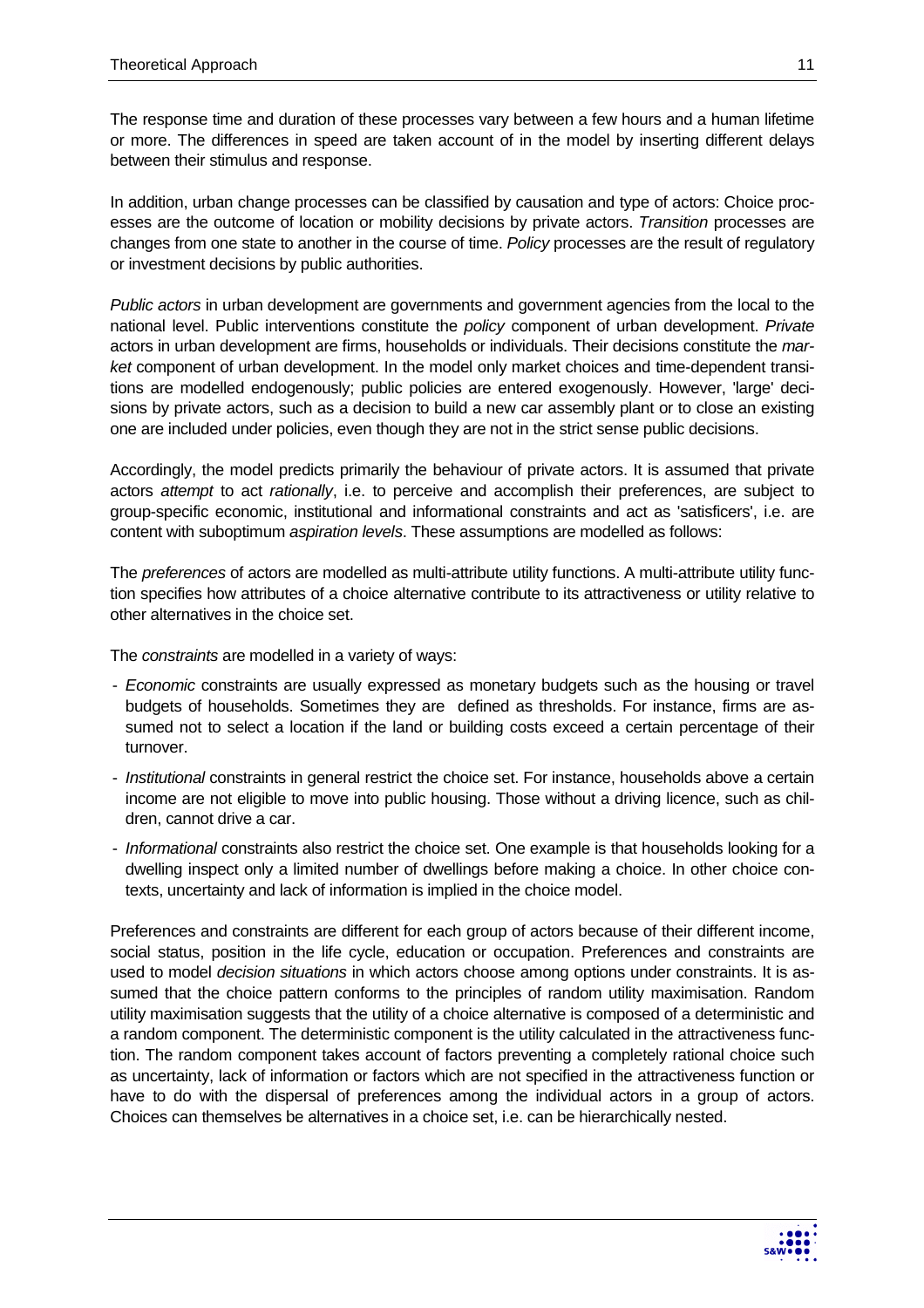The response time and duration of these processes vary between a few hours and a human lifetime or more. The differences in speed are taken account of in the model by inserting different delays between their stimulus and response.

In addition, urban change processes can be classified by causation and type of actors: Choice processes are the outcome of location or mobility decisions by private actors. Transition processes are changes from one state to another in the course of time. Policy processes are the result of regulatory or investment decisions by public authorities.

Public actors in urban development are governments and government agencies from the local to the national level. Public interventions constitute the *policy* component of urban development. Private actors in urban development are firms, households or individuals. Their decisions constitute the market component of urban development. In the model only market choices and time-dependent transitions are modelled endogenously; public policies are entered exogenously. However, 'large' decisions by private actors, such as a decision to build a new car assembly plant or to close an existing one are included under policies, even though they are not in the strict sense public decisions.

Accordingly, the model predicts primarily the behaviour of private actors. It is assumed that private actors attempt to act rationally, i.e. to perceive and accomplish their preferences, are subject to group-specific economic, institutional and informational constraints and act as 'satisficers', i.e. are content with suboptimum aspiration levels. These assumptions are modelled as follows:

The preferences of actors are modelled as multi-attribute utility functions. A multi-attribute utility function specifies how attributes of a choice alternative contribute to its attractiveness or utility relative to other alternatives in the choice set.

The constraints are modelled in a variety of ways:

- Economic constraints are usually expressed as monetary budgets such as the housing or travel budgets of households. Sometimes they are defined as thresholds. For instance, firms are assumed not to select a location if the land or building costs exceed a certain percentage of their turnover.
- Institutional constraints in general restrict the choice set. For instance, households above a certain income are not eligible to move into public housing. Those without a driving licence, such as children, cannot drive a car.
- Informational constraints also restrict the choice set. One example is that households looking for a dwelling inspect only a limited number of dwellings before making a choice. In other choice contexts, uncertainty and lack of information is implied in the choice model.

Preferences and constraints are different for each group of actors because of their different income, social status, position in the life cycle, education or occupation. Preferences and constraints are used to model *decision situations* in which actors choose among options under constraints. It is assumed that the choice pattern conforms to the principles of random utility maximisation. Random utility maximisation suggests that the utility of a choice alternative is composed of a deterministic and a random component. The deterministic component is the utility calculated in the attractiveness function. The random component takes account of factors preventing a completely rational choice such as uncertainty, lack of information or factors which are not specified in the attractiveness function or have to do with the dispersal of preferences among the individual actors in a group of actors. Choices can themselves be alternatives in a choice set, i.e. can be hierarchically nested.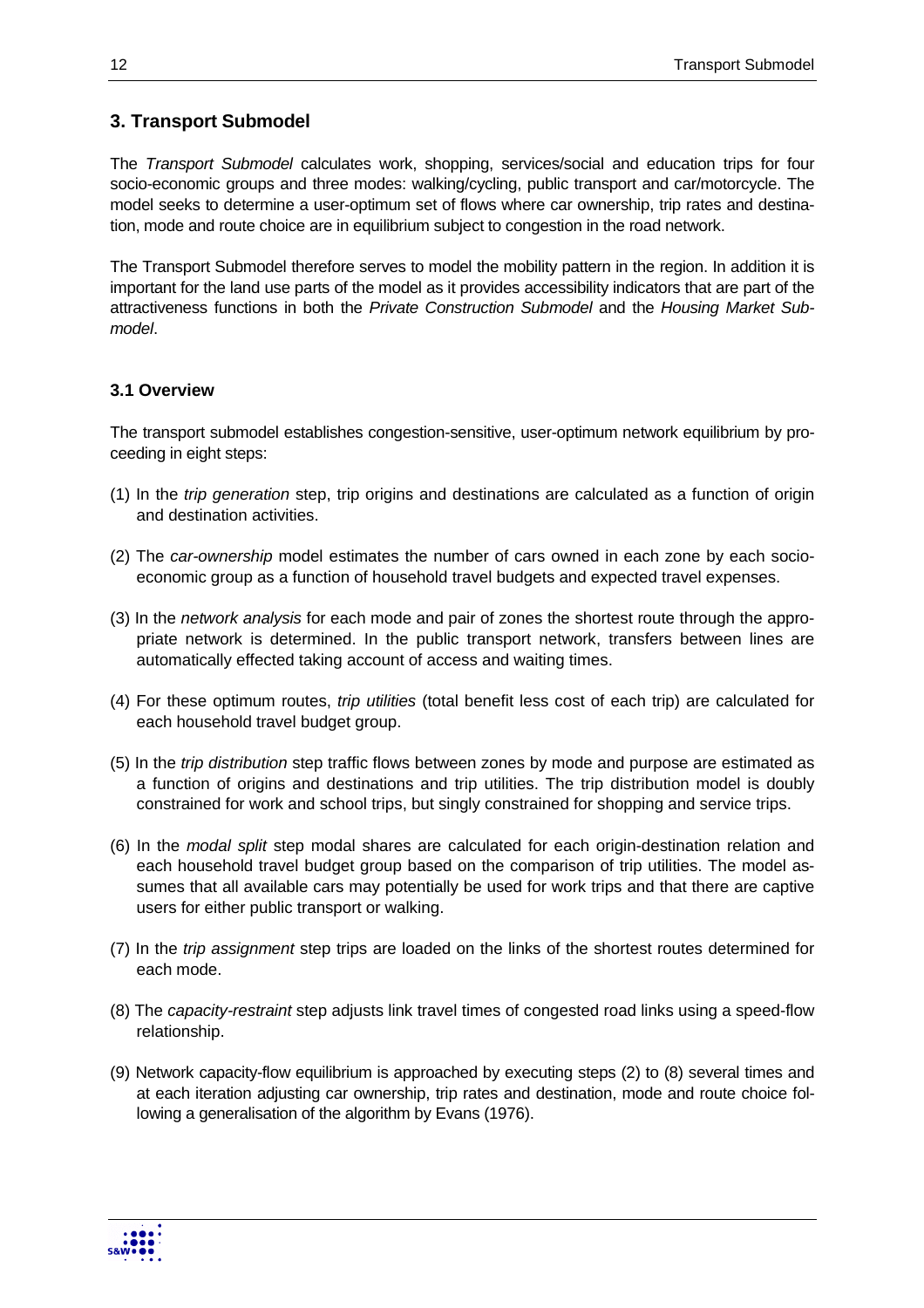# **3. Transport Submodel**

The Transport Submodel calculates work, shopping, services/social and education trips for four socio-economic groups and three modes: walking/cycling, public transport and car/motorcycle. The model seeks to determine a user-optimum set of flows where car ownership, trip rates and destination, mode and route choice are in equilibrium subject to congestion in the road network.

The Transport Submodel therefore serves to model the mobility pattern in the region. In addition it is important for the land use parts of the model as it provides accessibility indicators that are part of the attractiveness functions in both the Private Construction Submodel and the Housing Market Submodel.

### **3.1 Overview**

The transport submodel establishes congestion-sensitive, user-optimum network equilibrium by proceeding in eight steps:

- (1) In the trip generation step, trip origins and destinations are calculated as a function of origin and destination activities.
- (2) The car-ownership model estimates the number of cars owned in each zone by each socioeconomic group as a function of household travel budgets and expected travel expenses.
- (3) In the network analysis for each mode and pair of zones the shortest route through the appropriate network is determined. In the public transport network, transfers between lines are automatically effected taking account of access and waiting times.
- (4) For these optimum routes, trip utilities (total benefit less cost of each trip) are calculated for each household travel budget group.
- (5) In the trip distribution step traffic flows between zones by mode and purpose are estimated as a function of origins and destinations and trip utilities. The trip distribution model is doubly constrained for work and school trips, but singly constrained for shopping and service trips.
- (6) In the modal split step modal shares are calculated for each origin-destination relation and each household travel budget group based on the comparison of trip utilities. The model assumes that all available cars may potentially be used for work trips and that there are captive users for either public transport or walking.
- (7) In the trip assignment step trips are loaded on the links of the shortest routes determined for each mode.
- (8) The capacity-restraint step adjusts link travel times of congested road links using a speed-flow relationship.
- (9) Network capacity-flow equilibrium is approached by executing steps (2) to (8) several times and at each iteration adjusting car ownership, trip rates and destination, mode and route choice following a generalisation of the algorithm by Evans (1976).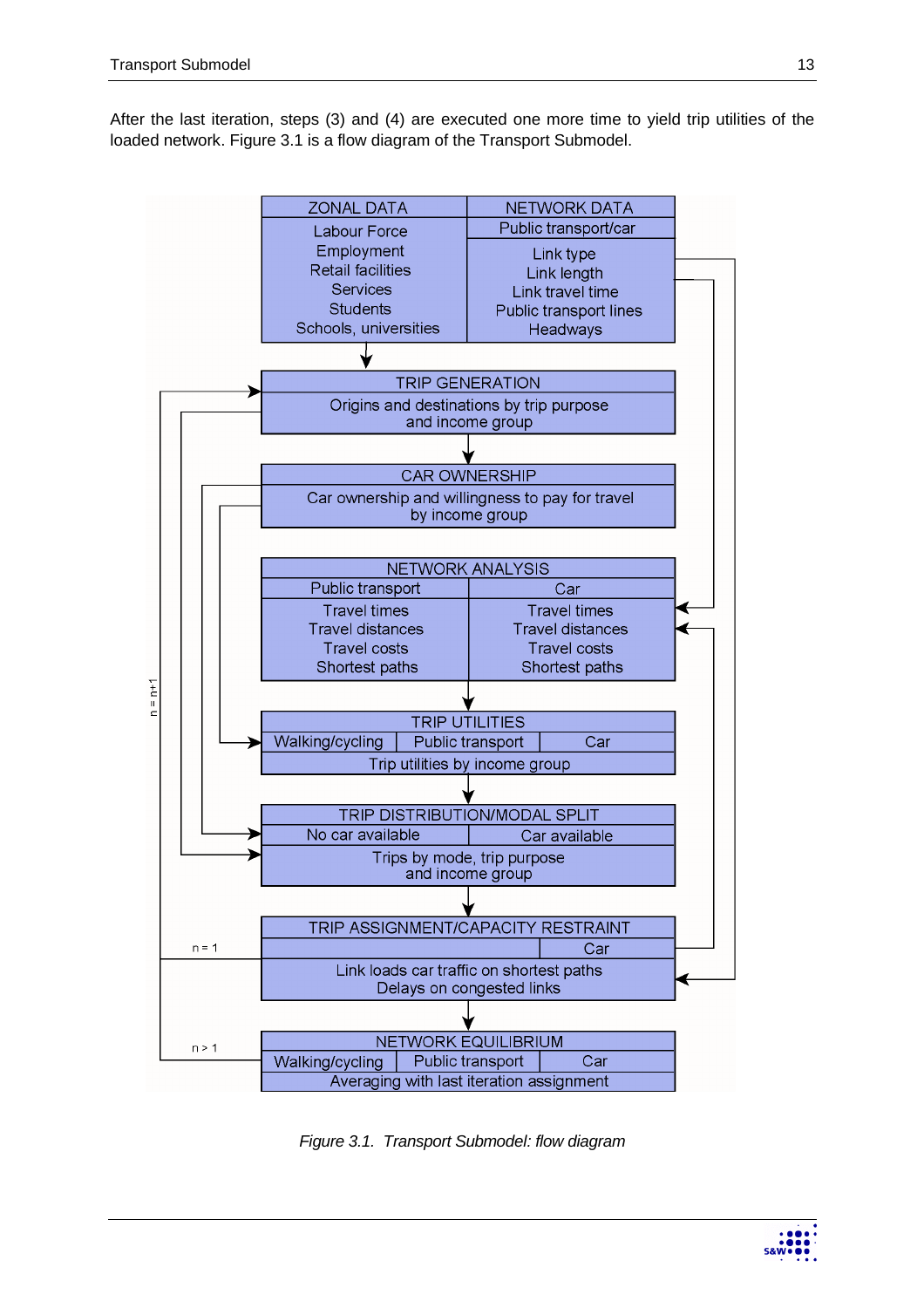After the last iteration, steps (3) and (4) are executed one more time to yield trip utilities of the loaded network. Figure 3.1 is a flow diagram of the Transport Submodel.



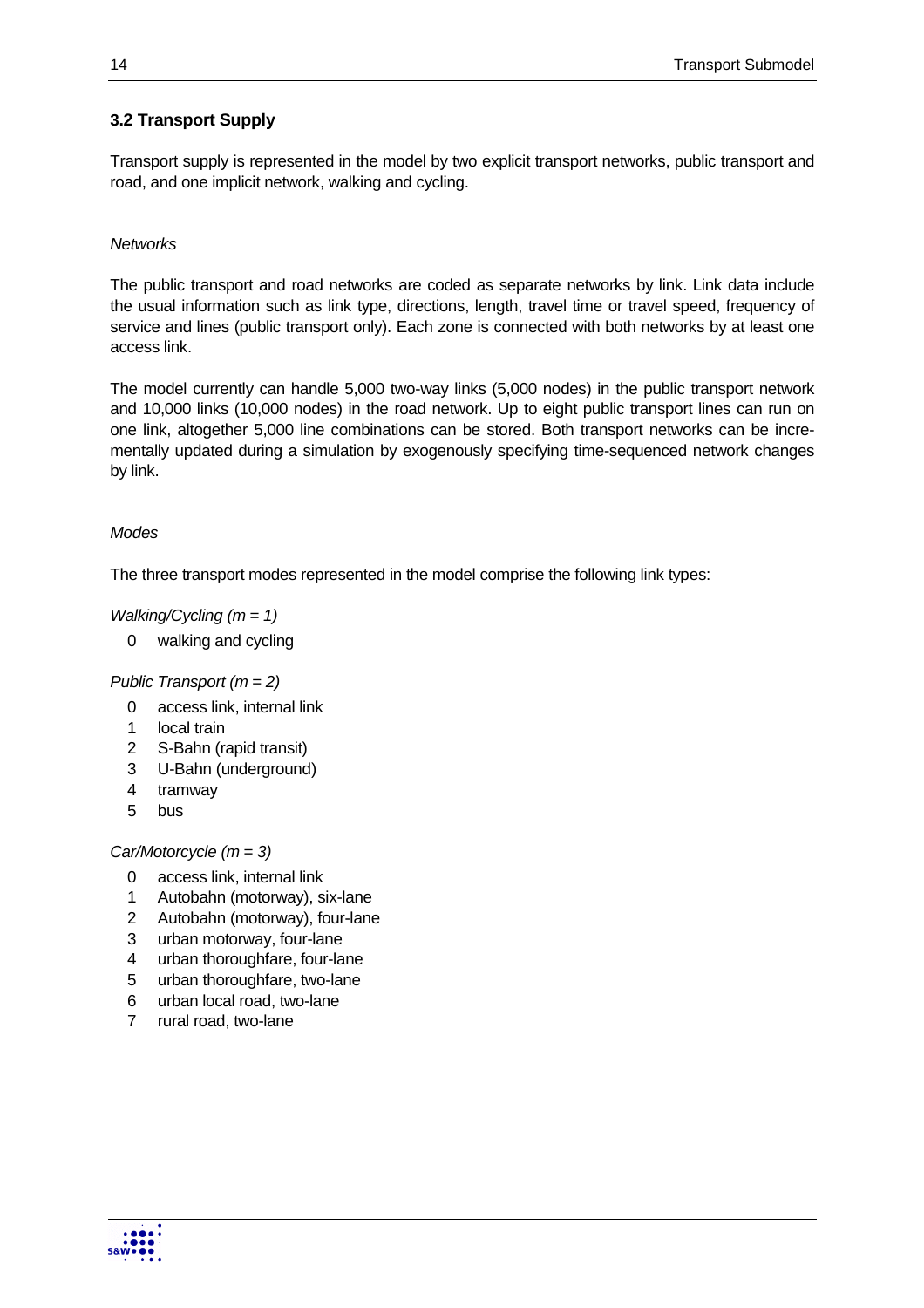# **3.2 Transport Supply**

Transport supply is represented in the model by two explicit transport networks, public transport and road, and one implicit network, walking and cycling.

### **Networks**

The public transport and road networks are coded as separate networks by link. Link data include the usual information such as link type, directions, length, travel time or travel speed, frequency of service and lines (public transport only). Each zone is connected with both networks by at least one access link.

The model currently can handle 5,000 two-way links (5,000 nodes) in the public transport network and 10,000 links (10,000 nodes) in the road network. Up to eight public transport lines can run on one link, altogether 5,000 line combinations can be stored. Both transport networks can be incrementally updated during a simulation by exogenously specifying time-sequenced network changes by link.

### Modes

The three transport modes represented in the model comprise the following link types:

### Walking/Cycling  $(m = 1)$

0 walking and cycling

### Public Transport  $(m = 2)$

- 0 access link, internal link
- 1 local train
- 2 S-Bahn (rapid transit)
- 3 U-Bahn (underground)
- 4 tramway
- 5 bus

### Car/Motorcycle (m = 3)

- 0 access link, internal link
- 1 Autobahn (motorway), six-lane
- 2 Autobahn (motorway), four-lane
- 3 urban motorway, four-lane
- 4 urban thoroughfare, four-lane
- 5 urban thoroughfare, two-lane
- 6 urban local road, two-lane
- 7 rural road, two-lane

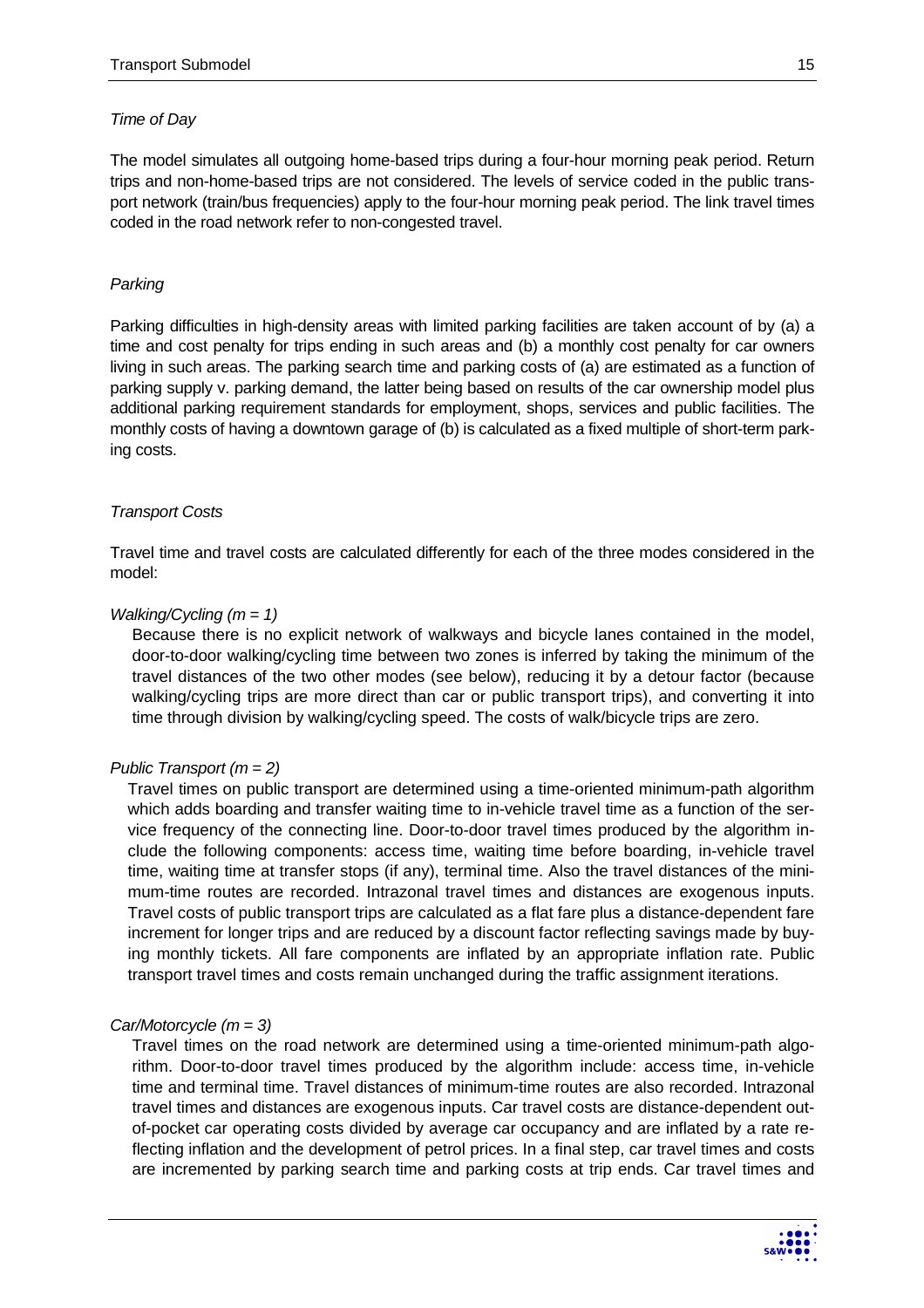#### Time of Day

The model simulates all outgoing home-based trips during a four-hour morning peak period. Return trips and non-home-based trips are not considered. The levels of service coded in the public transport network (train/bus frequencies) apply to the four-hour morning peak period. The link travel times coded in the road network refer to non-congested travel.

### Parking

Parking difficulties in high-density areas with limited parking facilities are taken account of by (a) a time and cost penalty for trips ending in such areas and (b) a monthly cost penalty for car owners living in such areas. The parking search time and parking costs of (a) are estimated as a function of parking supply v. parking demand, the latter being based on results of the car ownership model plus additional parking requirement standards for employment, shops, services and public facilities. The monthly costs of having a downtown garage of (b) is calculated as a fixed multiple of short-term parking costs.

#### Transport Costs

Travel time and travel costs are calculated differently for each of the three modes considered in the model:

#### Walking/Cycling  $(m = 1)$

Because there is no explicit network of walkways and bicycle lanes contained in the model, door-to-door walking/cycling time between two zones is inferred by taking the minimum of the travel distances of the two other modes (see below), reducing it by a detour factor (because walking/cycling trips are more direct than car or public transport trips), and converting it into time through division by walking/cycling speed. The costs of walk/bicycle trips are zero.

#### Public Transport  $(m = 2)$

Travel times on public transport are determined using a time-oriented minimum-path algorithm which adds boarding and transfer waiting time to in-vehicle travel time as a function of the service frequency of the connecting line. Door-to-door travel times produced by the algorithm include the following components: access time, waiting time before boarding, in-vehicle travel time, waiting time at transfer stops (if any), terminal time. Also the travel distances of the minimum-time routes are recorded. Intrazonal travel times and distances are exogenous inputs. Travel costs of public transport trips are calculated as a flat fare plus a distance-dependent fare increment for longer trips and are reduced by a discount factor reflecting savings made by buying monthly tickets. All fare components are inflated by an appropriate inflation rate. Public transport travel times and costs remain unchanged during the traffic assignment iterations.

#### Car/Motorcycle  $(m = 3)$

Travel times on the road network are determined using a time-oriented minimum-path algorithm. Door-to-door travel times produced by the algorithm include: access time, in-vehicle time and terminal time. Travel distances of minimum-time routes are also recorded. Intrazonal travel times and distances are exogenous inputs. Car travel costs are distance-dependent outof-pocket car operating costs divided by average car occupancy and are inflated by a rate reflecting inflation and the development of petrol prices. In a final step, car travel times and costs are incremented by parking search time and parking costs at trip ends. Car travel times and

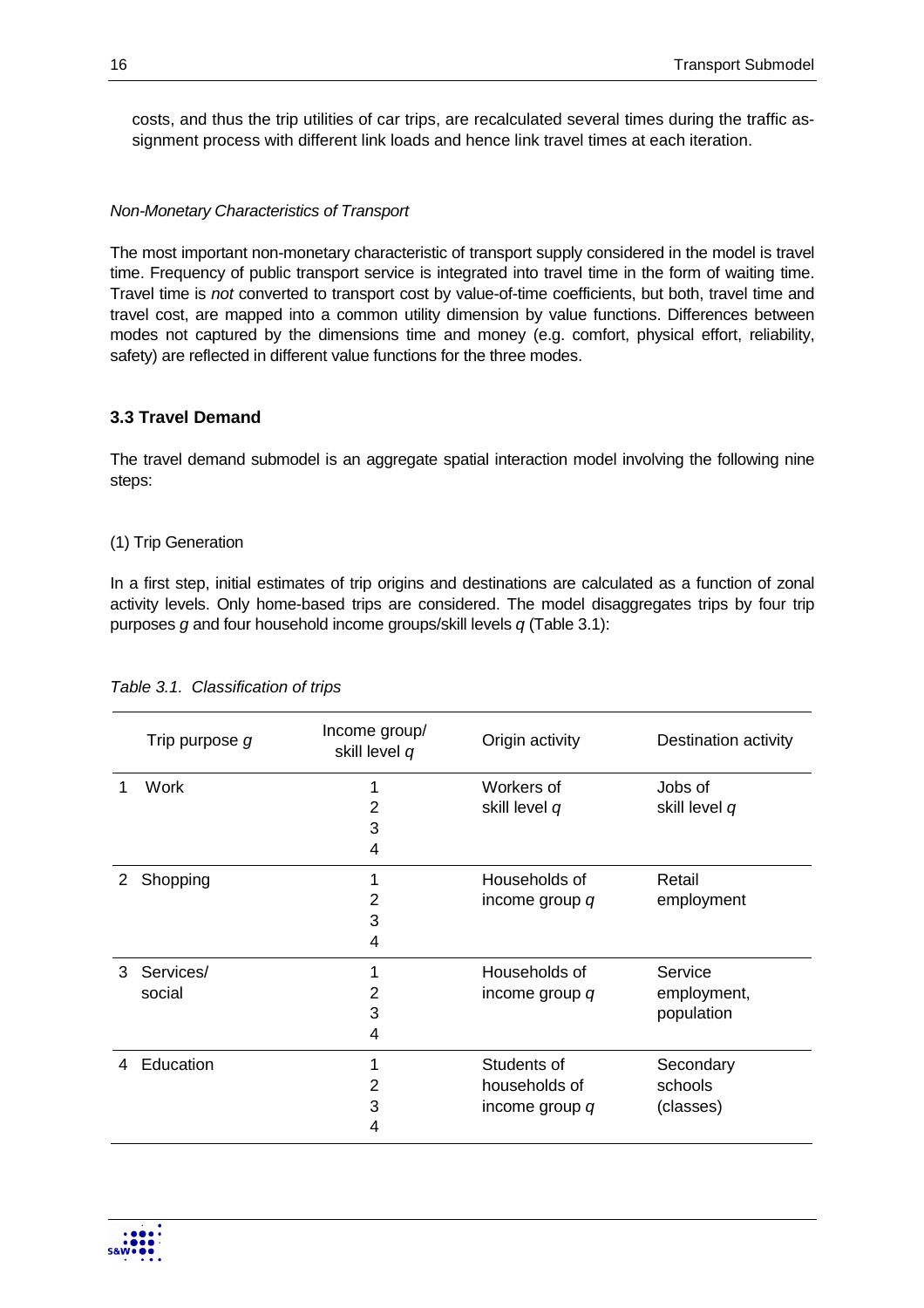costs, and thus the trip utilities of car trips, are recalculated several times during the traffic assignment process with different link loads and hence link travel times at each iteration.

#### Non-Monetary Characteristics of Transport

The most important non-monetary characteristic of transport supply considered in the model is travel time. Frequency of public transport service is integrated into travel time in the form of waiting time. Travel time is not converted to transport cost by value-of-time coefficients, but both, travel time and travel cost, are mapped into a common utility dimension by value functions. Differences between modes not captured by the dimensions time and money (e.g. comfort, physical effort, reliability, safety) are reflected in different value functions for the three modes.

### **3.3 Travel Demand**

The travel demand submodel is an aggregate spatial interaction model involving the following nine steps:

#### (1) Trip Generation

In a first step, initial estimates of trip origins and destinations are calculated as a function of zonal activity levels. Only home-based trips are considered. The model disaggregates trips by four trip purposes  $g$  and four household income groups/skill levels  $q$  (Table 3.1):

|   | Trip purpose g      | Income group/<br>skill level q | Origin activity                                  | Destination activity                 |
|---|---------------------|--------------------------------|--------------------------------------------------|--------------------------------------|
|   | Work                | 1<br>2<br>3<br>4               | Workers of<br>skill level q                      | Jobs of<br>skill level q             |
| 2 | Shopping            | 1<br>2<br>3<br>4               | Households of<br>income group q                  | Retail<br>employment                 |
| 3 | Services/<br>social | 2<br>3<br>4                    | Households of<br>income group q                  | Service<br>employment,<br>population |
| 4 | Education           | 2<br>3<br>4                    | Students of<br>households of<br>income group $q$ | Secondary<br>schools<br>(classes)    |

#### Table 3.1. Classification of trips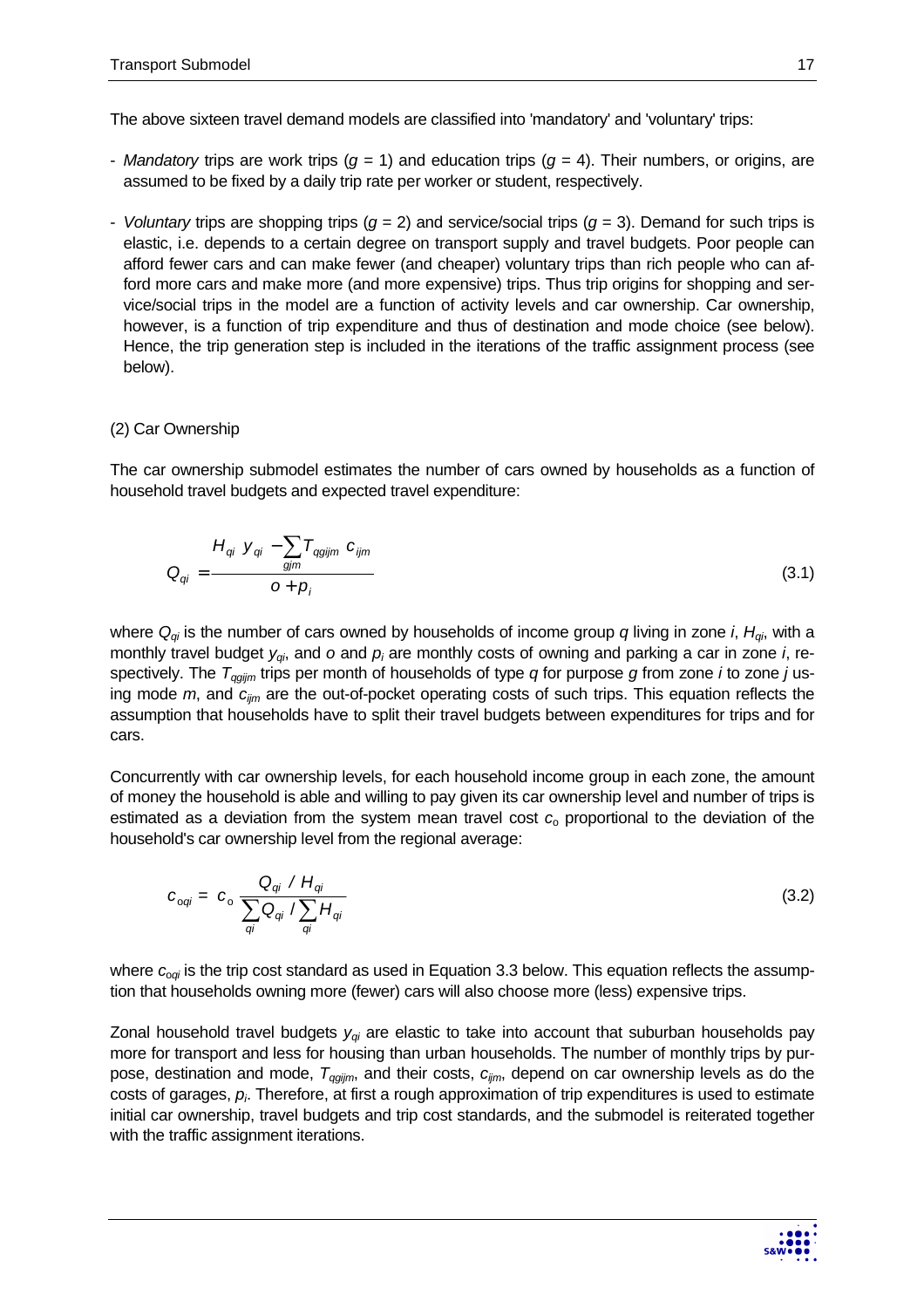The above sixteen travel demand models are classified into 'mandatory' and 'voluntary' trips:

- Mandatory trips are work trips ( $g = 1$ ) and education trips ( $g = 4$ ). Their numbers, or origins, are assumed to be fixed by a daily trip rate per worker or student, respectively.
- Voluntary trips are shopping trips  $(q = 2)$  and service/social trips  $(q = 3)$ . Demand for such trips is elastic, i.e. depends to a certain degree on transport supply and travel budgets. Poor people can afford fewer cars and can make fewer (and cheaper) voluntary trips than rich people who can afford more cars and make more (and more expensive) trips. Thus trip origins for shopping and service/social trips in the model are a function of activity levels and car ownership. Car ownership, however, is a function of trip expenditure and thus of destination and mode choice (see below). Hence, the trip generation step is included in the iterations of the traffic assignment process (see below).

# (2) Car Ownership

The car ownership submodel estimates the number of cars owned by households as a function of household travel budgets and expected travel expenditure:

$$
Q_{qi} = \frac{H_{qi} V_{qi} - \sum_{gjm} T_{qgjjm} c_{ijm}}{O + p_i}
$$
\n(3.1)

where  $Q_{qi}$  is the number of cars owned by households of income group q living in zone i,  $H_{qi}$ , with a monthly travel budget  $y_{qi}$ , and o and  $p_i$  are monthly costs of owning and parking a car in zone i, respectively. The  $T_{\text{qqilm}}$  trips per month of households of type q for purpose g from zone *i* to zone *j* using mode  $m$ , and  $c_{ijm}$  are the out-of-pocket operating costs of such trips. This equation reflects the assumption that households have to split their travel budgets between expenditures for trips and for cars.

Concurrently with car ownership levels, for each household income group in each zone, the amount of money the household is able and willing to pay given its car ownership level and number of trips is estimated as a deviation from the system mean travel cost  $c<sub>o</sub>$  proportional to the deviation of the household's car ownership level from the regional average:

$$
c_{oqi} = c_o \frac{Q_{qi} / H_{qi}}{\sum_{qi} Q_{qi} / \sum_{qi} H_{qi}}
$$
 (3.2)

where  $c_{oqi}$  is the trip cost standard as used in Equation 3.3 below. This equation reflects the assumption that households owning more (fewer) cars will also choose more (less) expensive trips.

Zonal household travel budgets  $y_{qi}$  are elastic to take into account that suburban households pay more for transport and less for housing than urban households. The number of monthly trips by purpose, destination and mode,  $T_{qqjim}$ , and their costs,  $c_{ijm}$ , depend on car ownership levels as do the  $\cos$ ts of garages,  $\rho$ , Therefore, at first a rough approximation of trip expenditures is used to estimate initial car ownership, travel budgets and trip cost standards, and the submodel is reiterated together with the traffic assignment iterations.

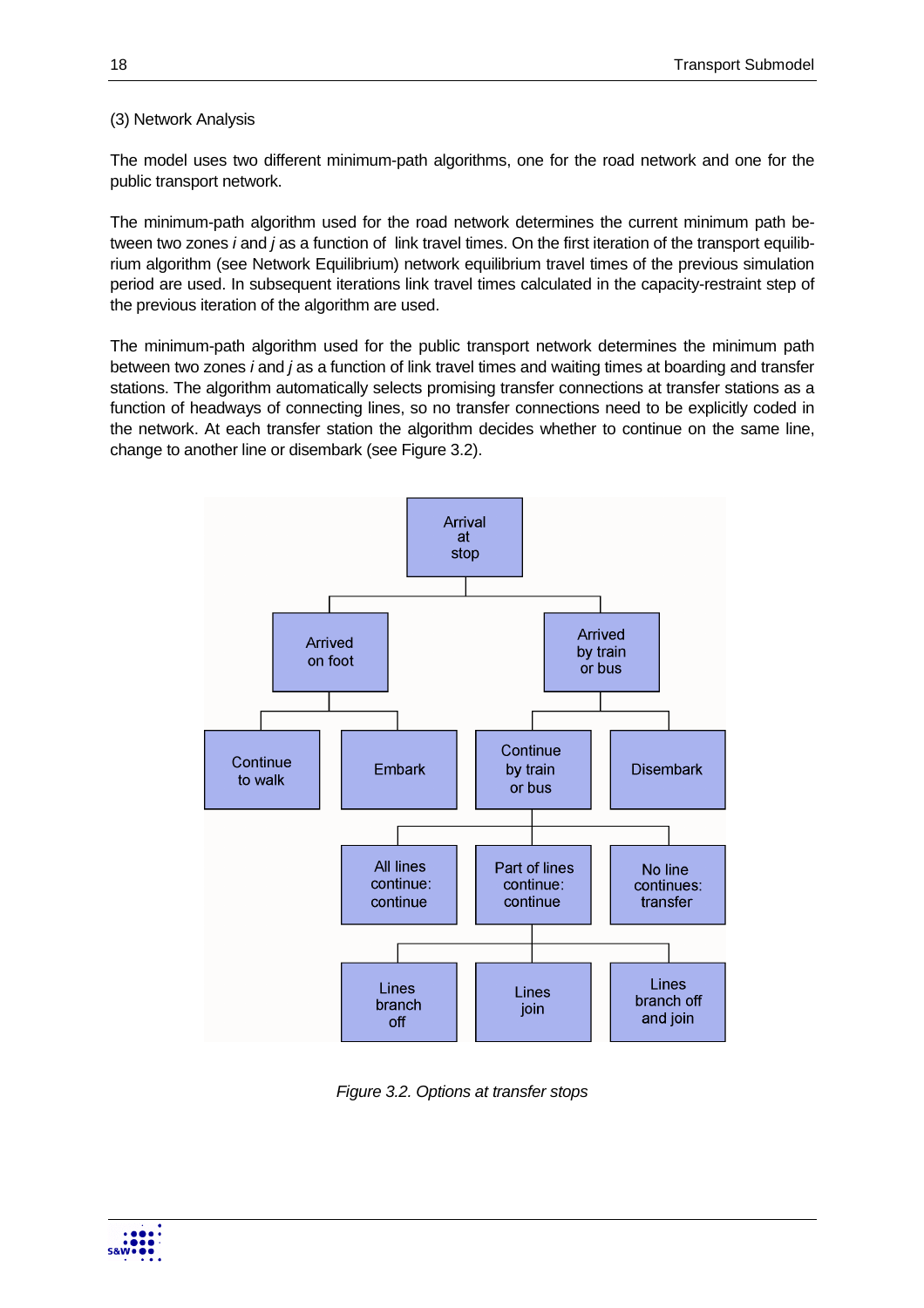### (3) Network Analysis

The model uses two different minimum-path algorithms, one for the road network and one for the public transport network.

The minimum-path algorithm used for the road network determines the current minimum path between two zones *i* and *j* as a function of link travel times. On the first iteration of the transport equilibrium algorithm (see Network Equilibrium) network equilibrium travel times of the previous simulation period are used. In subsequent iterations link travel times calculated in the capacity-restraint step of the previous iteration of the algorithm are used.

The minimum-path algorithm used for the public transport network determines the minimum path between two zones *i* and *j* as a function of link travel times and waiting times at boarding and transfer stations. The algorithm automatically selects promising transfer connections at transfer stations as a function of headways of connecting lines, so no transfer connections need to be explicitly coded in the network. At each transfer station the algorithm decides whether to continue on the same line, change to another line or disembark (see Figure 3.2).



Figure 3.2. Options at transfer stops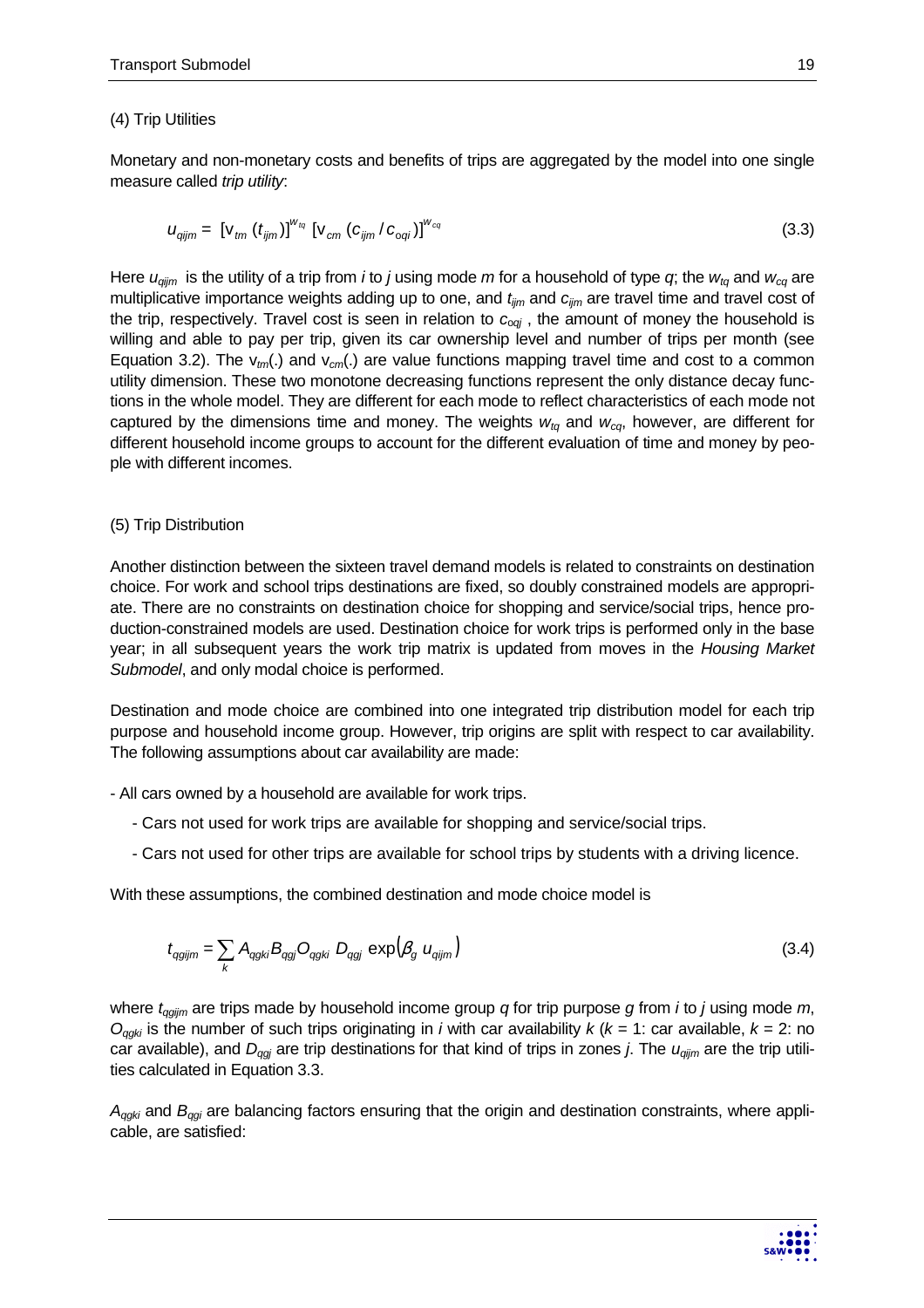### (4) Trip Utilities

Monetary and non-monetary costs and benefits of trips are aggregated by the model into one single measure called trip utility:

$$
u_{qijm} = \left[ v_{tm} \left( t_{ijm} \right) \right]^{w_{tq}} \left[ v_{cm} \left( c_{jim} / c_{oqi} \right) \right]^{w_{cq}}
$$
\n(3.3)

Here  $u_{\text{dim}}$  is the utility of a trip from *i* to j using mode m for a household of type q; the  $w_{\text{to}}$  and  $w_{\text{co}}$  are multiplicative importance weights adding up to one, and  $t_{\text{lim}}$  and  $c_{\text{lim}}$  are travel time and travel cost of the trip, respectively. Travel cost is seen in relation to  $c_{\text{o}qj}$ , the amount of money the household is willing and able to pay per trip, given its car ownership level and number of trips per month (see Equation 3.2). The  $v_{tm}$ . and  $v_{cm}$ . are value functions mapping travel time and cost to a common utility dimension. These two monotone decreasing functions represent the only distance decay functions in the whole model. They are different for each mode to reflect characteristics of each mode not captured by the dimensions time and money. The weights  $w_{tq}$  and  $w_{cq}$ , however, are different for different household income groups to account for the different evaluation of time and money by people with different incomes.

### (5) Trip Distribution

Another distinction between the sixteen travel demand models is related to constraints on destination choice. For work and school trips destinations are fixed, so doubly constrained models are appropriate. There are no constraints on destination choice for shopping and service/social trips, hence production-constrained models are used. Destination choice for work trips is performed only in the base year; in all subsequent years the work trip matrix is updated from moves in the Housing Market Submodel, and only modal choice is performed.

Destination and mode choice are combined into one integrated trip distribution model for each trip purpose and household income group. However, trip origins are split with respect to car availability. The following assumptions about car availability are made:

- All cars owned by a household are available for work trips.

- Cars not used for work trips are available for shopping and service/social trips.
- Cars not used for other trips are available for school trips by students with a driving licence.

With these assumptions, the combined destination and mode choice model is

$$
t_{qgijm} = \sum_{k} A_{qgki} B_{qgj} O_{qgki} D_{qgj} \exp(\beta_g u_{qijm})
$$
\n(3.4)

where  $t_{\text{equiv}}$  are trips made by household income group q for trip purpose g from *i* to *j* using mode m,  $O_{q q k i}$  is the number of such trips originating in *i* with car availability  $k$  ( $k = 1$ : car available,  $k = 2$ : no car available), and  $D_{qqi}$  are trip destinations for that kind of trips in zones j. The  $u_{qilm}$  are the trip utilities calculated in Equation 3.3.

 $A_{qqk}$  and  $B_{qqi}$  are balancing factors ensuring that the origin and destination constraints, where applicable, are satisfied:

| $\ddotsc$                      |  |
|--------------------------------|--|
| $\bullet\bullet\bullet\bullet$ |  |
| <b>S&amp;W.00</b>              |  |
|                                |  |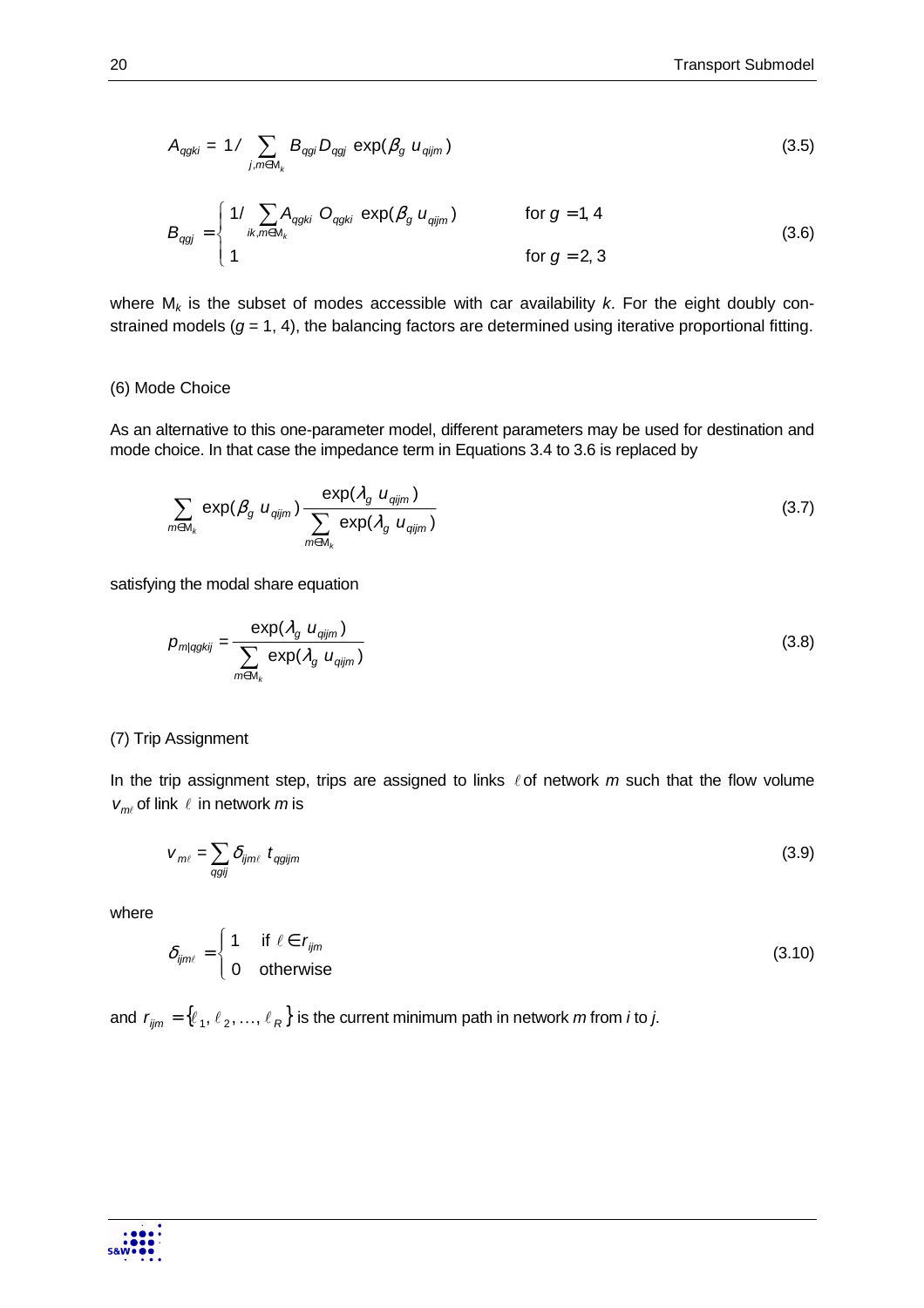$$
A_{qgki} = 1 / \sum_{j,m \in \mathsf{M}_k} B_{qgj} D_{qgj} \exp(\beta_g u_{qjjm})
$$
\n(3.5)

$$
B_{qgj} = \begin{cases} 1/\sum_{ik,m \in M_k} A_{qgki} & O_{qgki} \exp(\beta_g u_{qjjm}) & \text{for } g = 1, 4\\ 1 & \text{for } g = 2, 3 \end{cases}
$$
(3.6)

where  $M_k$  is the subset of modes accessible with car availability k. For the eight doubly constrained models  $(g = 1, 4)$ , the balancing factors are determined using iterative proportional fitting.

#### (6) Mode Choice

As an alternative to this one-parameter model, different parameters may be used for destination and mode choice. In that case the impedance term in Equations 3.4 to 3.6 is replaced by

$$
\sum_{m \in M_k} \exp(\beta_g u_{qijm}) \frac{\exp(\lambda_g u_{qijm})}{\sum_{m \in M_k} \exp(\lambda_g u_{qijm})}
$$
(3.7)

satisfying the modal share equation

$$
p_{m|qgkij} = \frac{\exp(\lambda_g u_{qijm})}{\sum_{m \in M_k} \exp(\lambda_g u_{qijm})}
$$
(3.8)

#### (7) Trip Assignment

In the trip assignment step, trips are assigned to links  $\ell$  of network m such that the flow volume  $v_{m\ell}$  of link  $\ell$  in network m is

$$
V_{m\ell} = \sum_{qgij} \delta_{ijm\ell} \ t_{qgijm} \tag{3.9}
$$

where

$$
\delta_{ijm\ell} = \begin{cases} 1 & \text{if } \ell \in r_{ijm} \\ 0 & \text{otherwise} \end{cases} \tag{3.10}
$$

and  $r_{ijm} = \{ \ell_1, \ell_2, ..., \ell_R \}$  is the current minimum path in network m from *i* to *j*.

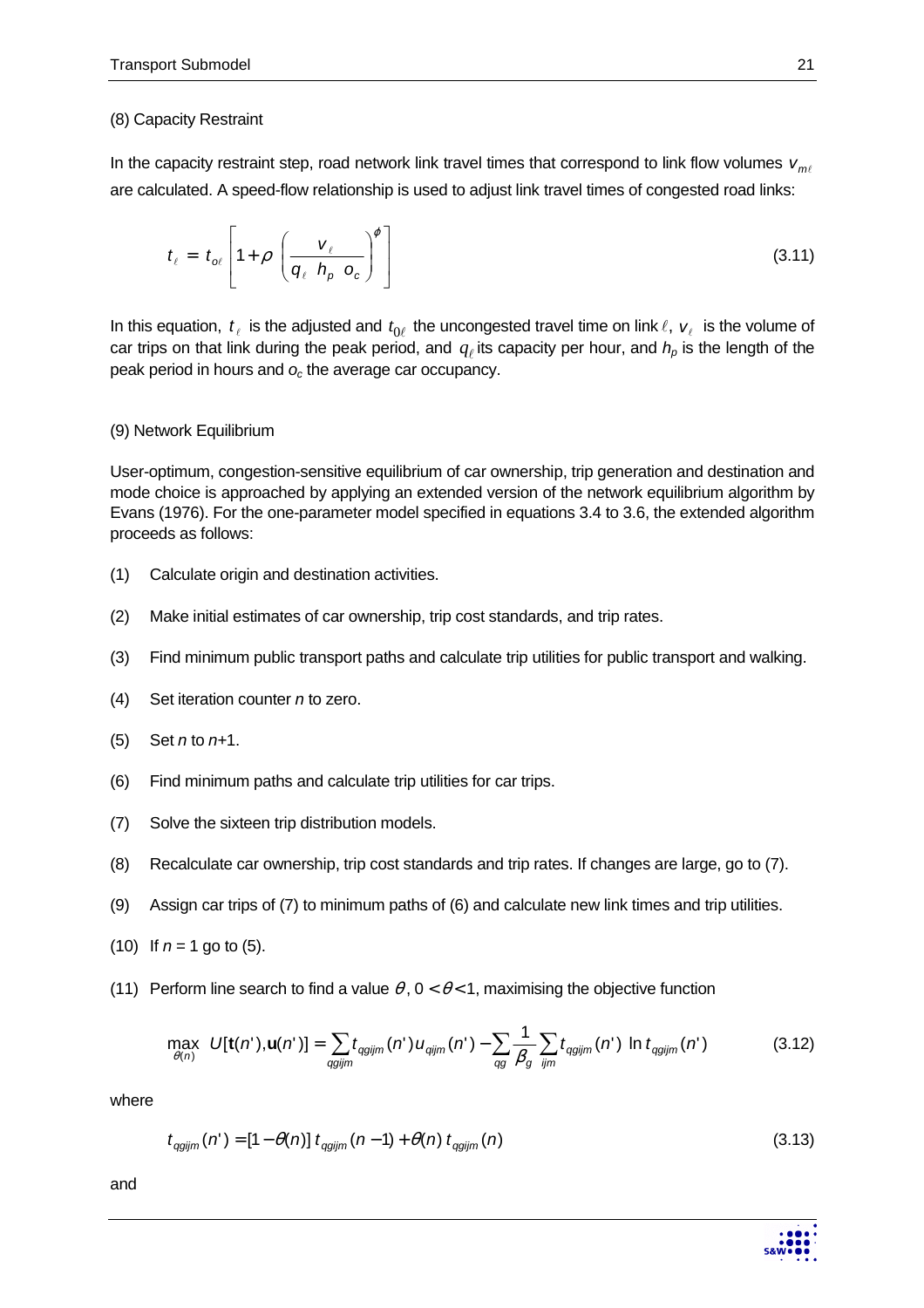#### (8) Capacity Restraint

In the capacity restraint step, road network link travel times that correspond to link flow volumes  $v_{m\ell}$ are calculated. A speed-flow relationship is used to adjust link travel times of congested road links:

$$
t_{\ell} = t_{o\ell} \left[ 1 + \rho \left( \frac{v_{\ell}}{q_{\ell} h_{p} o_{c}} \right)^{\varphi} \right]
$$
 (3.11)

In this equation,  $t_{\ell}$  is the adjusted and  $t_{0\ell}$  the uncongested travel time on link  $\ell$ ,  $v_{\ell}$  is the volume of car trips on that link during the peak period, and  $q_\ell$  its capacity per hour, and  $h_\rho$  is the length of the peak period in hours and  $o_c$  the average car occupancy.

#### (9) Network Equilibrium

User-optimum, congestion-sensitive equilibrium of car ownership, trip generation and destination and mode choice is approached by applying an extended version of the network equilibrium algorithm by Evans (1976). For the one-parameter model specified in equations 3.4 to 3.6, the extended algorithm proceeds as follows:

- (1) Calculate origin and destination activities.
- (2) Make initial estimates of car ownership, trip cost standards, and trip rates.
- (3) Find minimum public transport paths and calculate trip utilities for public transport and walking.
- (4) Set iteration counter  $n$  to zero.
- $(5)$  Set *n* to *n*+1.
- (6) Find minimum paths and calculate trip utilities for car trips.
- (7) Solve the sixteen trip distribution models.
- (8) Recalculate car ownership, trip cost standards and trip rates. If changes are large, go to (7).
- (9) Assign car trips of (7) to minimum paths of (6) and calculate new link times and trip utilities.
- (10) If  $n = 1$  go to (5).
- (11) Perform line search to find a value  $\theta$ ,  $0 < \theta < 1$ , maximising the objective function

$$
\max_{\theta(n)} \ U[\mathbf{t}(n'), \mathbf{u}(n')] = \sum_{\text{qgij}m} t_{\text{qgij}m}(n') u_{\text{qij}m}(n') - \sum_{\text{qg}} \frac{1}{\beta_g} \sum_{\text{ij}m} t_{\text{qgij}m}(n') \ \ln t_{\text{qgij}m}(n') \tag{3.12}
$$

where

$$
t_{qgjjm}(n') = [1 - \theta(n)] \ t_{qgjjm}(n-1) + \theta(n) \ t_{qgjjm}(n) \tag{3.13}
$$

and

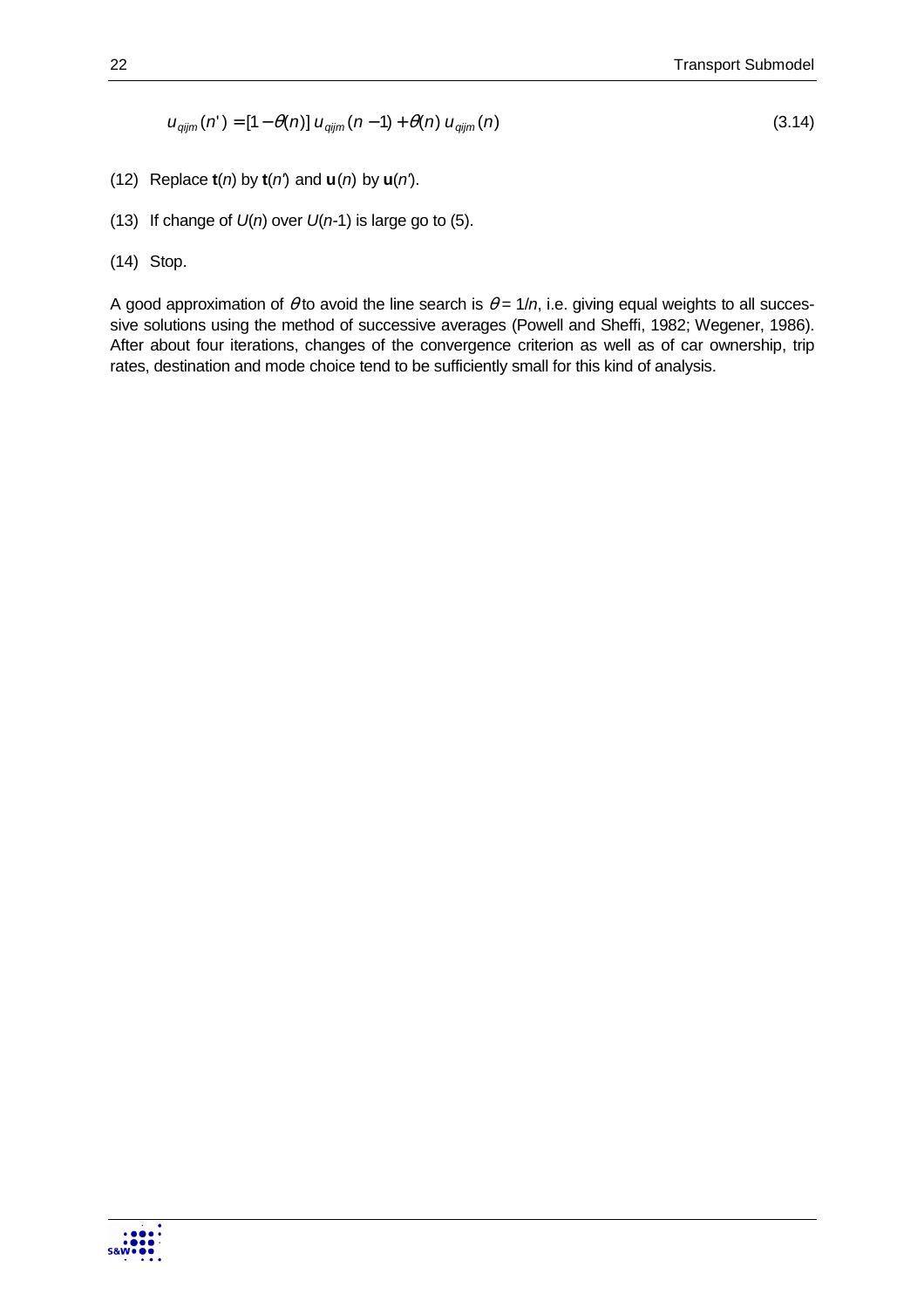$$
u_{qijm}(n') = [1 - \theta(n)] u_{qijm}(n-1) + \theta(n) u_{qijm}(n)
$$
\n(3.14)

- (12) Replace  $t(n)$  by  $t(n')$  and  $u(n)$  by  $u(n')$ .
- (13) If change of  $U(n)$  over  $U(n-1)$  is large go to (5).
- (14) Stop.

A good approximation of  $\theta$  to avoid the line search is  $\theta = 1/n$ , i.e. giving equal weights to all successive solutions using the method of successive averages (Powell and Sheffi, 1982; Wegener, 1986). After about four iterations, changes of the convergence criterion as well as of car ownership, trip rates, destination and mode choice tend to be sufficiently small for this kind of analysis.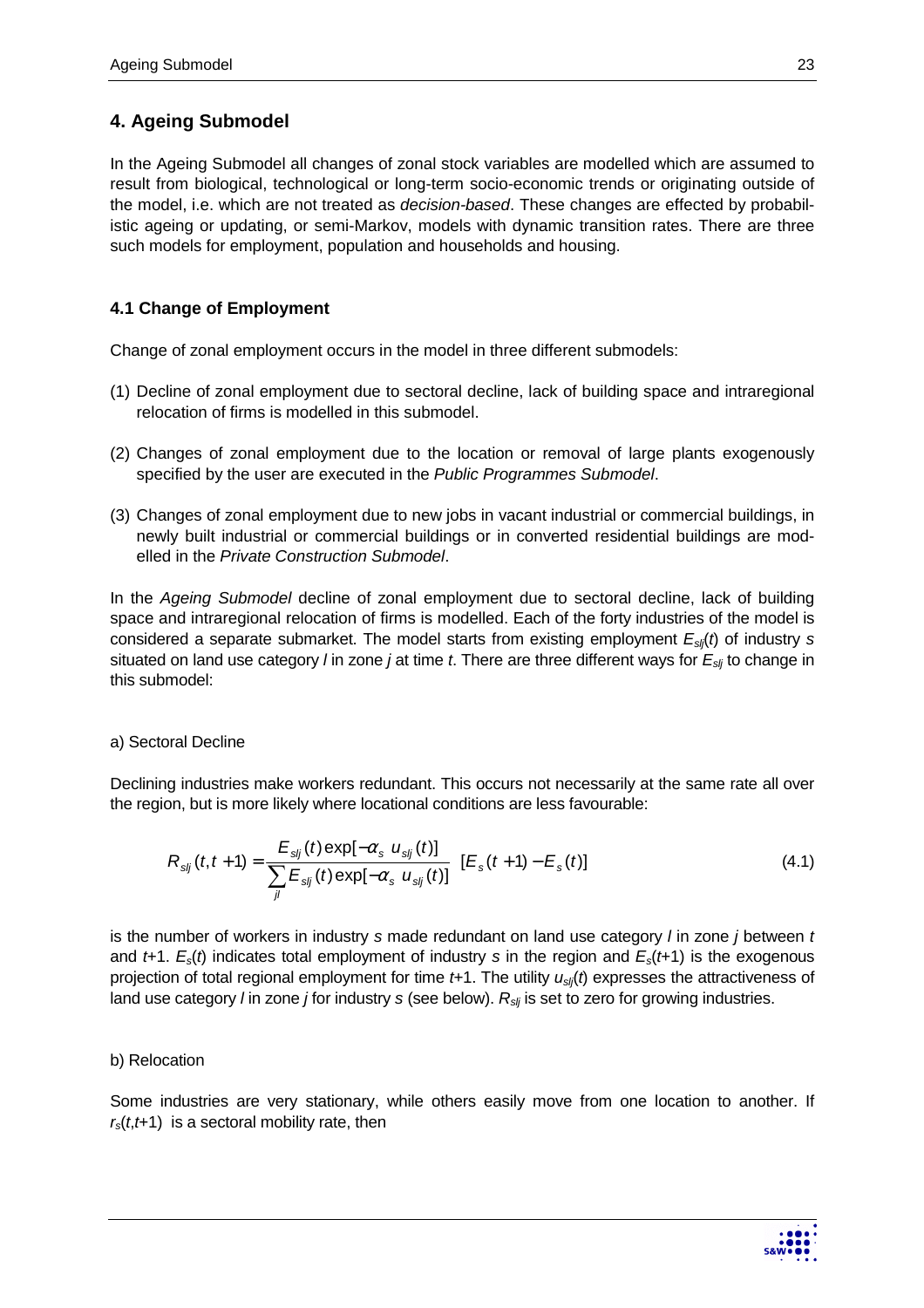# **4. Ageing Submodel**

In the Ageing Submodel all changes of zonal stock variables are modelled which are assumed to result from biological, technological or long-term socio-economic trends or originating outside of the model, i.e. which are not treated as decision-based. These changes are effected by probabilistic ageing or updating, or semi-Markov, models with dynamic transition rates. There are three such models for employment, population and households and housing.

# **4.1 Change of Employment**

Change of zonal employment occurs in the model in three different submodels:

- (1) Decline of zonal employment due to sectoral decline, lack of building space and intraregional relocation of firms is modelled in this submodel.
- (2) Changes of zonal employment due to the location or removal of large plants exogenously specified by the user are executed in the Public Programmes Submodel.
- (3) Changes of zonal employment due to new jobs in vacant industrial or commercial buildings, in newly built industrial or commercial buildings or in converted residential buildings are modelled in the Private Construction Submodel.

In the Ageing Submodel decline of zonal employment due to sectoral decline, lack of building space and intraregional relocation of firms is modelled. Each of the forty industries of the model is considered a separate submarket. The model starts from existing employment  $E_{sl}$  of industry s situated on land use category *l* in zone *j* at time *t*. There are three different ways for  $E_{sli}$  to change in this submodel:

### a) Sectoral Decline

Declining industries make workers redundant. This occurs not necessarily at the same rate all over the region, but is more likely where locational conditions are less favourable:

$$
R_{sij}(t, t+1) = \frac{E_{sij}(t) \exp[-\alpha_s \ u_{sij}(t)]}{\sum_{ji} E_{sij}(t) \exp[-\alpha_s \ u_{sij}(t)]} \ [E_s(t+1) - E_s(t)] \tag{4.1}
$$

is the number of workers in industry s made redundant on land use category  $\ell$  in zone  $\ell$  between  $t$ and  $t+1$ .  $E_s(t)$  indicates total employment of industry s in the region and  $E_s(t+1)$  is the exogenous projection of total regional employment for time  $t+1$ . The utility  $u_{s}$   $(t)$  expresses the attractiveness of land use category *l* in zone *j* for industry s (see below).  $R_{si}$  is set to zero for growing industries.

### b) Relocation

Some industries are very stationary, while others easily move from one location to another. If  $r<sub>s</sub>(t,t+1)$  is a sectoral mobility rate, then

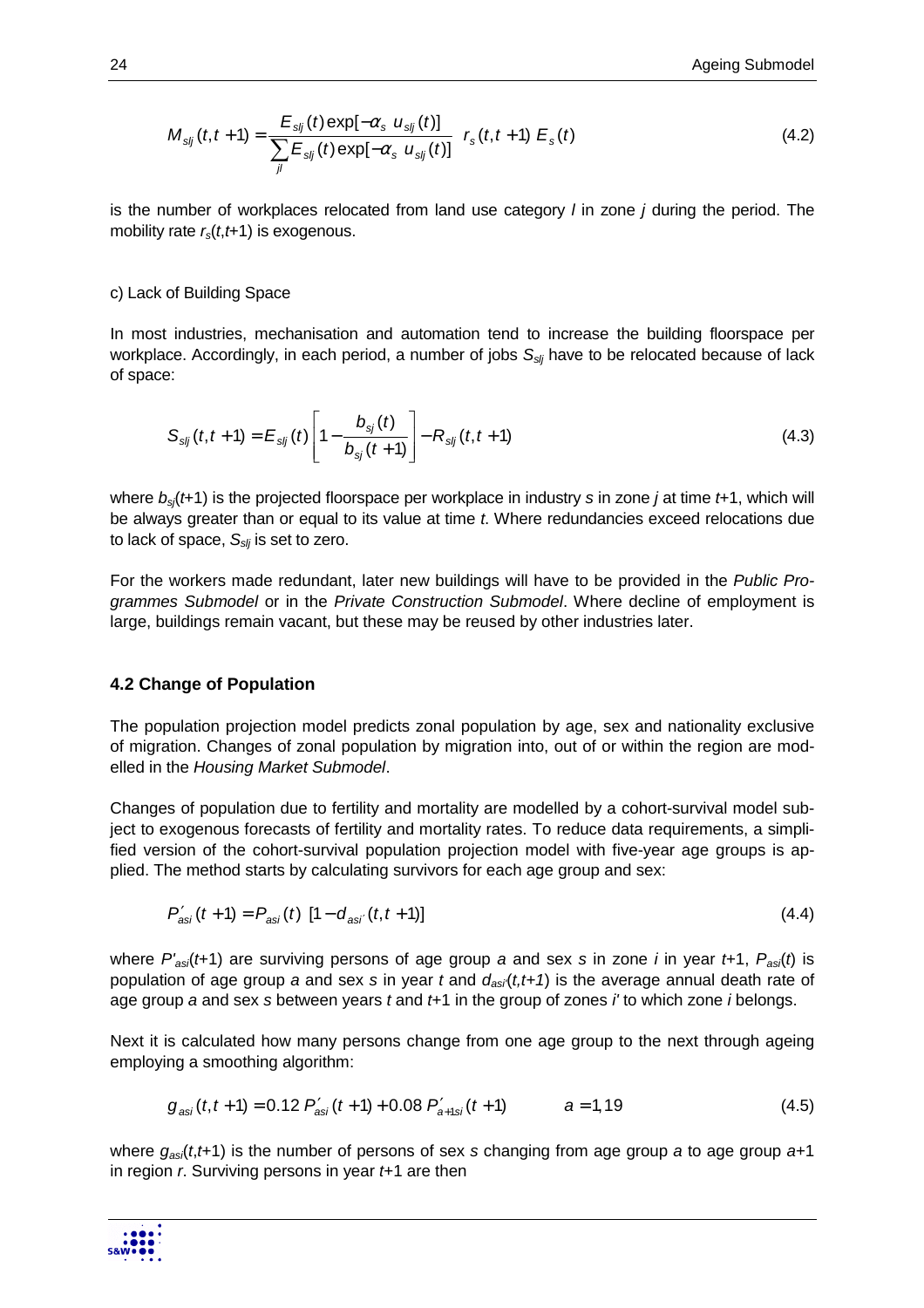$$
M_{sij}(t, t+1) = \frac{E_{sij}(t) \exp[-\alpha_s \ u_{sij}(t)]}{\sum_{jl} E_{sij}(t) \exp[-\alpha_s \ u_{sij}(t)]} \ r_s(t, t+1) \ E_s(t)
$$
\n(4.2)

is the number of workplaces relocated from land use category  $\ell$  in zone  $\ell$  during the period. The mobility rate  $r_s(t, t+1)$  is exogenous.

#### c) Lack of Building Space

In most industries, mechanisation and automation tend to increase the building floorspace per workplace. Accordingly, in each period, a number of jobs  $S_{s/i}$  have to be relocated because of lack of space:

$$
S_{sij}(t, t+1) = E_{sij}(t) \left[ 1 - \frac{b_{sj}(t)}{b_{sj}(t+1)} \right] - R_{sij}(t, t+1)
$$
\n(4.3)

where  $b_{s}(t+1)$  is the projected floorspace per workplace in industry s in zone j at time t+1, which will be always greater than or equal to its value at time t. Where redundancies exceed relocations due to lack of space,  $S_{sli}$  is set to zero.

For the workers made redundant, later new buildings will have to be provided in the Public Programmes Submodel or in the Private Construction Submodel. Where decline of employment is large, buildings remain vacant, but these may be reused by other industries later.

#### **4.2 Change of Population**

The population projection model predicts zonal population by age, sex and nationality exclusive of migration. Changes of zonal population by migration into, out of or within the region are modelled in the Housing Market Submodel.

Changes of population due to fertility and mortality are modelled by a cohort-survival model subject to exogenous forecasts of fertility and mortality rates. To reduce data requirements, a simplified version of the cohort-survival population projection model with five-year age groups is applied. The method starts by calculating survivors for each age group and sex:

$$
P'_{\text{asi}}(t+1) = P_{\text{asi}}(t) \left[1 - d_{\text{asi}}(t, t+1)\right] \tag{4.4}
$$

where  $P'_{as}(t+1)$  are surviving persons of age group a and sex s in zone *i* in year  $t+1$ ,  $P_{as}(t)$  is population of age group a and sex s in year t and  $d_{\text{as}}(t,t+1)$  is the average annual death rate of age group a and sex s between years  $t$  and  $t+1$  in the group of zones i' to which zone i belongs.

Next it is calculated how many persons change from one age group to the next through ageing employing a smoothing algorithm:

$$
g_{asi}(t, t+1) = 0.12 P'_{asi}(t+1) + 0.08 P'_{a+1si}(t+1) \qquad a = 1,19 \qquad (4.5)
$$

where  $g_{\text{as}}(t,t+1)$  is the number of persons of sex s changing from age group a to age group a+1 in region  $r$ . Surviving persons in year  $t+1$  are then

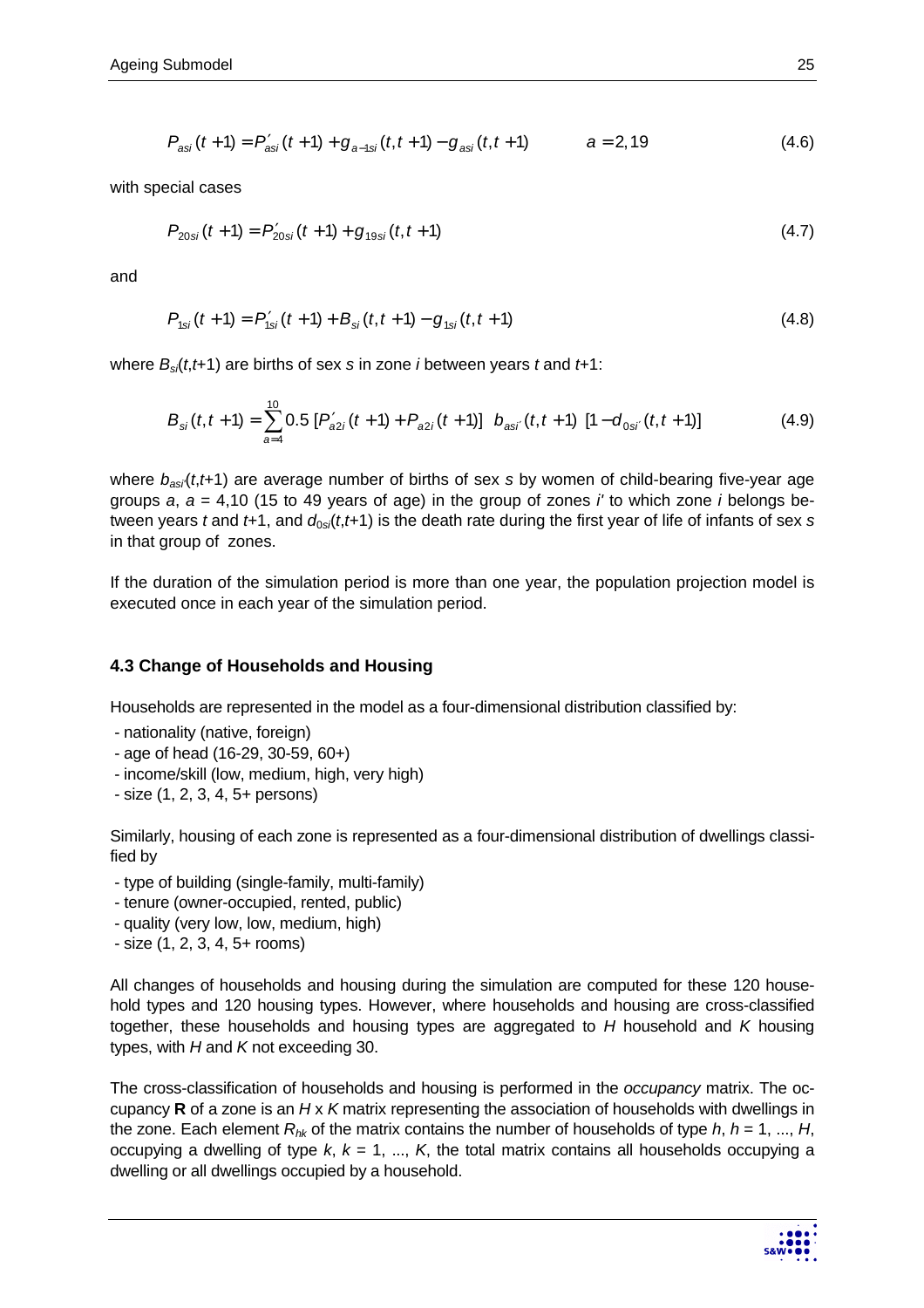$$
P_{\rm asi}(t+1) = P'_{\rm asi}(t+1) + g_{\rm a-1si}(t,t+1) - g_{\rm asi}(t,t+1) \qquad \qquad a = 2,19 \qquad (4.6)
$$

with special cases

$$
P_{20si}(t+1) = P'_{20si}(t+1) + g_{19si}(t,t+1)
$$
\n(4.7)

and

$$
P_{1si}(t+1) = P'_{1si}(t+1) + B_{si}(t,t+1) - g_{1si}(t,t+1)
$$
\n(4.8)

where  $B_{\rm s}(t,t+1)$  are births of sex s in zone *i* between years t and t+1:

$$
B_{si}(t, t+1) = \sum_{a=4}^{10} 0.5 [P'_{a2i}(t+1) + P_{a2i}(t+1)] b_{asi'}(t, t+1) [1 - d_{0si'}(t, t+1)] \qquad (4.9)
$$

where  $b_{\text{as}}(t,t+1)$  are average number of births of sex s by women of child-bearing five-year age groups  $a$ ,  $a = 4,10$  (15 to 49 years of age) in the group of zones *i'* to which zone *i* belongs between years t and t+1, and  $d_{0s}(t,t+1)$  is the death rate during the first year of life of infants of sex s in that group of zones.

If the duration of the simulation period is more than one year, the population projection model is executed once in each year of the simulation period.

# **4.3 Change of Households and Housing**

Households are represented in the model as a four-dimensional distribution classified by:

- nationality (native, foreign)
- age of head (16-29, 30-59, 60+)
- income/skill (low, medium, high, very high)
- size (1, 2, 3, 4, 5+ persons)

Similarly, housing of each zone is represented as a four-dimensional distribution of dwellings classified by

- type of building (single-family, multi-family)
- tenure (owner-occupied, rented, public)
- quality (very low, low, medium, high)
- size (1, 2, 3, 4, 5+ rooms)

All changes of households and housing during the simulation are computed for these 120 household types and 120 housing types. However, where households and housing are cross-classified together, these households and housing types are aggregated to  $H$  household and  $K$  housing types, with  $H$  and  $K$  not exceeding 30.

The cross-classification of households and housing is performed in the occupancy matrix. The occupancy **R** of a zone is an  $H \times K$  matrix representing the association of households with dwellings in the zone. Each element  $R_{hk}$  of the matrix contains the number of households of type h, h = 1, ..., H, occupying a dwelling of type k,  $k = 1, ..., K$ , the total matrix contains all households occupying a dwelling or all dwellings occupied by a household.

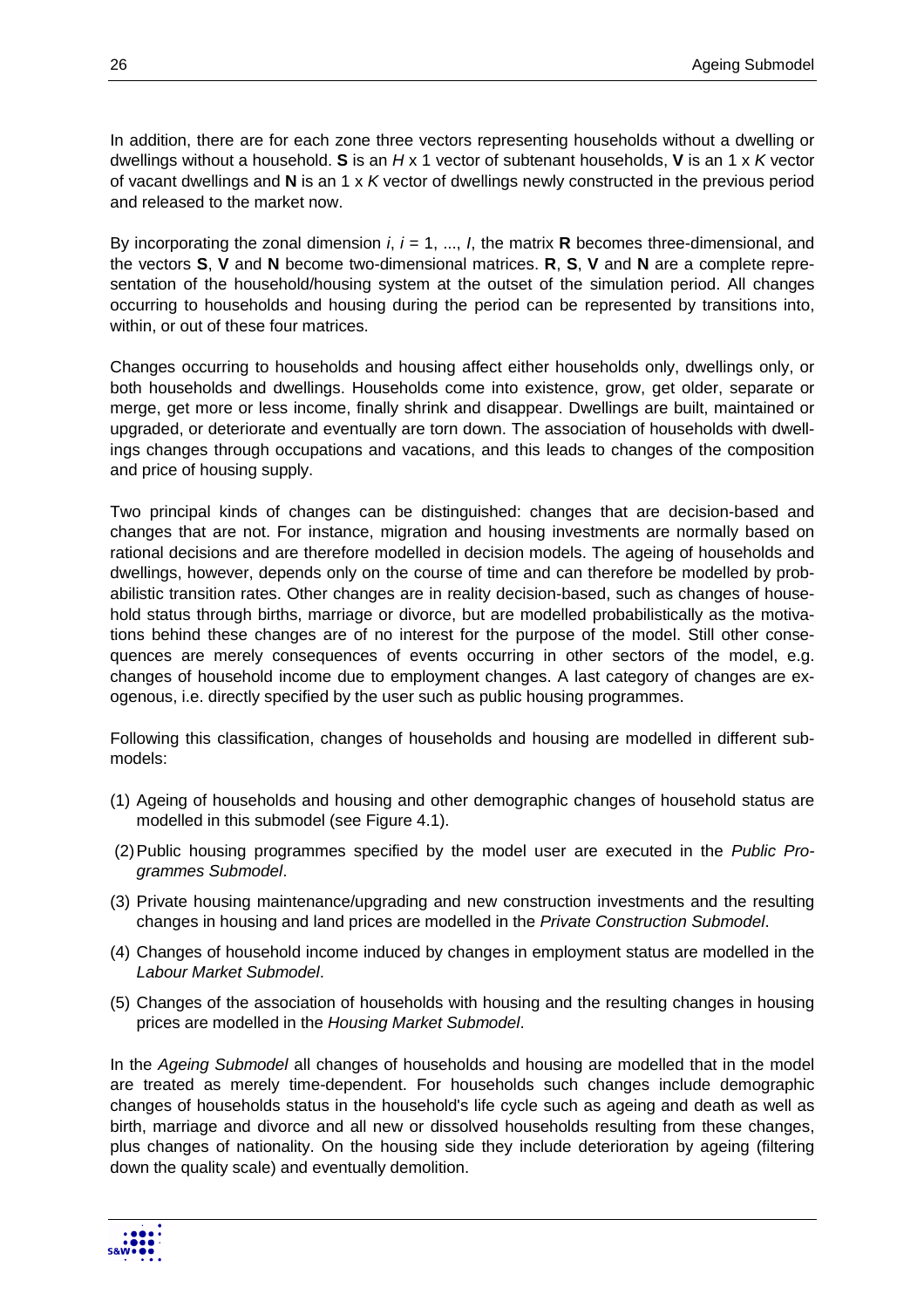In addition, there are for each zone three vectors representing households without a dwelling or dwellings without a household. **S** is an H x 1 vector of subtenant households, **V** is an 1 x K vector of vacant dwellings and **N** is an 1 x K vector of dwellings newly constructed in the previous period and released to the market now.

By incorporating the zonal dimension  $i$ ,  $i = 1, ..., l$ , the matrix **R** becomes three-dimensional, and the vectors **S**, **V** and **N** become two-dimensional matrices. **R**, **S**, **V** and **N** are a complete representation of the household/housing system at the outset of the simulation period. All changes occurring to households and housing during the period can be represented by transitions into, within, or out of these four matrices.

Changes occurring to households and housing affect either households only, dwellings only, or both households and dwellings. Households come into existence, grow, get older, separate or merge, get more or less income, finally shrink and disappear. Dwellings are built, maintained or upgraded, or deteriorate and eventually are torn down. The association of households with dwellings changes through occupations and vacations, and this leads to changes of the composition and price of housing supply.

Two principal kinds of changes can be distinguished: changes that are decision-based and changes that are not. For instance, migration and housing investments are normally based on rational decisions and are therefore modelled in decision models. The ageing of households and dwellings, however, depends only on the course of time and can therefore be modelled by probabilistic transition rates. Other changes are in reality decision-based, such as changes of household status through births, marriage or divorce, but are modelled probabilistically as the motivations behind these changes are of no interest for the purpose of the model. Still other consequences are merely consequences of events occurring in other sectors of the model, e.g. changes of household income due to employment changes. A last category of changes are exogenous, i.e. directly specified by the user such as public housing programmes.

Following this classification, changes of households and housing are modelled in different submodels:

- (1) Ageing of households and housing and other demographic changes of household status are modelled in this submodel (see Figure 4.1).
- (2) Public housing programmes specified by the model user are executed in the Public Programmes Submodel.
- (3) Private housing maintenance/upgrading and new construction investments and the resulting changes in housing and land prices are modelled in the Private Construction Submodel.
- (4) Changes of household income induced by changes in employment status are modelled in the Labour Market Submodel.
- (5) Changes of the association of households with housing and the resulting changes in housing prices are modelled in the Housing Market Submodel.

In the Ageing Submodel all changes of households and housing are modelled that in the model are treated as merely time-dependent. For households such changes include demographic changes of households status in the household's life cycle such as ageing and death as well as birth, marriage and divorce and all new or dissolved households resulting from these changes, plus changes of nationality. On the housing side they include deterioration by ageing (filtering down the quality scale) and eventually demolition.

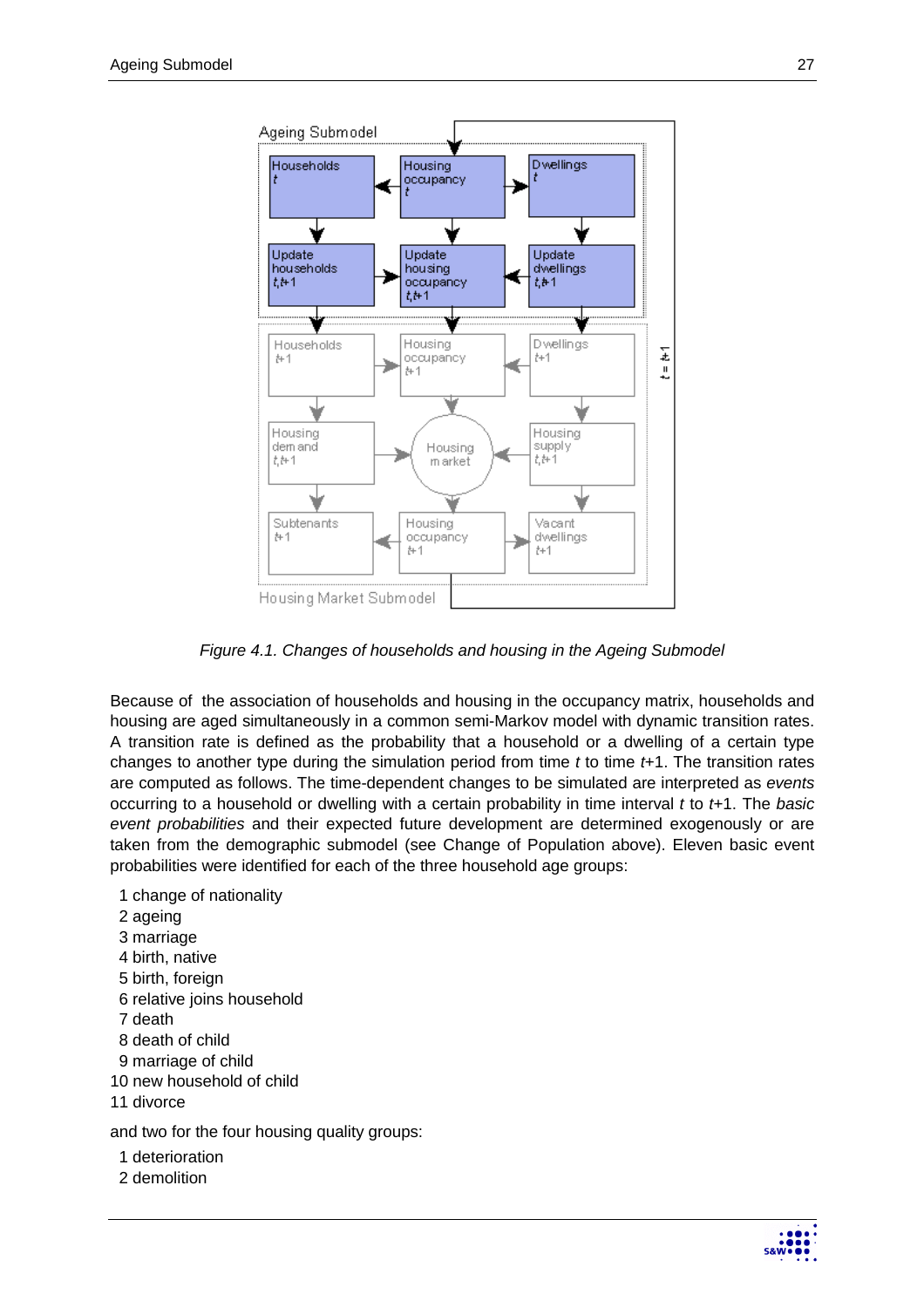

Figure 4.1. Changes of households and housing in the Ageing Submodel

Because of the association of households and housing in the occupancy matrix, households and housing are aged simultaneously in a common semi-Markov model with dynamic transition rates. A transition rate is defined as the probability that a household or a dwelling of a certain type changes to another type during the simulation period from time  $t$  to time  $t+1$ . The transition rates are computed as follows. The time-dependent changes to be simulated are interpreted as events occurring to a household or dwelling with a certain probability in time interval  $t$  to  $t+1$ . The basic event probabilities and their expected future development are determined exogenously or are taken from the demographic submodel (see Change of Population above). Eleven basic event probabilities were identified for each of the three household age groups:

1 change of nationality

- 2 ageing
- 3 marriage
- 4 birth, native
- 5 birth, foreign
- 6 relative joins household
- 7 death
- 8 death of child
- 9 marriage of child
- 10 new household of child
- 11 divorce

and two for the four housing quality groups:

- 1 deterioration
- 2 demolition

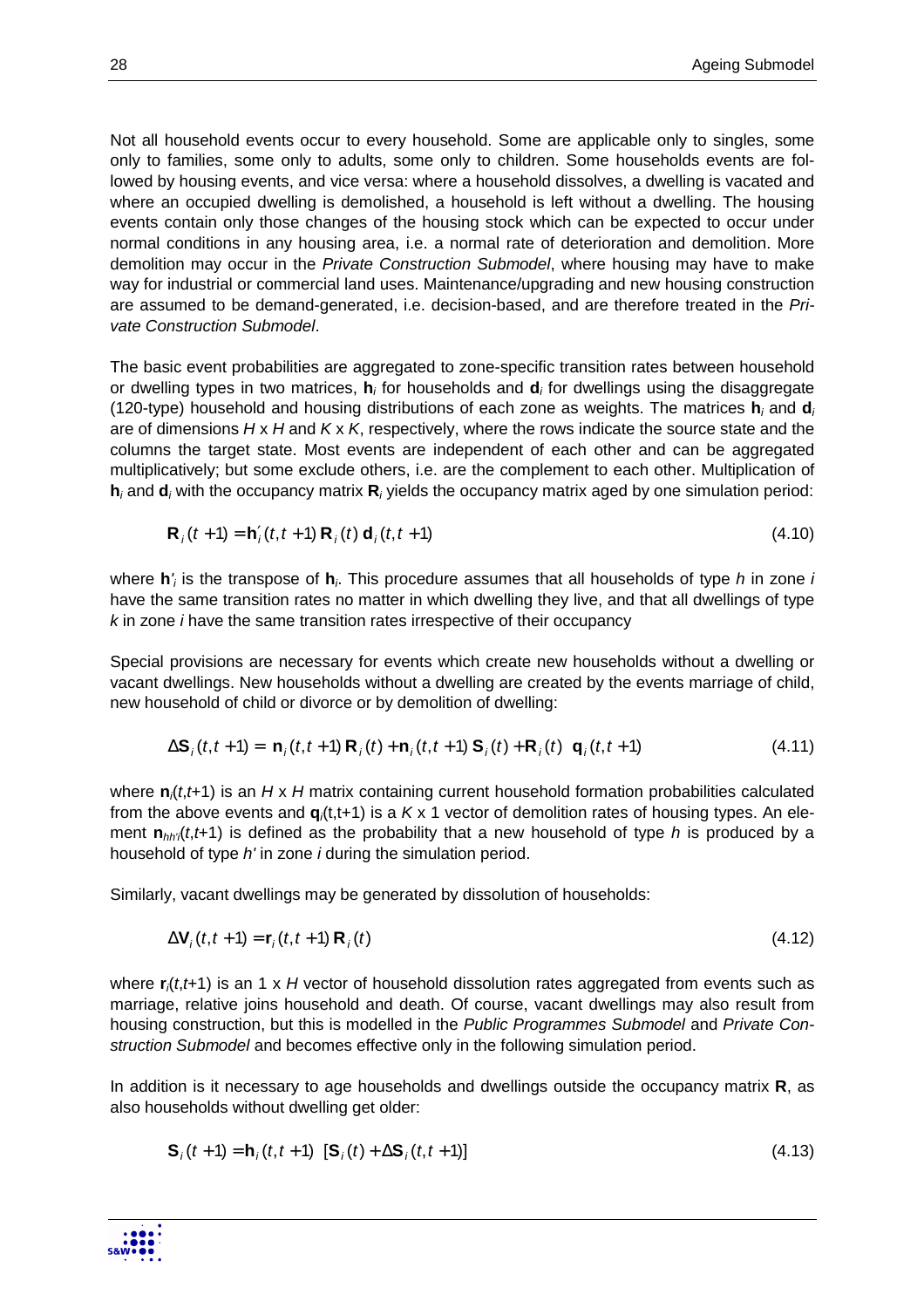Not all household events occur to every household. Some are applicable only to singles, some only to families, some only to adults, some only to children. Some households events are followed by housing events, and vice versa: where a household dissolves, a dwelling is vacated and where an occupied dwelling is demolished, a household is left without a dwelling. The housing events contain only those changes of the housing stock which can be expected to occur under normal conditions in any housing area, i.e. a normal rate of deterioration and demolition. More demolition may occur in the Private Construction Submodel, where housing may have to make way for industrial or commercial land uses. Maintenance/upgrading and new housing construction are assumed to be demand-generated, i.e. decision-based, and are therefore treated in the Private Construction Submodel.

The basic event probabilities are aggregated to zone-specific transition rates between household or dwelling types in two matrices, **h**<sub>i</sub> for households and **d**<sub>i</sub> for dwellings using the disaggregate (120-type) household and housing distributions of each zone as weights. The matrices **h**<sup>i</sup> and **d**<sup>i</sup> are of dimensions  $H \times H$  and  $K \times K$ , respectively, where the rows indicate the source state and the columns the target state. Most events are independent of each other and can be aggregated multiplicatively; but some exclude others, i.e. are the complement to each other. Multiplication of  $h_i$  and  $d_i$  with the occupancy matrix  $R_i$  yields the occupancy matrix aged by one simulation period:

$$
\mathbf{R}_{i}(t+1) = \mathbf{h}'_{i}(t, t+1) \mathbf{R}_{i}(t) \mathbf{d}_{i}(t, t+1)
$$
\n(4.10)

where **h**'<sub>i</sub> is the transpose of **h**<sub>i</sub>. This procedure assumes that all households of type h in zone i have the same transition rates no matter in which dwelling they live, and that all dwellings of type  $k$  in zone *i* have the same transition rates irrespective of their occupancy

Special provisions are necessary for events which create new households without a dwelling or vacant dwellings. New households without a dwelling are created by the events marriage of child, new household of child or divorce or by demolition of dwelling:

$$
\Delta S_i(t, t+1) = n_i(t, t+1) R_i(t) + n_i(t, t+1) S_i(t) + R_i(t) q_i(t, t+1)
$$
\n(4.11)

where  $n_i(t, t+1)$  is an  $H \times H$  matrix containing current household formation probabilities calculated from the above events and  $q_i(t,t+1)$  is a  $K \times 1$  vector of demolition rates of housing types. An element  $\mathbf{n}_{hhh}(t,t+1)$  is defined as the probability that a new household of type h is produced by a household of type h' in zone *i* during the simulation period.

Similarly, vacant dwellings may be generated by dissolution of households:

$$
\Delta \mathbf{V}_i(t, t+1) = \mathbf{r}_i(t, t+1) \mathbf{R}_i(t) \tag{4.12}
$$

where  $\mathbf{r}_i(t,t+1)$  is an 1 x H vector of household dissolution rates aggregated from events such as marriage, relative joins household and death. Of course, vacant dwellings may also result from housing construction, but this is modelled in the Public Programmes Submodel and Private Construction Submodel and becomes effective only in the following simulation period.

In addition is it necessary to age households and dwellings outside the occupancy matrix **R**, as also households without dwelling get older:

$$
S_i(t+1) = h_i(t, t+1) [S_i(t) + \Delta S_i(t, t+1)]
$$
\n(4.13)

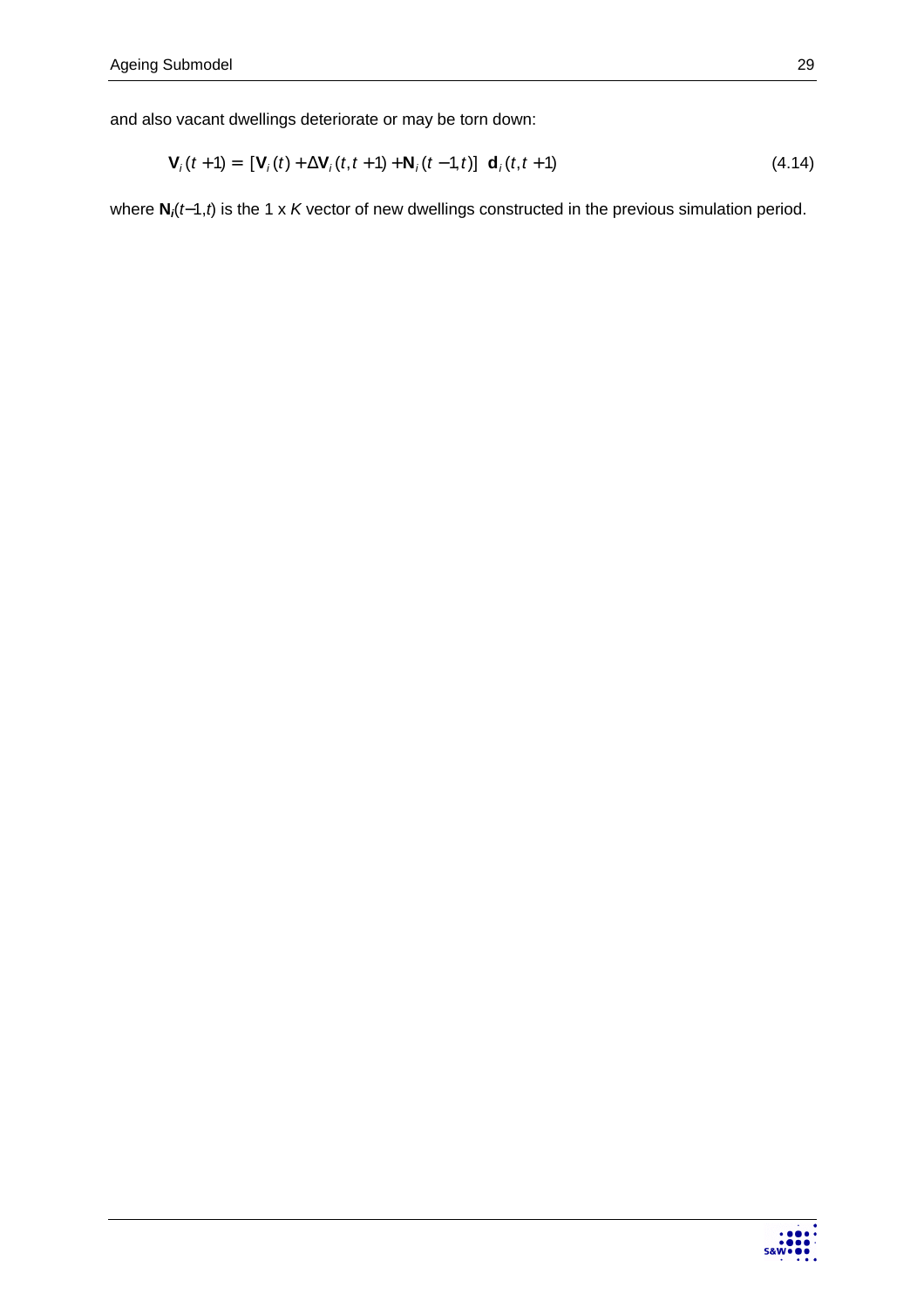$$
\mathbf{V}_{i}(t+1) = [\mathbf{V}_{i}(t) + \Delta \mathbf{V}_{i}(t, t+1) + \mathbf{N}_{i}(t-1, t)] \mathbf{d}_{i}(t, t+1)
$$
\n(4.14)

where **N**<sub>*i*</sub>(*t*−1,*t*) is the 1 x *K* vector of new dwellings constructed in the previous simulation period.

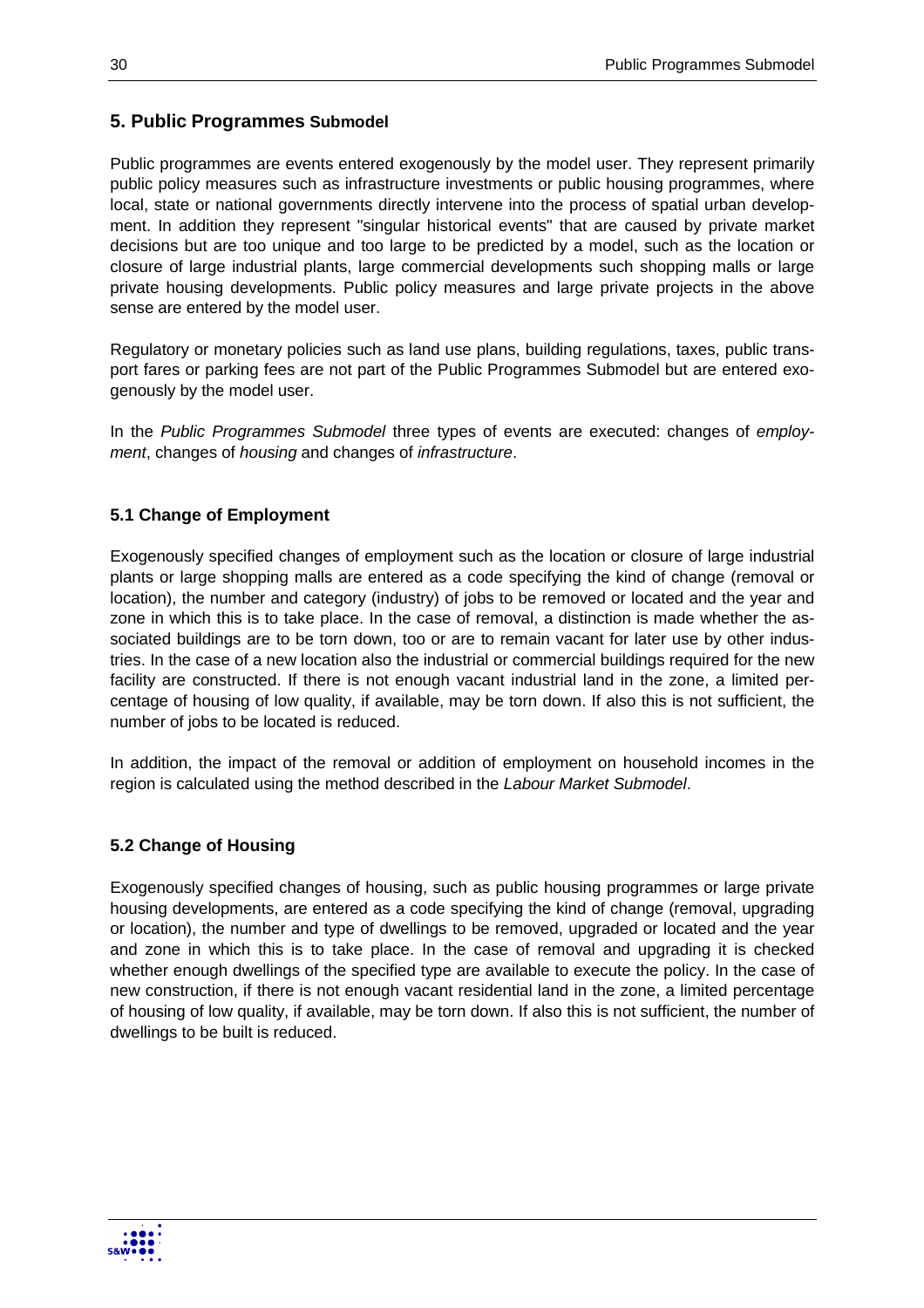# **5. Public Programmes Submodel**

Public programmes are events entered exogenously by the model user. They represent primarily public policy measures such as infrastructure investments or public housing programmes, where local, state or national governments directly intervene into the process of spatial urban development. In addition they represent "singular historical events" that are caused by private market decisions but are too unique and too large to be predicted by a model, such as the location or closure of large industrial plants, large commercial developments such shopping malls or large private housing developments. Public policy measures and large private projects in the above sense are entered by the model user.

Regulatory or monetary policies such as land use plans, building regulations, taxes, public transport fares or parking fees are not part of the Public Programmes Submodel but are entered exogenously by the model user.

In the Public Programmes Submodel three types of events are executed: changes of employment, changes of housing and changes of infrastructure.

### **5.1 Change of Employment**

Exogenously specified changes of employment such as the location or closure of large industrial plants or large shopping malls are entered as a code specifying the kind of change (removal or location), the number and category (industry) of jobs to be removed or located and the year and zone in which this is to take place. In the case of removal, a distinction is made whether the associated buildings are to be torn down, too or are to remain vacant for later use by other industries. In the case of a new location also the industrial or commercial buildings required for the new facility are constructed. If there is not enough vacant industrial land in the zone, a limited percentage of housing of low quality, if available, may be torn down. If also this is not sufficient, the number of jobs to be located is reduced.

In addition, the impact of the removal or addition of employment on household incomes in the region is calculated using the method described in the Labour Market Submodel.

### **5.2 Change of Housing**

Exogenously specified changes of housing, such as public housing programmes or large private housing developments, are entered as a code specifying the kind of change (removal, upgrading or location), the number and type of dwellings to be removed, upgraded or located and the year and zone in which this is to take place. In the case of removal and upgrading it is checked whether enough dwellings of the specified type are available to execute the policy. In the case of new construction, if there is not enough vacant residential land in the zone, a limited percentage of housing of low quality, if available, may be torn down. If also this is not sufficient, the number of dwellings to be built is reduced.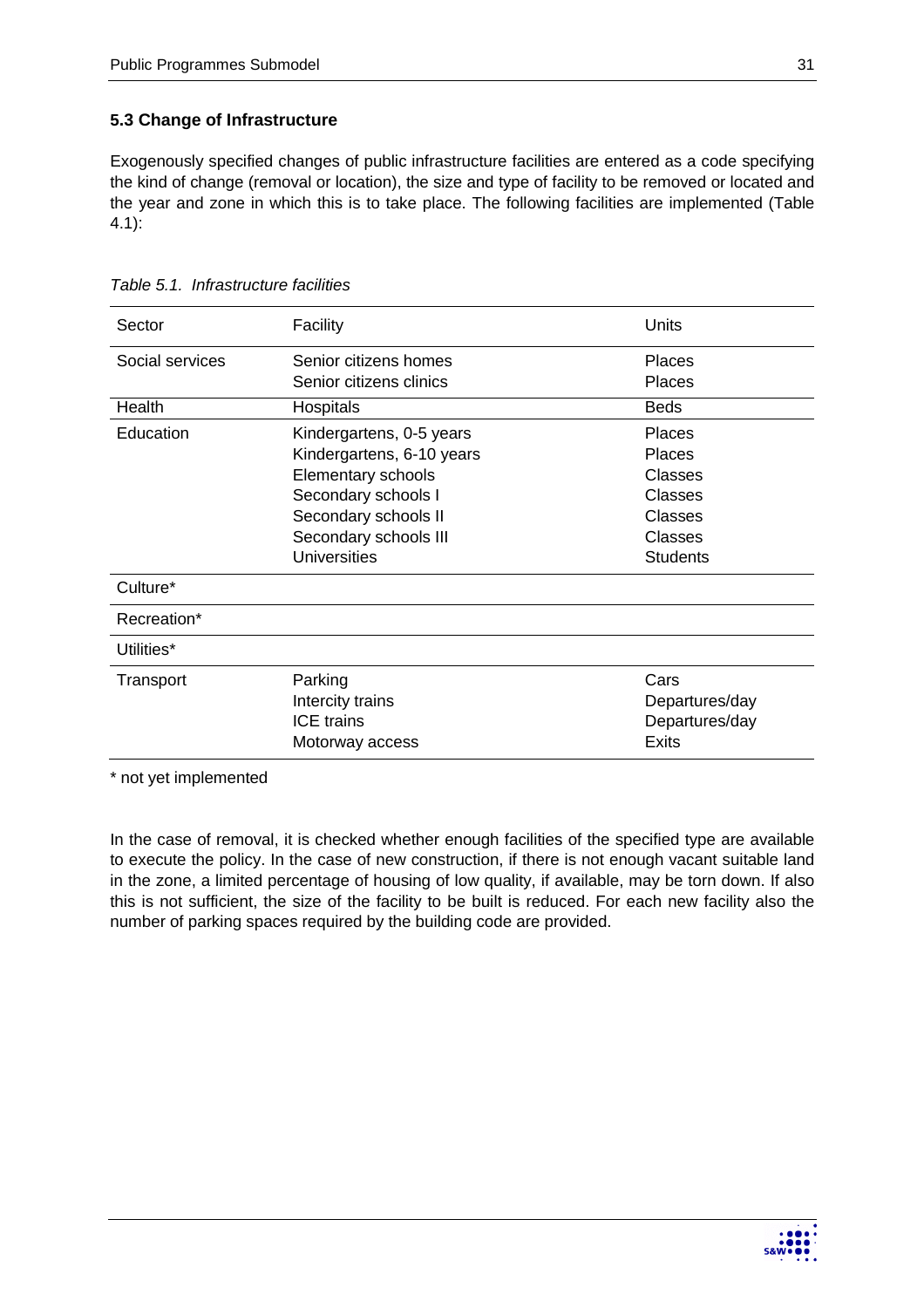# **5.3 Change of Infrastructure**

Exogenously specified changes of public infrastructure facilities are entered as a code specifying the kind of change (removal or location), the size and type of facility to be removed or located and the year and zone in which this is to take place. The following facilities are implemented (Table 4.1):

| Sector          | Facility                  | <b>Units</b>    |
|-----------------|---------------------------|-----------------|
| Social services | Senior citizens homes     | <b>Places</b>   |
|                 | Senior citizens clinics   | <b>Places</b>   |
| Health          | Hospitals                 | <b>Beds</b>     |
| Education       | Kindergartens, 0-5 years  | <b>Places</b>   |
|                 | Kindergartens, 6-10 years | <b>Places</b>   |
|                 | Elementary schools        | <b>Classes</b>  |
|                 | Secondary schools I       | <b>Classes</b>  |
|                 | Secondary schools II      | Classes         |
|                 | Secondary schools III     | <b>Classes</b>  |
|                 | <b>Universities</b>       | <b>Students</b> |
| Culture*        |                           |                 |
| Recreation*     |                           |                 |
| Utilities*      |                           |                 |
| Transport       | Parking                   | Cars            |
|                 | Intercity trains          | Departures/day  |
|                 | <b>ICE</b> trains         | Departures/day  |
|                 | Motorway access           | Exits           |

Table 5.1. Infrastructure facilities

\* not yet implemented

In the case of removal, it is checked whether enough facilities of the specified type are available to execute the policy. In the case of new construction, if there is not enough vacant suitable land in the zone, a limited percentage of housing of low quality, if available, may be torn down. If also this is not sufficient, the size of the facility to be built is reduced. For each new facility also the number of parking spaces required by the building code are provided.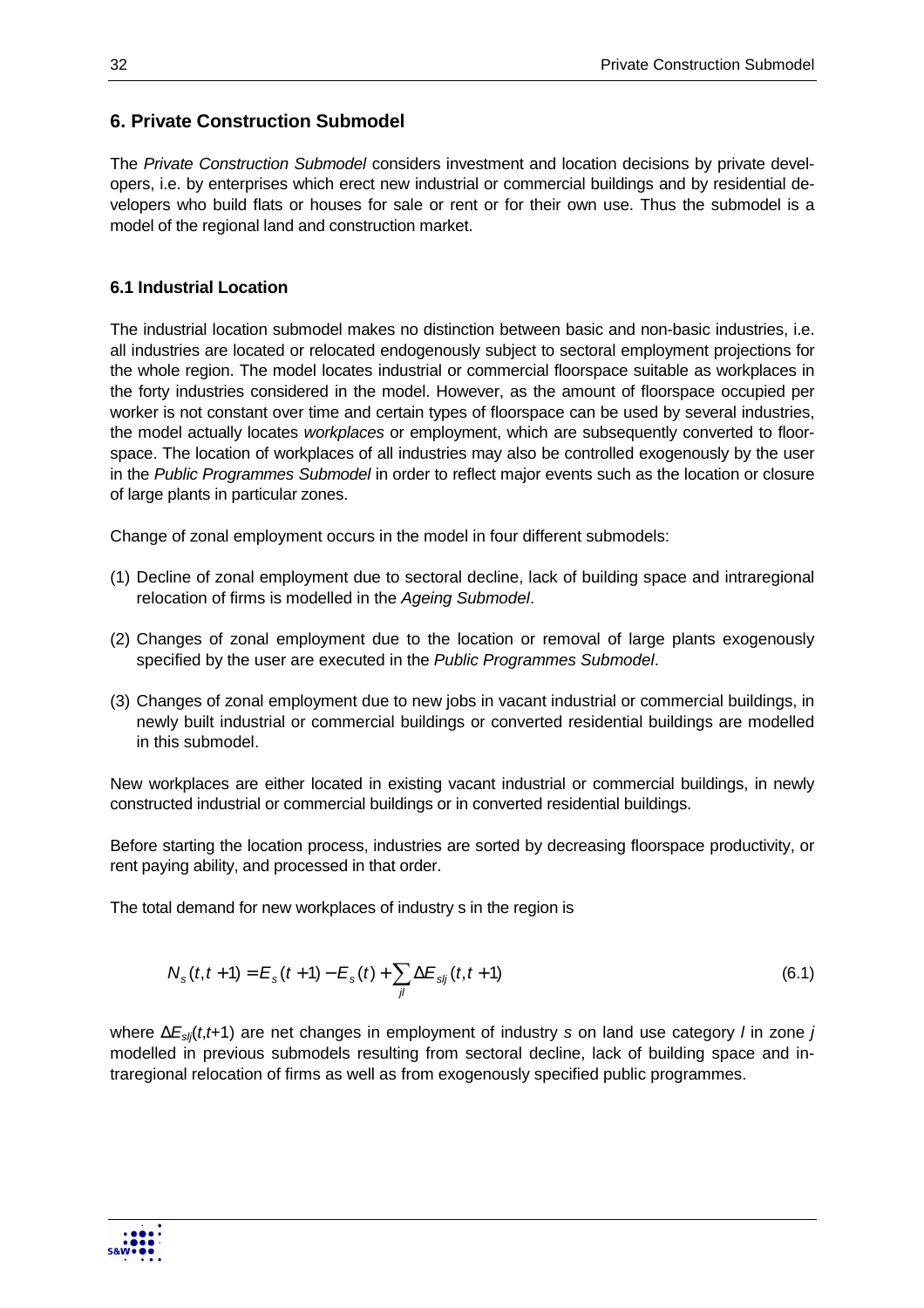# **6. Private Construction Submodel**

The Private Construction Submodel considers investment and location decisions by private developers, i.e. by enterprises which erect new industrial or commercial buildings and by residential developers who build flats or houses for sale or rent or for their own use. Thus the submodel is a model of the regional land and construction market.

# **6.1 Industrial Location**

The industrial location submodel makes no distinction between basic and non-basic industries, i.e. all industries are located or relocated endogenously subject to sectoral employment projections for the whole region. The model locates industrial or commercial floorspace suitable as workplaces in the forty industries considered in the model. However, as the amount of floorspace occupied per worker is not constant over time and certain types of floorspace can be used by several industries, the model actually locates workplaces or employment, which are subsequently converted to floorspace. The location of workplaces of all industries may also be controlled exogenously by the user in the Public Programmes Submodel in order to reflect major events such as the location or closure of large plants in particular zones.

Change of zonal employment occurs in the model in four different submodels:

- (1) Decline of zonal employment due to sectoral decline, lack of building space and intraregional relocation of firms is modelled in the Ageing Submodel.
- (2) Changes of zonal employment due to the location or removal of large plants exogenously specified by the user are executed in the Public Programmes Submodel.
- (3) Changes of zonal employment due to new jobs in vacant industrial or commercial buildings, in newly built industrial or commercial buildings or converted residential buildings are modelled in this submodel.

New workplaces are either located in existing vacant industrial or commercial buildings, in newly constructed industrial or commercial buildings or in converted residential buildings.

Before starting the location process, industries are sorted by decreasing floorspace productivity, or rent paying ability, and processed in that order.

The total demand for new workplaces of industry s in the region is

$$
N_{s}(t, t+1) = E_{s}(t+1) - E_{s}(t) + \sum_{j} \Delta E_{sij}(t, t+1)
$$
\n(6.1)

where  $\Delta E_{s/2}(t,t+1)$  are net changes in employment of industry s on land use category l in zone j modelled in previous submodels resulting from sectoral decline, lack of building space and intraregional relocation of firms as well as from exogenously specified public programmes.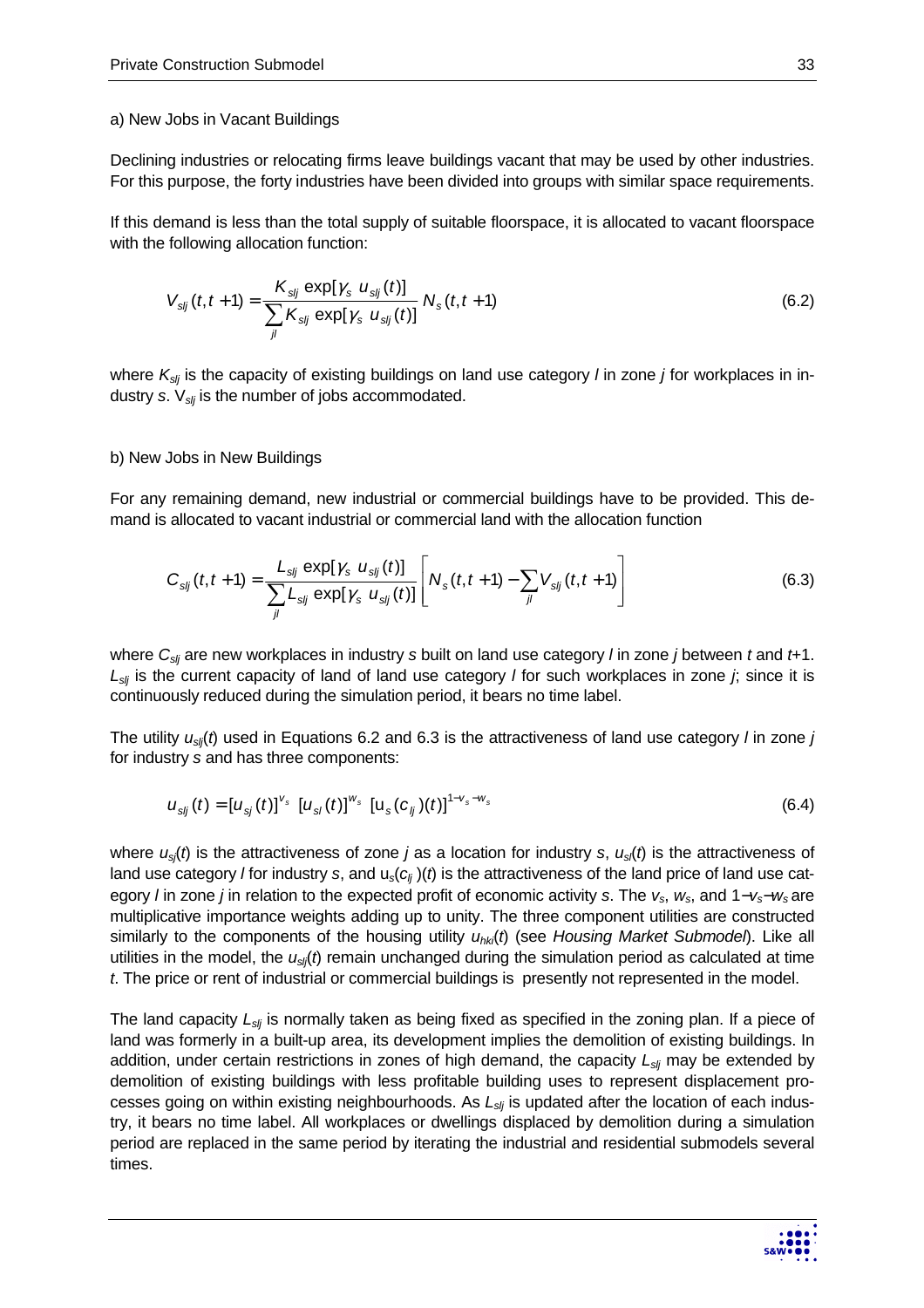#### a) New Jobs in Vacant Buildings

Declining industries or relocating firms leave buildings vacant that may be used by other industries. For this purpose, the forty industries have been divided into groups with similar space requirements.

If this demand is less than the total supply of suitable floorspace, it is allocated to vacant floorspace with the following allocation function:

$$
V_{sij}(t, t+1) = \frac{K_{sij} \exp[\gamma_s u_{sij}(t)]}{\sum_{j} K_{sij} \exp[\gamma_s u_{sij}(t)]} N_s(t, t+1)
$$
(6.2)

where  $K_{s}$  is the capacity of existing buildings on land use category *l* in zone *j* for workplaces in industry s.  $V_{sij}$  is the number of jobs accommodated.

#### b) New Jobs in New Buildings

For any remaining demand, new industrial or commercial buildings have to be provided. This demand is allocated to vacant industrial or commercial land with the allocation function

$$
C_{sij}(t, t+1) = \frac{L_{sij} \exp[\gamma_s u_{sij}(t)]}{\sum_{j} L_{sij} \exp[\gamma_s u_{sij}(t)]} \left[ N_s(t, t+1) - \sum_{j} V_{sij}(t, t+1) \right]
$$
(6.3)

where  $C_{s/j}$  are new workplaces in industry s built on land use category *l* in zone *j* between t and t+1.  $L_{\text{syl}}$  is the current capacity of land of land use category *l* for such workplaces in zone *i*; since it is continuously reduced during the simulation period, it bears no time label.

The utility  $u_{si}(t)$  used in Equations 6.2 and 6.3 is the attractiveness of land use category *l* in zone *j* for industry s and has three components:

$$
u_{sij}(t) = [u_{sj}(t)]^{v_s} [u_{sj}(t)]^{w_s} [u_s(c_{ij})(t)]^{1-v_s-w_s}
$$
\n(6.4)

where  $u_{s}(t)$  is the attractiveness of zone j as a location for industry s,  $u_{s}(t)$  is the attractiveness of land use category *l* for industry s, and  $u_s(c_{ij})$ (t) is the attractiveness of the land price of land use category l in zone j in relation to the expected profit of economic activity s. The  $v_s$ ,  $w_s$ , and 1− $v_s$ − $w_s$  are multiplicative importance weights adding up to unity. The three component utilities are constructed similarly to the components of the housing utility  $u_{hki}(t)$  (see Housing Market Submodel). Like all utilities in the model, the  $u_{sil}(t)$  remain unchanged during the simulation period as calculated at time t. The price or rent of industrial or commercial buildings is presently not represented in the model.

The land capacity  $L_{sij}$  is normally taken as being fixed as specified in the zoning plan. If a piece of land was formerly in a built-up area, its development implies the demolition of existing buildings. In addition, under certain restrictions in zones of high demand, the capacity  $L_{sli}$  may be extended by demolition of existing buildings with less profitable building uses to represent displacement processes going on within existing neighbourhoods. As  $L_{s}$  is updated after the location of each industry, it bears no time label. All workplaces or dwellings displaced by demolition during a simulation period are replaced in the same period by iterating the industrial and residential submodels several times.

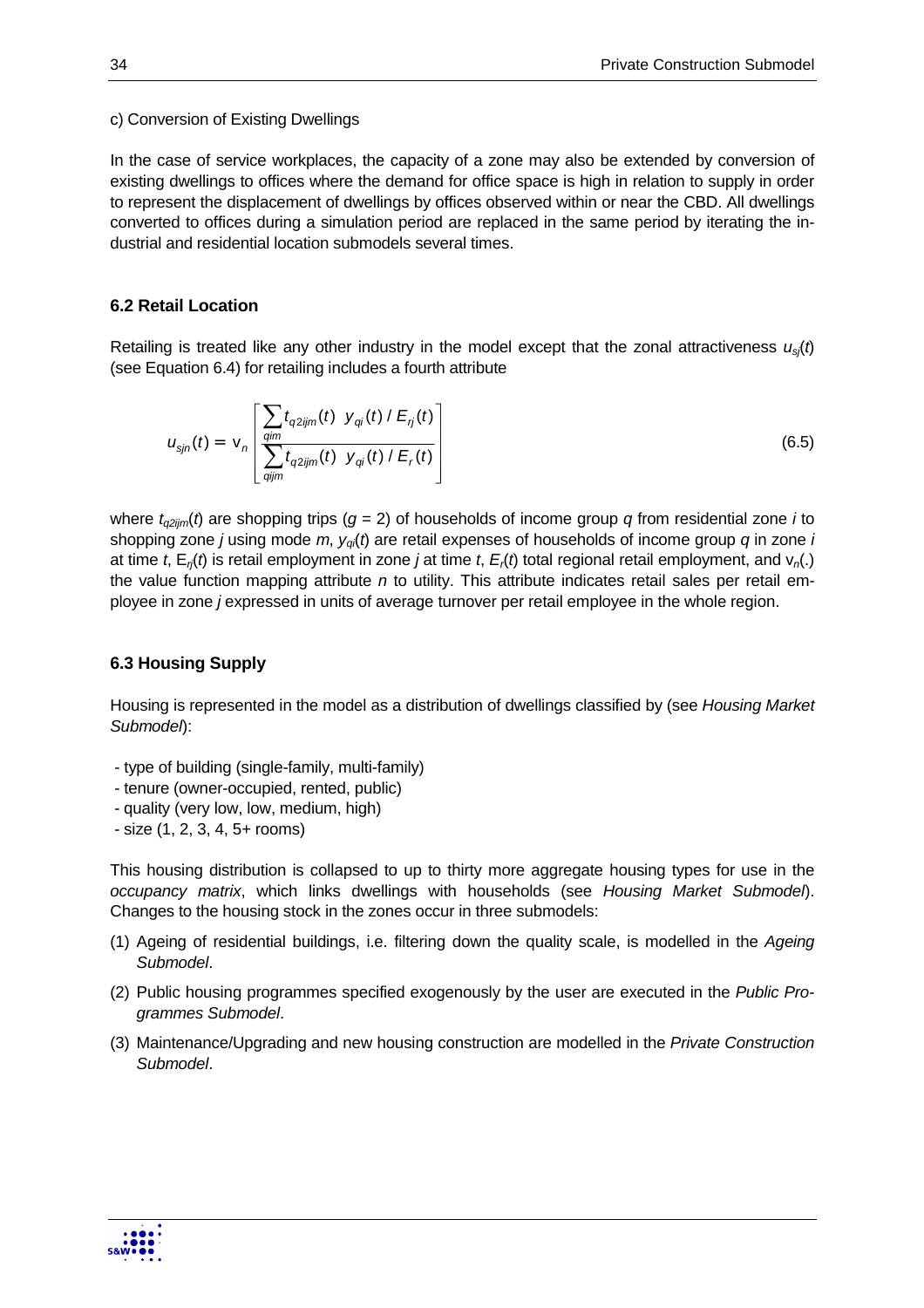#### c) Conversion of Existing Dwellings

In the case of service workplaces, the capacity of a zone may also be extended by conversion of existing dwellings to offices where the demand for office space is high in relation to supply in order to represent the displacement of dwellings by offices observed within or near the CBD. All dwellings converted to offices during a simulation period are replaced in the same period by iterating the industrial and residential location submodels several times.

# **6.2 Retail Location**

Retailing is treated like any other industry in the model except that the zonal attractiveness  $u_{s}(t)$ (see Equation 6.4) for retailing includes a fourth attribute

$$
u_{\rm {sjn}}(t) = \nu_n \left[ \frac{\sum_{q \text{im}} t_{q2 \text{ijm}}(t) \ y_{q}(t) / E_{rj}(t)}{\sum_{q \text{im}} t_{q2 \text{ijm}}(t) \ y_{q}(t) / E_{r}(t)} \right]
$$
(6.5)

where  $t_{q2ijm}(t)$  are shopping trips (g = 2) of households of income group q from residential zone *i* to shopping zone *j* using mode *m*,  $y_{gl}(t)$  are retail expenses of households of income group q in zone *i* at time t,  $E_n(t)$  is retail employment in zone j at time t,  $E_n(t)$  total regional retail employment, and  $v_n(.)$ the value function mapping attribute  $n$  to utility. This attribute indicates retail sales per retail employee in zone j expressed in units of average turnover per retail employee in the whole region.

# **6.3 Housing Supply**

Housing is represented in the model as a distribution of dwellings classified by (see Housing Market Submodel):

- type of building (single-family, multi-family)
- tenure (owner-occupied, rented, public)
- quality (very low, low, medium, high)
- size (1, 2, 3, 4, 5+ rooms)

This housing distribution is collapsed to up to thirty more aggregate housing types for use in the occupancy matrix, which links dwellings with households (see Housing Market Submodel). Changes to the housing stock in the zones occur in three submodels:

- (1) Ageing of residential buildings, i.e. filtering down the quality scale, is modelled in the Ageing Submodel.
- (2) Public housing programmes specified exogenously by the user are executed in the Public Programmes Submodel.
- (3) Maintenance/Upgrading and new housing construction are modelled in the Private Construction Submodel.

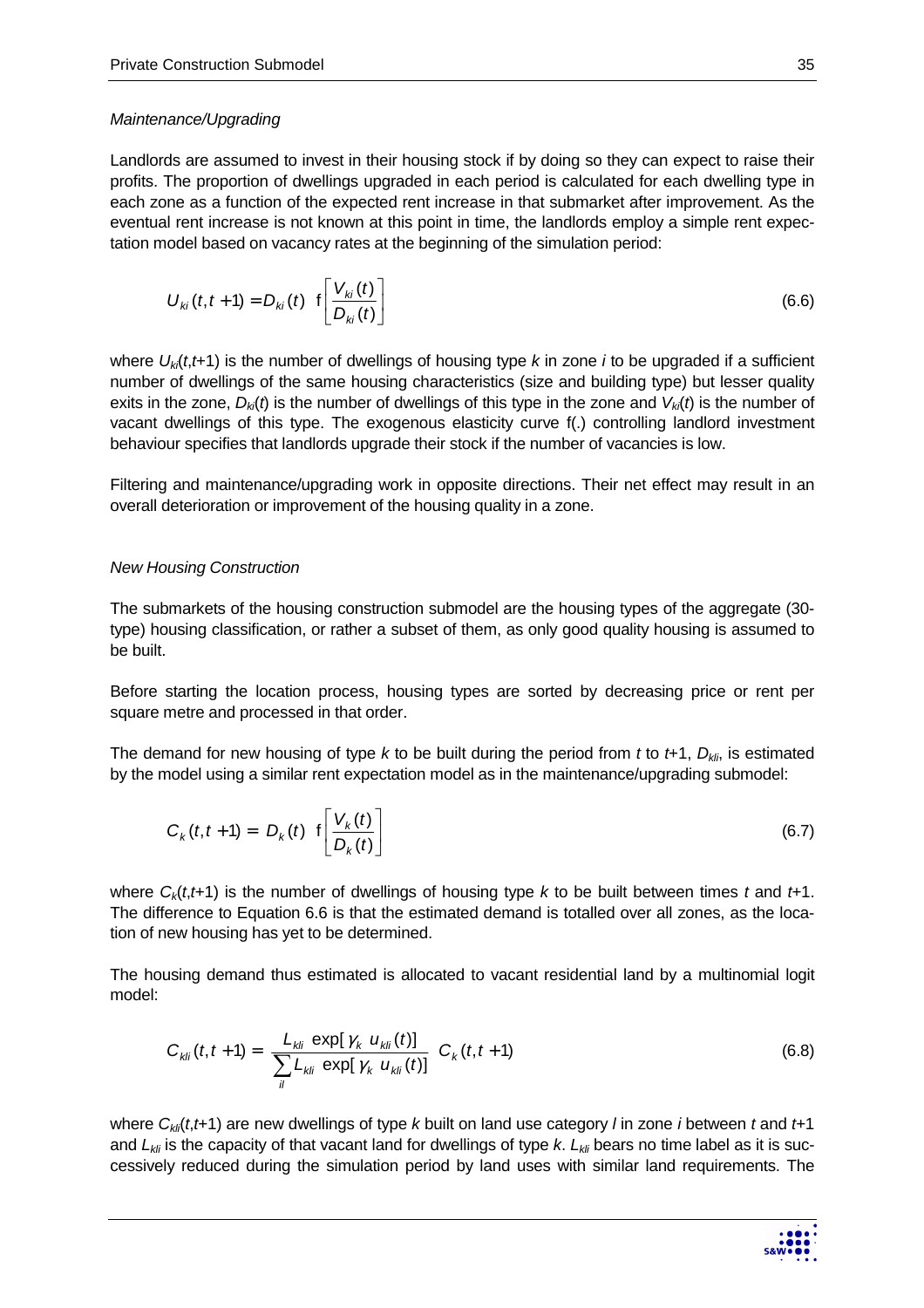### Maintenance/Upgrading

Landlords are assumed to invest in their housing stock if by doing so they can expect to raise their profits. The proportion of dwellings upgraded in each period is calculated for each dwelling type in each zone as a function of the expected rent increase in that submarket after improvement. As the eventual rent increase is not known at this point in time, the landlords employ a simple rent expectation model based on vacancy rates at the beginning of the simulation period:

$$
U_{ki}(t, t+1) = D_{ki}(t) \left[ \frac{V_{ki}(t)}{D_{ki}(t)} \right]
$$
 (6.6)

where  $U_k(t, t+1)$  is the number of dwellings of housing type k in zone i to be upgraded if a sufficient number of dwellings of the same housing characteristics (size and building type) but lesser quality exits in the zone,  $D_{k}(t)$  is the number of dwellings of this type in the zone and  $V_{k}(t)$  is the number of vacant dwellings of this type. The exogenous elasticity curve f(.) controlling landlord investment behaviour specifies that landlords upgrade their stock if the number of vacancies is low.

Filtering and maintenance/upgrading work in opposite directions. Their net effect may result in an overall deterioration or improvement of the housing quality in a zone.

### New Housing Construction

The submarkets of the housing construction submodel are the housing types of the aggregate (30 type) housing classification, or rather a subset of them, as only good quality housing is assumed to be built.

Before starting the location process, housing types are sorted by decreasing price or rent per square metre and processed in that order.

The demand for new housing of type k to be built during the period from t to t+1,  $D_{kli}$ , is estimated by the model using a similar rent expectation model as in the maintenance/upgrading submodel:

$$
C_k(t, t+1) = D_k(t) \left[ \frac{V_k(t)}{D_k(t)} \right] \tag{6.7}
$$

where  $C_k(t,t+1)$  is the number of dwellings of housing type k to be built between times t and  $t+1$ . The difference to Equation 6.6 is that the estimated demand is totalled over all zones, as the location of new housing has yet to be determined.

The housing demand thus estimated is allocated to vacant residential land by a multinomial logit model:

$$
C_{kli}(t, t+1) = \frac{L_{kli} \exp[\gamma_k u_{kli}(t)]}{\sum_{il} L_{kli} \exp[\gamma_k u_{kli}(t)]} C_k(t, t+1)
$$
(6.8)

where  $C_{kl}(t,t+1)$  are new dwellings of type k built on land use category l in zone i between t and  $t+1$ and  $L_{kli}$  is the capacity of that vacant land for dwellings of type k.  $L_{kli}$  bears no time label as it is successively reduced during the simulation period by land uses with similar land requirements. The

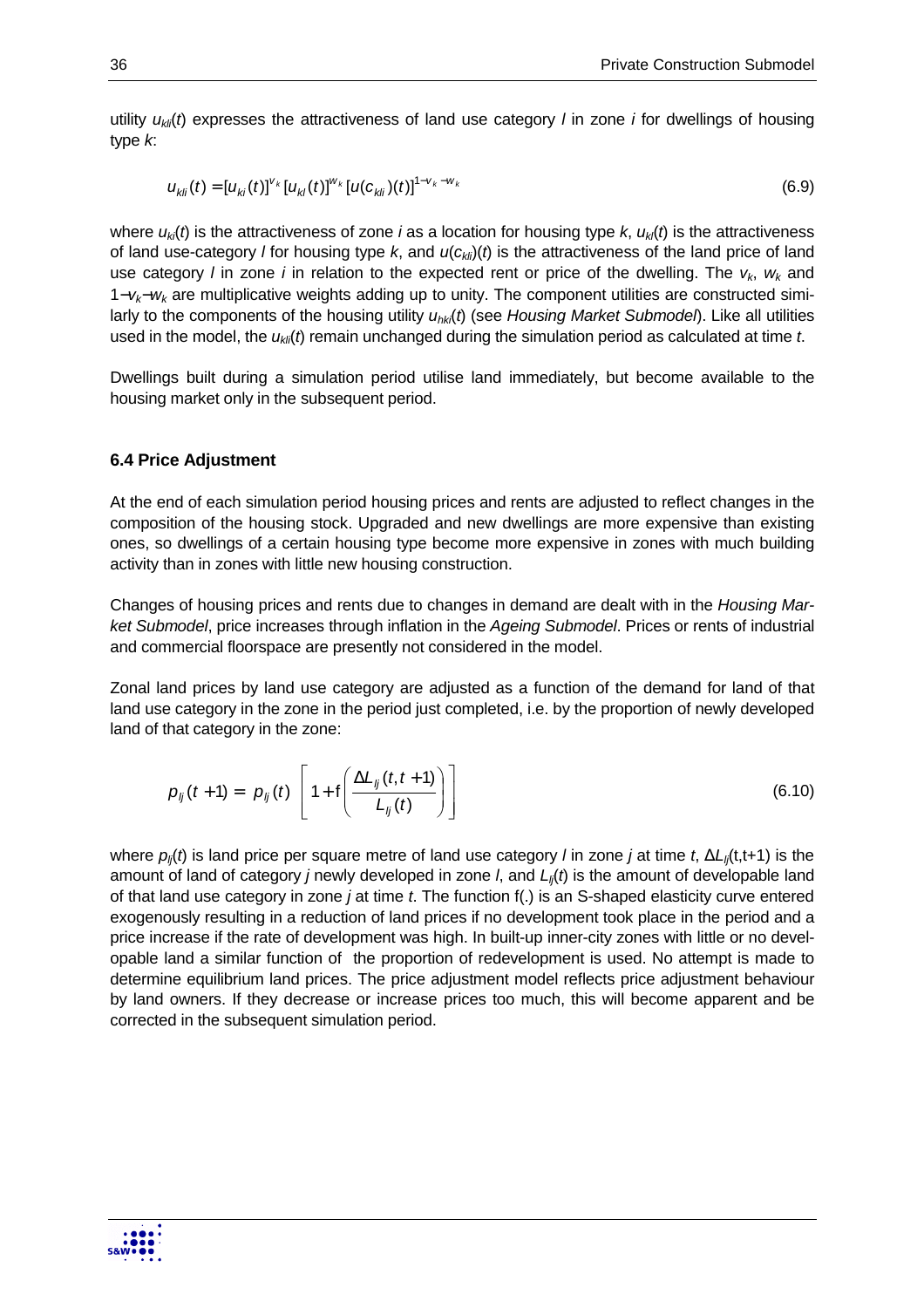utility  $u_{ki}(t)$  expresses the attractiveness of land use category *l* in zone *i* for dwellings of housing type k:

$$
u_{kii}(t) = [u_{ki}(t)]^{v_k} [u_{kl}(t)]^{w_k} [u(c_{kii})(t)]^{1-v_k-w_k}
$$
\n(6.9)

where  $u_{ki}(t)$  is the attractiveness of zone *i* as a location for housing type k,  $u_{ki}(t)$  is the attractiveness of land use-category *I* for housing type k, and  $u(c_{kil})(t)$  is the attractiveness of the land price of land use category *l* in zone *i* in relation to the expected rent or price of the dwelling. The  $v_k$ ,  $w_k$  and 1−v<sub>k</sub>−w<sub>k</sub> are multiplicative weights adding up to unity. The component utilities are constructed similarly to the components of the housing utility  $u_{hk}(t)$  (see Housing Market Submodel). Like all utilities used in the model, the  $u_{ki}(t)$  remain unchanged during the simulation period as calculated at time t.

Dwellings built during a simulation period utilise land immediately, but become available to the housing market only in the subsequent period.

#### **6.4 Price Adjustment**

At the end of each simulation period housing prices and rents are adjusted to reflect changes in the composition of the housing stock. Upgraded and new dwellings are more expensive than existing ones, so dwellings of a certain housing type become more expensive in zones with much building activity than in zones with little new housing construction.

Changes of housing prices and rents due to changes in demand are dealt with in the Housing Market Submodel, price increases through inflation in the Ageing Submodel. Prices or rents of industrial and commercial floorspace are presently not considered in the model.

Zonal land prices by land use category are adjusted as a function of the demand for land of that land use category in the zone in the period just completed, i.e. by the proportion of newly developed land of that category in the zone:

$$
p_{ij}(t+1) = p_{ij}(t) \left[ 1 + f\left(\frac{\Delta L_{ij}(t, t+1)}{L_{ij}(t)}\right) \right]
$$
 (6.10)

where  $p_{ij}(t)$  is land price per square metre of land use category l in zone j at time t,  $\Delta L_{ij}(t,t+1)$  is the amount of land of category *j* newly developed in zone *l*, and  $L_i(t)$  is the amount of developable land of that land use category in zone  $j$  at time  $t$ . The function  $f(.)$  is an S-shaped elasticity curve entered exogenously resulting in a reduction of land prices if no development took place in the period and a price increase if the rate of development was high. In built-up inner-city zones with little or no developable land a similar function of the proportion of redevelopment is used. No attempt is made to determine equilibrium land prices. The price adjustment model reflects price adjustment behaviour by land owners. If they decrease or increase prices too much, this will become apparent and be corrected in the subsequent simulation period.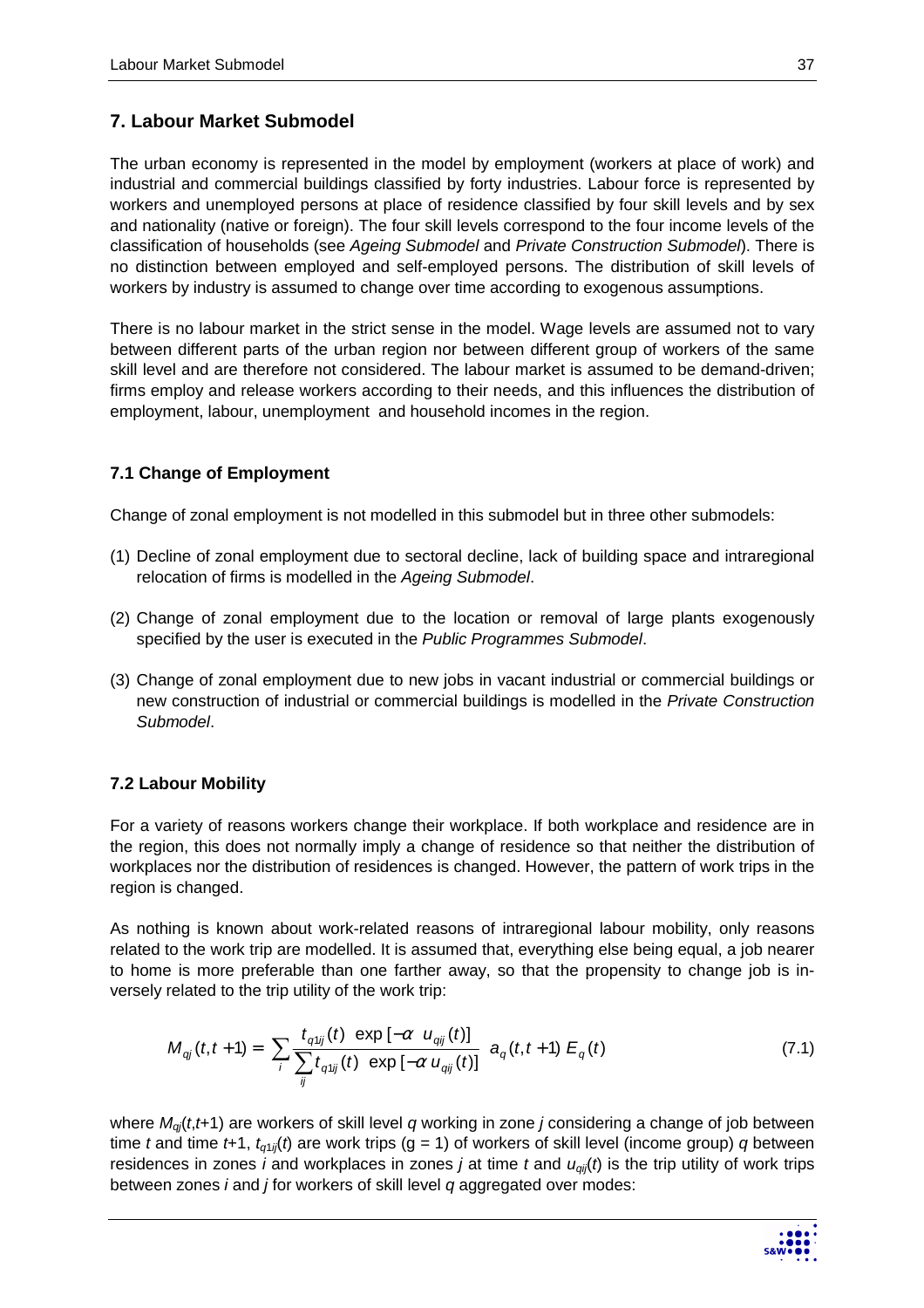# **7. Labour Market Submodel**

The urban economy is represented in the model by employment (workers at place of work) and industrial and commercial buildings classified by forty industries. Labour force is represented by workers and unemployed persons at place of residence classified by four skill levels and by sex and nationality (native or foreign). The four skill levels correspond to the four income levels of the classification of households (see Ageing Submodel and Private Construction Submodel). There is no distinction between employed and self-employed persons. The distribution of skill levels of workers by industry is assumed to change over time according to exogenous assumptions.

There is no labour market in the strict sense in the model. Wage levels are assumed not to vary between different parts of the urban region nor between different group of workers of the same skill level and are therefore not considered. The labour market is assumed to be demand-driven; firms employ and release workers according to their needs, and this influences the distribution of employment, labour, unemployment and household incomes in the region.

# **7.1 Change of Employment**

Change of zonal employment is not modelled in this submodel but in three other submodels:

- (1) Decline of zonal employment due to sectoral decline, lack of building space and intraregional relocation of firms is modelled in the Ageing Submodel.
- (2) Change of zonal employment due to the location or removal of large plants exogenously specified by the user is executed in the Public Programmes Submodel.
- (3) Change of zonal employment due to new jobs in vacant industrial or commercial buildings or new construction of industrial or commercial buildings is modelled in the Private Construction Submodel.

# **7.2 Labour Mobility**

For a variety of reasons workers change their workplace. If both workplace and residence are in the region, this does not normally imply a change of residence so that neither the distribution of workplaces nor the distribution of residences is changed. However, the pattern of work trips in the region is changed.

As nothing is known about work-related reasons of intraregional labour mobility, only reasons related to the work trip are modelled. It is assumed that, everything else being equal, a job nearer to home is more preferable than one farther away, so that the propensity to change job is inversely related to the trip utility of the work trip:

$$
M_{qj}(t, t+1) = \sum_{i} \frac{t_{q1ij}(t) \exp[-\alpha \ u_{qij}(t)]}{\sum_{ij} t_{q1ij}(t) \exp[-\alpha \ u_{qij}(t)]} \ a_q(t, t+1) \ E_q(t) \tag{7.1}
$$

where  $M_{q}(t,t+1)$  are workers of skill level q working in zone *j* considering a change of job between time t and time t+1,  $t_{q1ij}(t)$  are work trips (g = 1) of workers of skill level (income group) q between residences in zones *i* and workplaces in zones *j* at time *t* and  $u_{qil}(t)$  is the trip utility of work trips between zones *i* and *j* for workers of skill level q aggregated over modes:

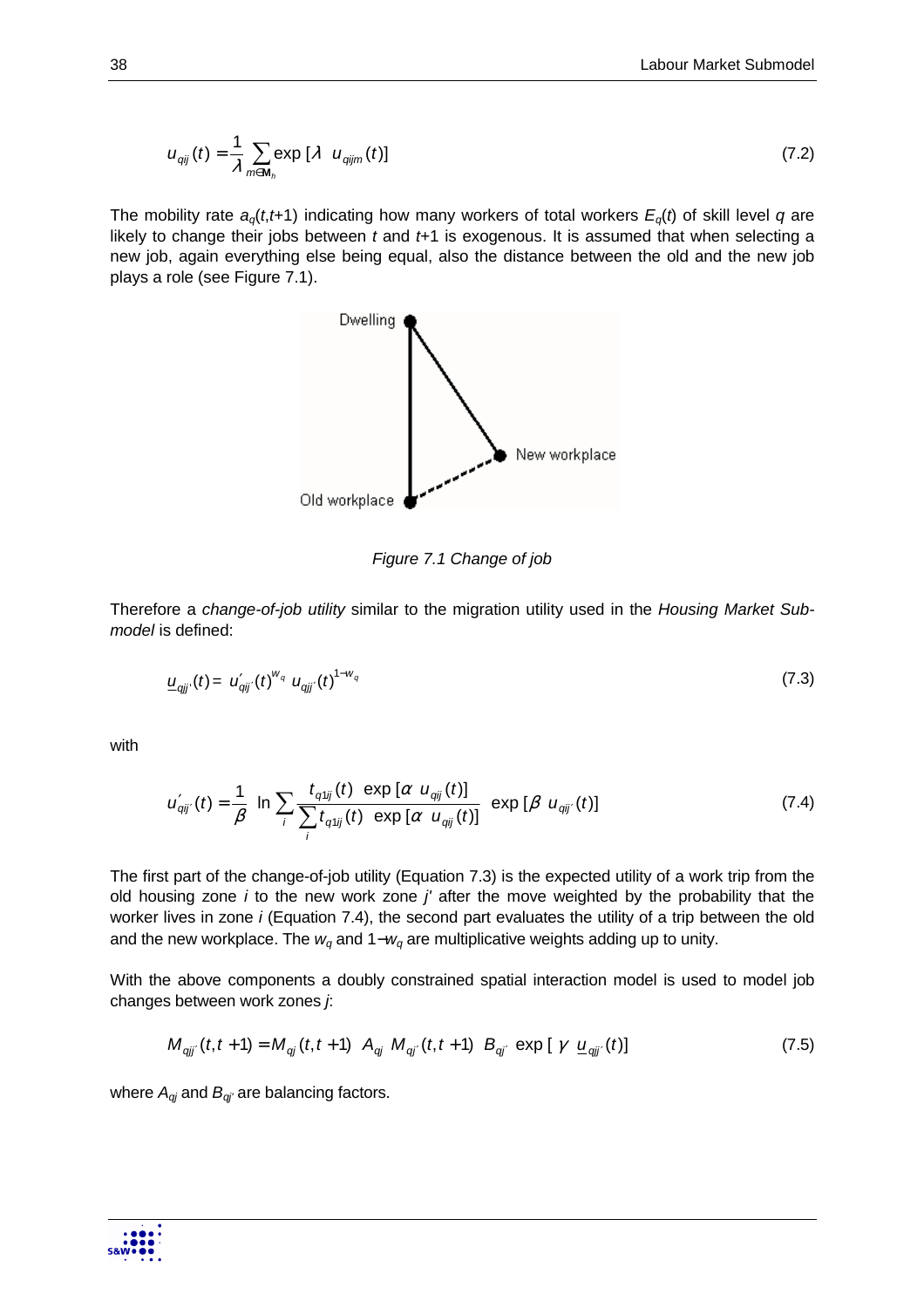$$
u_{qij}(t) = \frac{1}{\lambda} \sum_{m \in \mathbf{M}_h} \exp\left[\lambda \quad u_{qijm}(t)\right] \tag{7.2}
$$

The mobility rate  $a_0(t,t+1)$  indicating how many workers of total workers  $E_0(t)$  of skill level q are likely to change their jobs between  $t$  and  $t+1$  is exogenous. It is assumed that when selecting a new job, again everything else being equal, also the distance between the old and the new job plays a role (see Figure 7.1).



Figure 7.1 Change of job

Therefore a change-of-job utility similar to the migration utility used in the Housing Market Submodel is defined:

$$
\underline{u}_{qj'}(t) = u'_{qj'}(t)^{w_q} u_{qj'}(t)^{1-w_q}
$$
\n(7.3)

with

$$
u'_{qij'}(t) = \frac{1}{\beta} \ln \sum_{i} \frac{t_{q1ij}(t) \exp[\alpha u_{qij}(t)]}{\sum_{i} t_{q1ij}(t) \exp[\alpha u_{qij}(t)]} \exp[\beta u_{qij'}(t)] \tag{7.4}
$$

The first part of the change-of-job utility (Equation 7.3) is the expected utility of a work trip from the old housing zone  $i$  to the new work zone  $j'$  after the move weighted by the probability that the worker lives in zone *i* (Equation 7.4), the second part evaluates the utility of a trip between the old and the new workplace. The  $w_q$  and 1− $w_q$  are multiplicative weights adding up to unity.

With the above components a doubly constrained spatial interaction model is used to model job changes between work zones j:

$$
M_{qjj'}(t, t+1) = M_{qj}(t, t+1) A_{qj} M_{qj'}(t, t+1) B_{qj'} \exp [\gamma \underline{u}_{qjj'}(t)]
$$
\n(7.5)

where  $A_{qj}$  and  $B_{qj'}$  are balancing factors.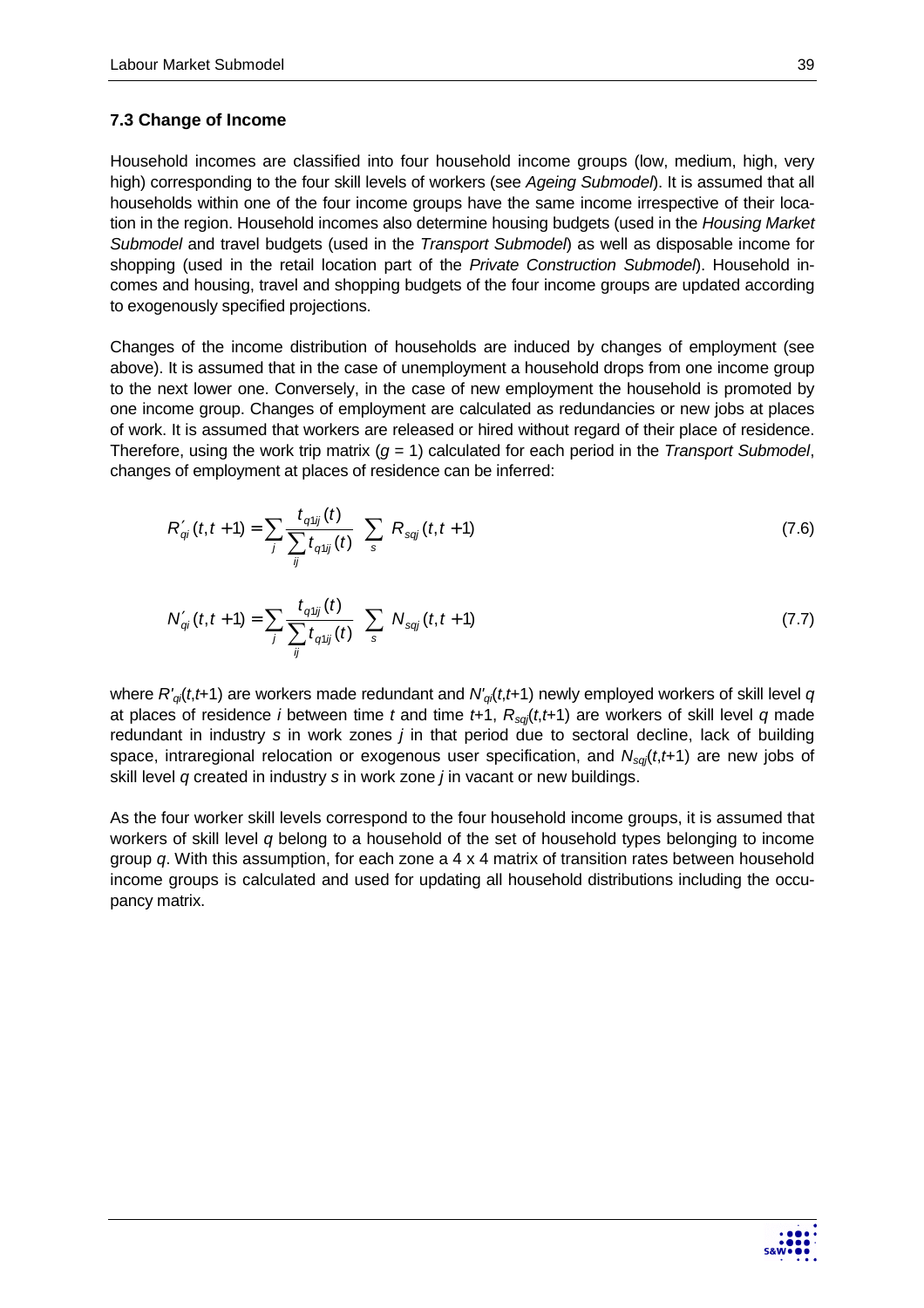### **7.3 Change of Income**

Household incomes are classified into four household income groups (low, medium, high, very high) corresponding to the four skill levels of workers (see Ageing Submodel). It is assumed that all households within one of the four income groups have the same income irrespective of their location in the region. Household incomes also determine housing budgets (used in the Housing Market Submodel and travel budgets (used in the Transport Submodel) as well as disposable income for shopping (used in the retail location part of the *Private Construction Submodel*). Household incomes and housing, travel and shopping budgets of the four income groups are updated according to exogenously specified projections.

Changes of the income distribution of households are induced by changes of employment (see above). It is assumed that in the case of unemployment a household drops from one income group to the next lower one. Conversely, in the case of new employment the household is promoted by one income group. Changes of employment are calculated as redundancies or new jobs at places of work. It is assumed that workers are released or hired without regard of their place of residence. Therefore, using the work trip matrix  $(q = 1)$  calculated for each period in the Transport Submodel, changes of employment at places of residence can be inferred:

$$
R'_{qi}(t, t+1) = \sum_{j} \frac{t_{q1ij}(t)}{\sum_{ij} t_{q1ij}(t)} \sum_{s} R_{sqj}(t, t+1)
$$
\n(7.6)

$$
N'_{qi}(t, t+1) = \sum_{j} \frac{t_{q1ij}(t)}{\sum_{ij} t_{q1ij}(t)} \sum_{s} N_{sqj}(t, t+1)
$$
\n(7.7)

where  $R'_{q}(t,t+1)$  are workers made redundant and  $N'_{q}(t,t+1)$  newly employed workers of skill level q at places of residence *i* between time t and time t+1,  $R_{sq}(t,t+1)$  are workers of skill level q made redundant in industry s in work zones  $j$  in that period due to sectoral decline, lack of building space, intraregional relocation or exogenous user specification, and  $N_{\text{sol}}(t,t+1)$  are new jobs of skill level  $q$  created in industry  $s$  in work zone  $j$  in vacant or new buildings.

As the four worker skill levels correspond to the four household income groups, it is assumed that workers of skill level q belong to a household of the set of household types belonging to income group  $\alpha$ . With this assumption, for each zone a 4 x 4 matrix of transition rates between household income groups is calculated and used for updating all household distributions including the occupancy matrix.

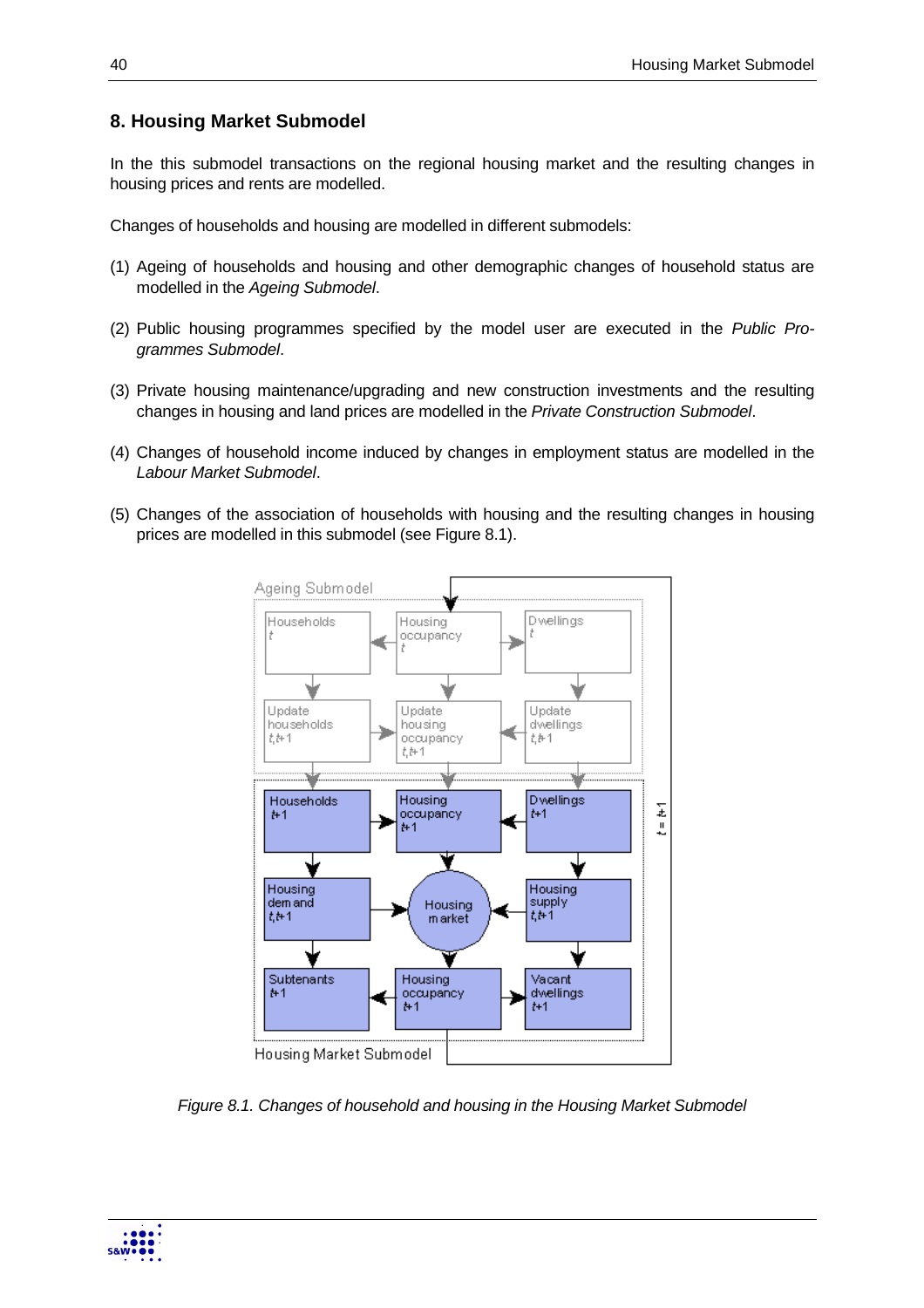# **8. Housing Market Submodel**

In the this submodel transactions on the regional housing market and the resulting changes in housing prices and rents are modelled.

Changes of households and housing are modelled in different submodels:

- (1) Ageing of households and housing and other demographic changes of household status are modelled in the Ageing Submodel.
- (2) Public housing programmes specified by the model user are executed in the Public Programmes Submodel.
- (3) Private housing maintenance/upgrading and new construction investments and the resulting changes in housing and land prices are modelled in the Private Construction Submodel.
- (4) Changes of household income induced by changes in employment status are modelled in the Labour Market Submodel.
- (5) Changes of the association of households with housing and the resulting changes in housing prices are modelled in this submodel (see Figure 8.1).



Figure 8.1. Changes of household and housing in the Housing Market Submodel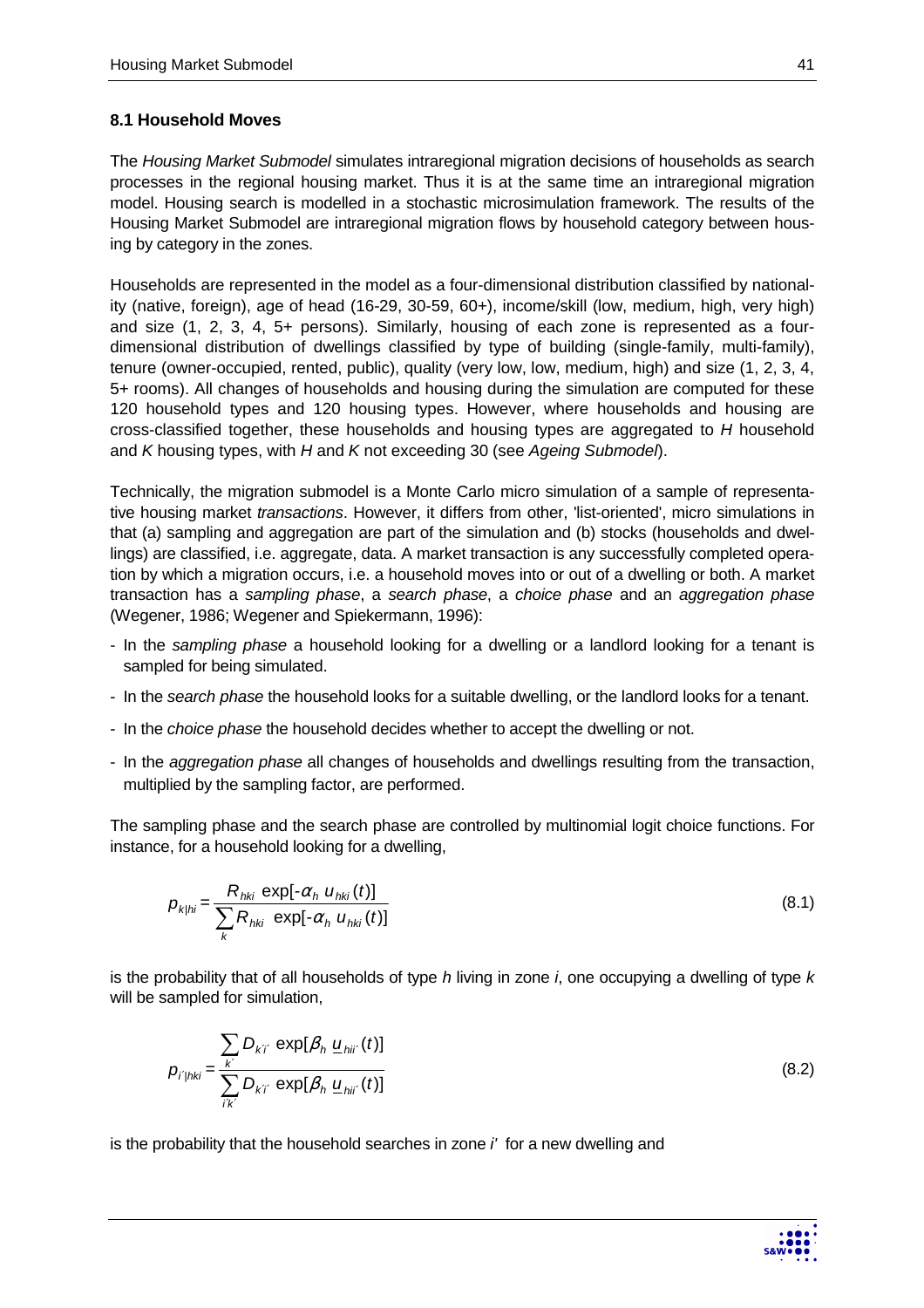### **8.1 Household Moves**

The Housing Market Submodel simulates intraregional migration decisions of households as search processes in the regional housing market. Thus it is at the same time an intraregional migration model. Housing search is modelled in a stochastic microsimulation framework. The results of the Housing Market Submodel are intraregional migration flows by household category between housing by category in the zones.

Households are represented in the model as a four-dimensional distribution classified by nationality (native, foreign), age of head (16-29, 30-59, 60+), income/skill (low, medium, high, very high) and size (1, 2, 3, 4, 5+ persons). Similarly, housing of each zone is represented as a fourdimensional distribution of dwellings classified by type of building (single-family, multi-family), tenure (owner-occupied, rented, public), quality (very low, low, medium, high) and size (1, 2, 3, 4, 5+ rooms). All changes of households and housing during the simulation are computed for these 120 household types and 120 housing types. However, where households and housing are cross-classified together, these households and housing types are aggregated to  $H$  household and K housing types, with H and K not exceeding 30 (see Ageing Submodel).

Technically, the migration submodel is a Monte Carlo micro simulation of a sample of representative housing market *transactions*. However, it differs from other, 'list-oriented', micro simulations in that (a) sampling and aggregation are part of the simulation and (b) stocks (households and dwellings) are classified, i.e. aggregate, data. A market transaction is any successfully completed operation by which a migration occurs, i.e. a household moves into or out of a dwelling or both. A market transaction has a sampling phase, a search phase, a choice phase and an aggregation phase (Wegener, 1986; Wegener and Spiekermann, 1996):

- In the sampling phase a household looking for a dwelling or a landlord looking for a tenant is sampled for being simulated.
- In the search phase the household looks for a suitable dwelling, or the landlord looks for a tenant.
- In the choice phase the household decides whether to accept the dwelling or not.
- In the aggregation phase all changes of households and dwellings resulting from the transaction, multiplied by the sampling factor, are performed.

The sampling phase and the search phase are controlled by multinomial logit choice functions. For instance, for a household looking for a dwelling,

$$
p_{k|hi} = \frac{R_{hki} \exp[-\alpha_h u_{hki}(t)]}{\sum_{k} R_{hki} \exp[-\alpha_h u_{hki}(t)]}
$$
(8.1)

is the probability that of all households of type h living in zone i, one occupying a dwelling of type  $k$ will be sampled for simulation,

$$
p_{i'|hki} = \frac{\sum_{k'} D_{k'i'} \exp[\beta_h \underline{u}_{hii'}(t)]}{\sum_{i'k'} D_{k'i'} \exp[\beta_h \underline{u}_{hii'}(t)]}
$$
(8.2)

is the probability that the household searches in zone i' for a new dwelling and

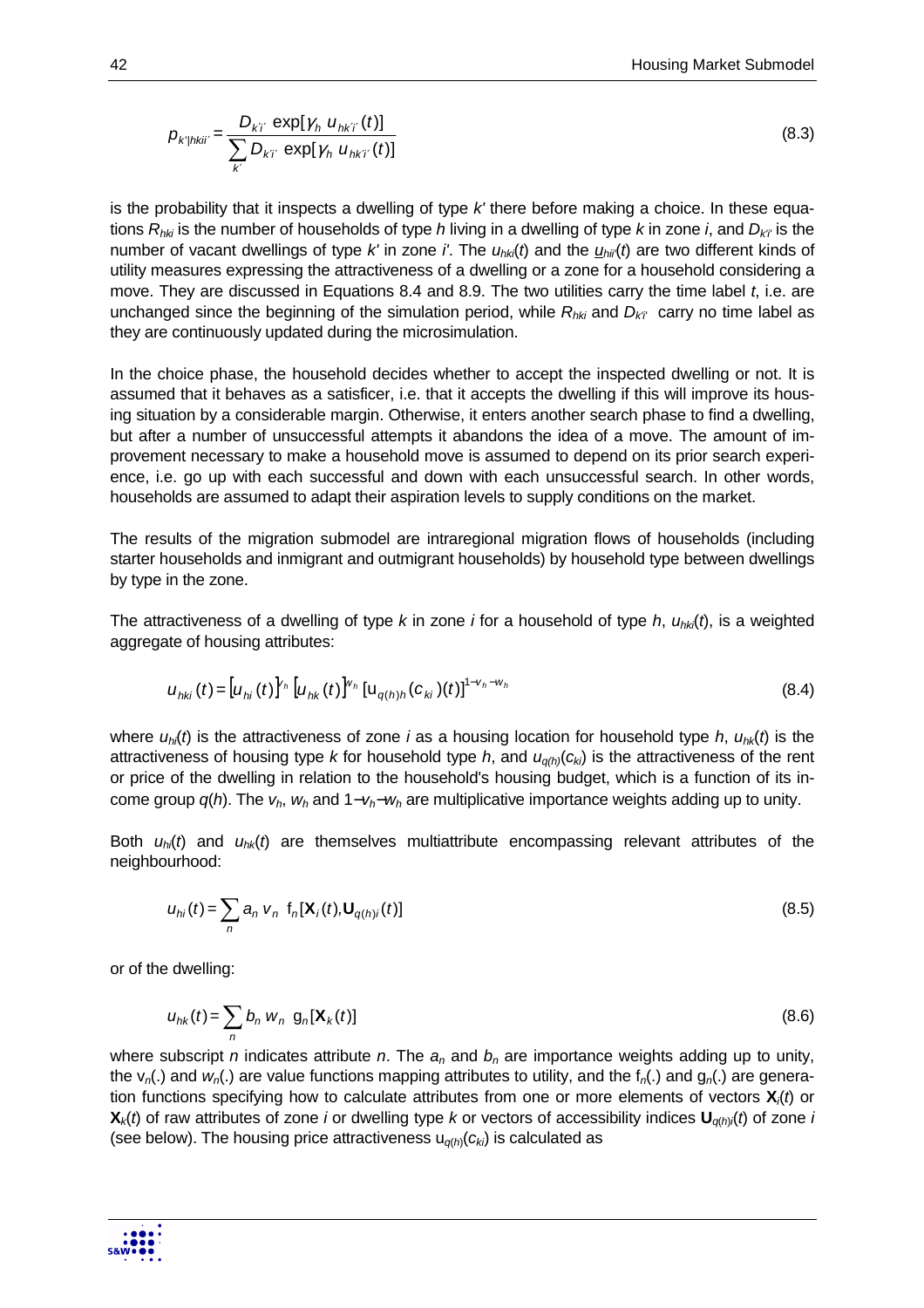$$
p_{k'|hki'} = \frac{D_{k'i'} \exp[\gamma_h u_{hk'i'}(t)]}{\sum_{k'} D_{k'i'} \exp[\gamma_h u_{hk'i'}(t)]}
$$
(8.3)

is the probability that it inspects a dwelling of type k' there before making a choice. In these equations  $R_{hki}$  is the number of households of type h living in a dwelling of type k in zone i, and  $D_{ki'}$  is the number of vacant dwellings of type k' in zone i'. The  $u_{hki}(t)$  and the  $u_{hi}(t)$  are two different kinds of utility measures expressing the attractiveness of a dwelling or a zone for a household considering a move. They are discussed in Equations 8.4 and 8.9. The two utilities carry the time label  $t$ , i.e. are unchanged since the beginning of the simulation period, while  $R_{hki}$  and  $D_{ki'}$  carry no time label as they are continuously updated during the microsimulation.

In the choice phase, the household decides whether to accept the inspected dwelling or not. It is assumed that it behaves as a satisficer, i.e. that it accepts the dwelling if this will improve its housing situation by a considerable margin. Otherwise, it enters another search phase to find a dwelling, but after a number of unsuccessful attempts it abandons the idea of a move. The amount of improvement necessary to make a household move is assumed to depend on its prior search experience, i.e. go up with each successful and down with each unsuccessful search. In other words, households are assumed to adapt their aspiration levels to supply conditions on the market.

The results of the migration submodel are intraregional migration flows of households (including starter households and inmigrant and outmigrant households) by household type between dwellings by type in the zone.

The attractiveness of a dwelling of type k in zone i for a household of type h,  $u_{hk}(t)$ , is a weighted aggregate of housing attributes:

$$
u_{hki}(t) = [u_{hi}(t)]^{\nu_h} [u_{hk}(t)]^{\nu_h} [u_{q(h)h}(c_{ki})(t)]^{1-\nu_h-\nu_h}
$$
\n(8.4)

where  $u_{h}(t)$  is the attractiveness of zone i as a housing location for household type h,  $u_{h}(t)$  is the attractiveness of housing type k for household type h, and  $u_{\alpha(h)}(c_{ki})$  is the attractiveness of the rent or price of the dwelling in relation to the household's housing budget, which is a function of its income group  $q(h)$ . The  $v_h$ ,  $w_h$  and  $1-v_h-w_h$  are multiplicative importance weights adding up to unity.

Both  $u_{h}(t)$  and  $u_{h}(t)$  are themselves multiattribute encompassing relevant attributes of the neighbourhood:

$$
u_{ni}(t) = \sum_{n} a_n v_n f_n[\mathbf{X}_i(t), \mathbf{U}_{q(h)i}(t)]
$$
\n(8.5)

or of the dwelling:

$$
u_{hk}(t) = \sum_n b_n w_n g_n[\mathbf{X}_k(t)]
$$
\n(8.6)

where subscript n indicates attribute n. The  $a_n$  and  $b_n$  are importance weights adding up to unity, the v<sub>n</sub>(.) and w<sub>n</sub>(.) are value functions mapping attributes to utility, and the f<sub>n</sub>(.) and g<sub>n</sub>(.) are generation functions specifying how to calculate attributes from one or more elements of vectors  $\mathbf{X}_i(t)$  or  $\mathbf{X}_k(t)$  of raw attributes of zone *i* or dwelling type *k* or vectors of accessibility indices  $\mathbf{U}_{\alpha(h)}(t)$  of zone *i* (see below). The housing price attractiveness  $u_{\sigma(h)}(c_{ki})$  is calculated as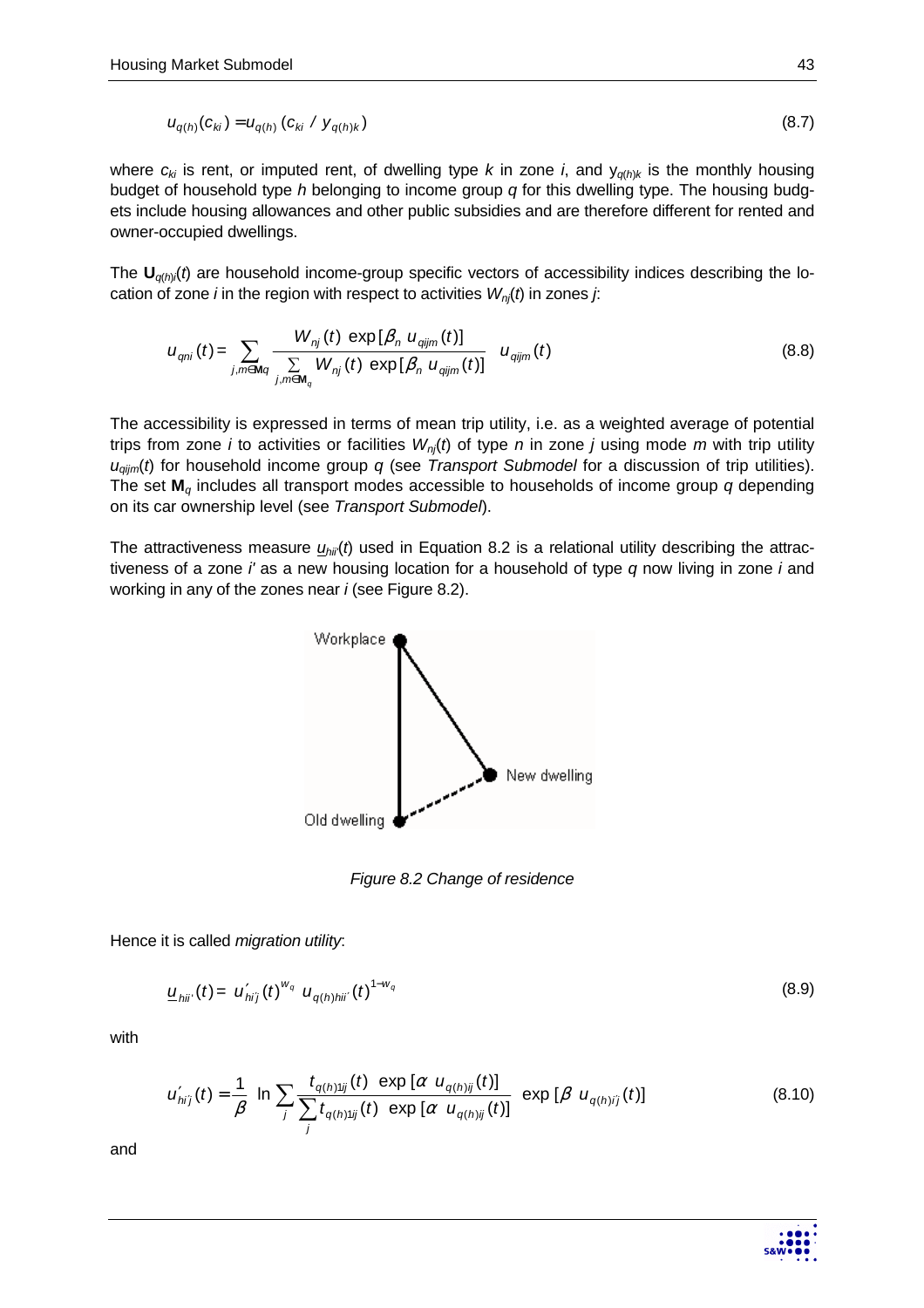$$
u_{q(h)}(c_{ki}) = u_{q(h)}(c_{ki} / y_{q(h)k})
$$
\n(8.7)

where  $c_{ki}$  is rent, or imputed rent, of dwelling type k in zone i, and  $y_{q(h)k}$  is the monthly housing budget of household type h belonging to income group  $q$  for this dwelling type. The housing budgets include housing allowances and other public subsidies and are therefore different for rented and owner-occupied dwellings.

The  $U_{\alpha(h)}(t)$  are household income-group specific vectors of accessibility indices describing the location of zone *i* in the region with respect to activities  $W_{n}(t)$  in zones *j*:

$$
u_{qni}(t) = \sum_{j,m \in \mathbf{M}q} \frac{W_{nj}(t) \exp[\beta_n u_{qijm}(t)]}{\sum_{j,m \in \mathbf{M}_q} W_{nj}(t) \exp[\beta_n u_{qijm}(t)]} u_{qijm}(t)
$$
(8.8)

The accessibility is expressed in terms of mean trip utility, i.e. as a weighted average of potential trips from zone *i* to activities or facilities  $W_{n}(t)$  of type *n* in zone *j* using mode *m* with trip utility  $u_{q\text{sim}}(t)$  for household income group q (see Transport Submodel for a discussion of trip utilities). The set  $M_q$  includes all transport modes accessible to households of income group  $q$  depending on its car ownership level (see Transport Submodel).

The attractiveness measure  $u_{hi}(t)$  used in Equation 8.2 is a relational utility describing the attractiveness of a zone  $i'$  as a new housing location for a household of type  $q$  now living in zone  $i$  and working in any of the zones near *i* (see Figure 8.2).



Figure 8.2 Change of residence

Hence it is called migration utility:

$$
\underline{u}_{hii'}(t) = u'_{hij}(t)^{w_q} u_{q(h)hii'}(t)^{1-w_q}
$$
\n(8.9)

with

$$
u'_{hij}(t) = \frac{1}{\beta} \ln \sum_{j} \frac{t_{q(h)1ij}(t) \exp [\alpha u_{q(h)ij}(t)]}{\sum_{j} t_{q(h)1ij}(t) \exp [\alpha u_{q(h)ij}(t)]} \exp [\beta u_{q(h)ij}(t)] \tag{8.10}
$$

and

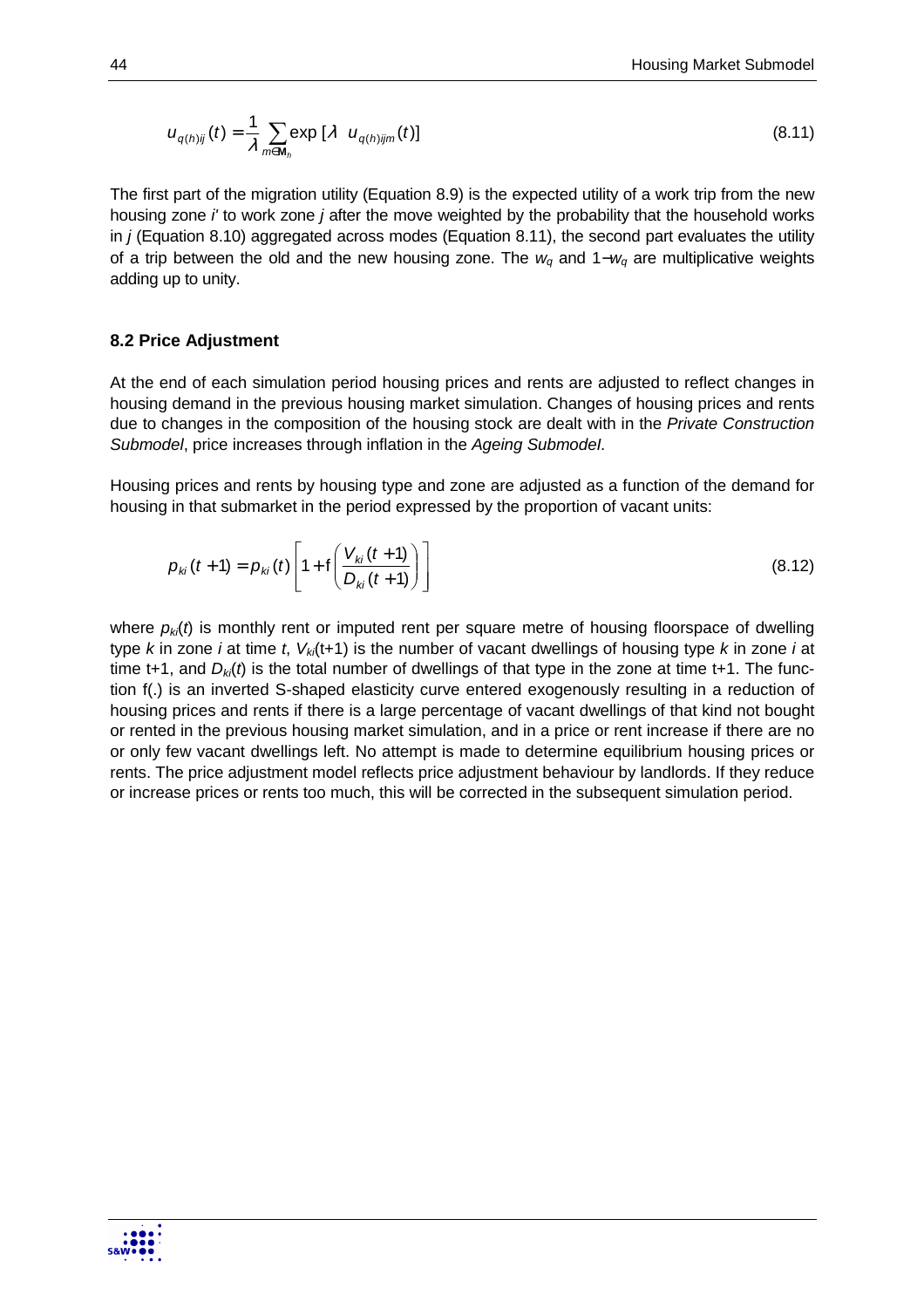$$
u_{q(h)ij}(t) = \frac{1}{\lambda} \sum_{m \in \mathbf{M}_h} \exp\left[\lambda \quad u_{q(h)ijm}(t)\right]
$$
 (8.11)

The first part of the migration utility (Equation 8.9) is the expected utility of a work trip from the new housing zone i' to work zone *i* after the move weighted by the probability that the household works in  $j$  (Equation 8.10) aggregated across modes (Equation 8.11), the second part evaluates the utility of a trip between the old and the new housing zone. The  $w_q$  and 1− $w_q$  are multiplicative weights adding up to unity.

#### **8.2 Price Adjustment**

At the end of each simulation period housing prices and rents are adjusted to reflect changes in housing demand in the previous housing market simulation. Changes of housing prices and rents due to changes in the composition of the housing stock are dealt with in the Private Construction Submodel, price increases through inflation in the Ageing Submodel.

Housing prices and rents by housing type and zone are adjusted as a function of the demand for housing in that submarket in the period expressed by the proportion of vacant units:

$$
p_{ki}(t+1) = p_{ki}(t) \left[ 1 + f\left(\frac{V_{ki}(t+1)}{D_{ki}(t+1)}\right) \right]
$$
 (8.12)

where  $p_k(t)$  is monthly rent or imputed rent per square metre of housing floorspace of dwelling type k in zone i at time t,  $V_{k}(t+1)$  is the number of vacant dwellings of housing type k in zone i at time t+1, and  $D_{ki}(t)$  is the total number of dwellings of that type in the zone at time t+1. The function f(.) is an inverted S-shaped elasticity curve entered exogenously resulting in a reduction of housing prices and rents if there is a large percentage of vacant dwellings of that kind not bought or rented in the previous housing market simulation, and in a price or rent increase if there are no or only few vacant dwellings left. No attempt is made to determine equilibrium housing prices or rents. The price adjustment model reflects price adjustment behaviour by landlords. If they reduce or increase prices or rents too much, this will be corrected in the subsequent simulation period.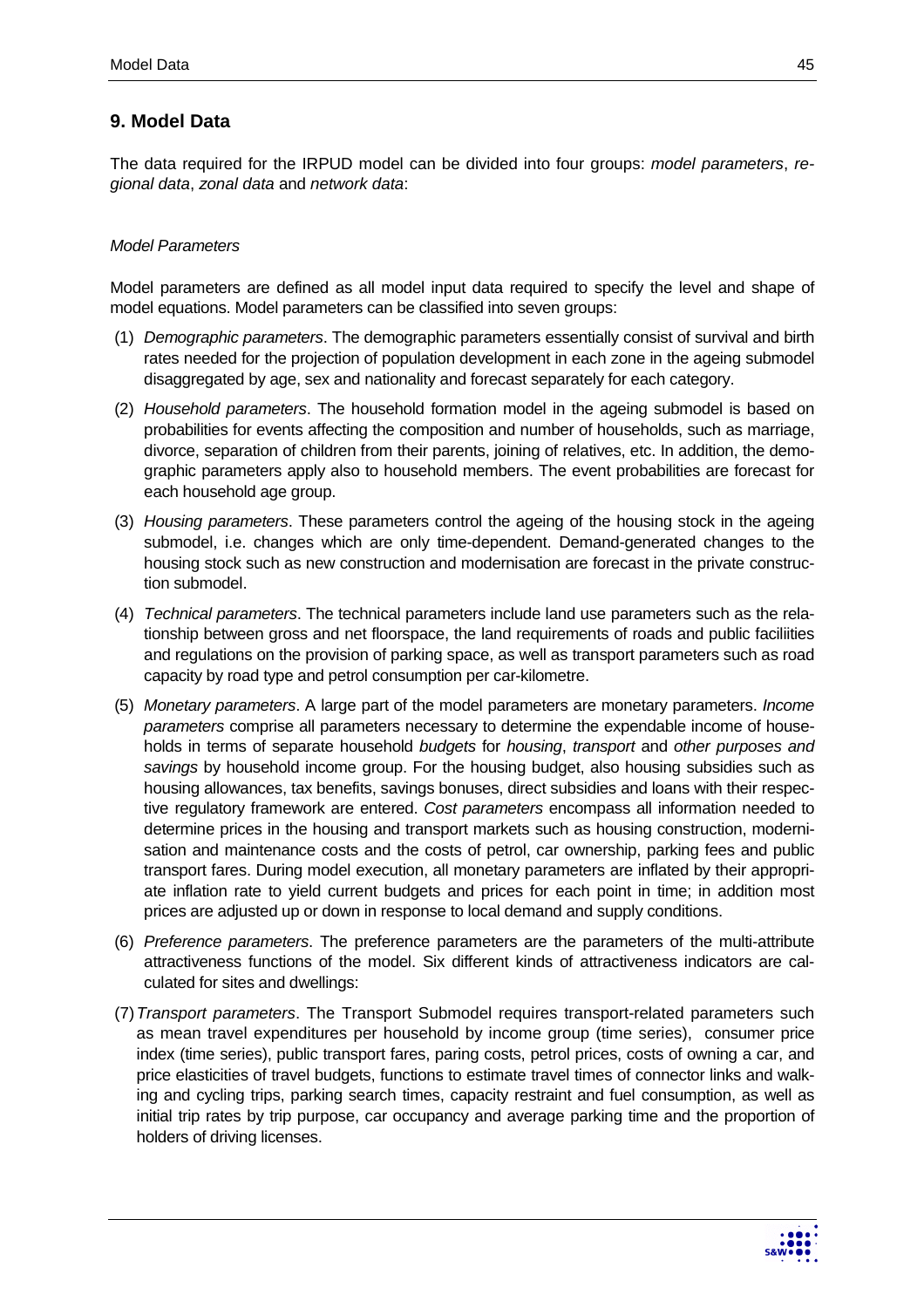# **9. Model Data**

The data required for the IRPUD model can be divided into four groups: model parameters, regional data, zonal data and network data:

# Model Parameters

Model parameters are defined as all model input data required to specify the level and shape of model equations. Model parameters can be classified into seven groups:

- (1) Demographic parameters. The demographic parameters essentially consist of survival and birth rates needed for the projection of population development in each zone in the ageing submodel disaggregated by age, sex and nationality and forecast separately for each category.
- (2) Household parameters. The household formation model in the ageing submodel is based on probabilities for events affecting the composition and number of households, such as marriage, divorce, separation of children from their parents, joining of relatives, etc. In addition, the demographic parameters apply also to household members. The event probabilities are forecast for each household age group.
- (3) Housing parameters. These parameters control the ageing of the housing stock in the ageing submodel, i.e. changes which are only time-dependent. Demand-generated changes to the housing stock such as new construction and modernisation are forecast in the private construction submodel.
- (4) Technical parameters. The technical parameters include land use parameters such as the relationship between gross and net floorspace, the land requirements of roads and public faciliities and regulations on the provision of parking space, as well as transport parameters such as road capacity by road type and petrol consumption per car-kilometre.
- (5) Monetary parameters. A large part of the model parameters are monetary parameters. Income parameters comprise all parameters necessary to determine the expendable income of households in terms of separate household budgets for housing, transport and other purposes and savings by household income group. For the housing budget, also housing subsidies such as housing allowances, tax benefits, savings bonuses, direct subsidies and loans with their respective regulatory framework are entered. Cost parameters encompass all information needed to determine prices in the housing and transport markets such as housing construction, modernisation and maintenance costs and the costs of petrol, car ownership, parking fees and public transport fares. During model execution, all monetary parameters are inflated by their appropriate inflation rate to yield current budgets and prices for each point in time; in addition most prices are adjusted up or down in response to local demand and supply conditions.
- (6) Preference parameters. The preference parameters are the parameters of the multi-attribute attractiveness functions of the model. Six different kinds of attractiveness indicators are calculated for sites and dwellings:
- (7) Transport parameters. The Transport Submodel requires transport-related parameters such as mean travel expenditures per household by income group (time series), consumer price index (time series), public transport fares, paring costs, petrol prices, costs of owning a car, and price elasticities of travel budgets, functions to estimate travel times of connector links and walking and cycling trips, parking search times, capacity restraint and fuel consumption, as well as initial trip rates by trip purpose, car occupancy and average parking time and the proportion of holders of driving licenses.

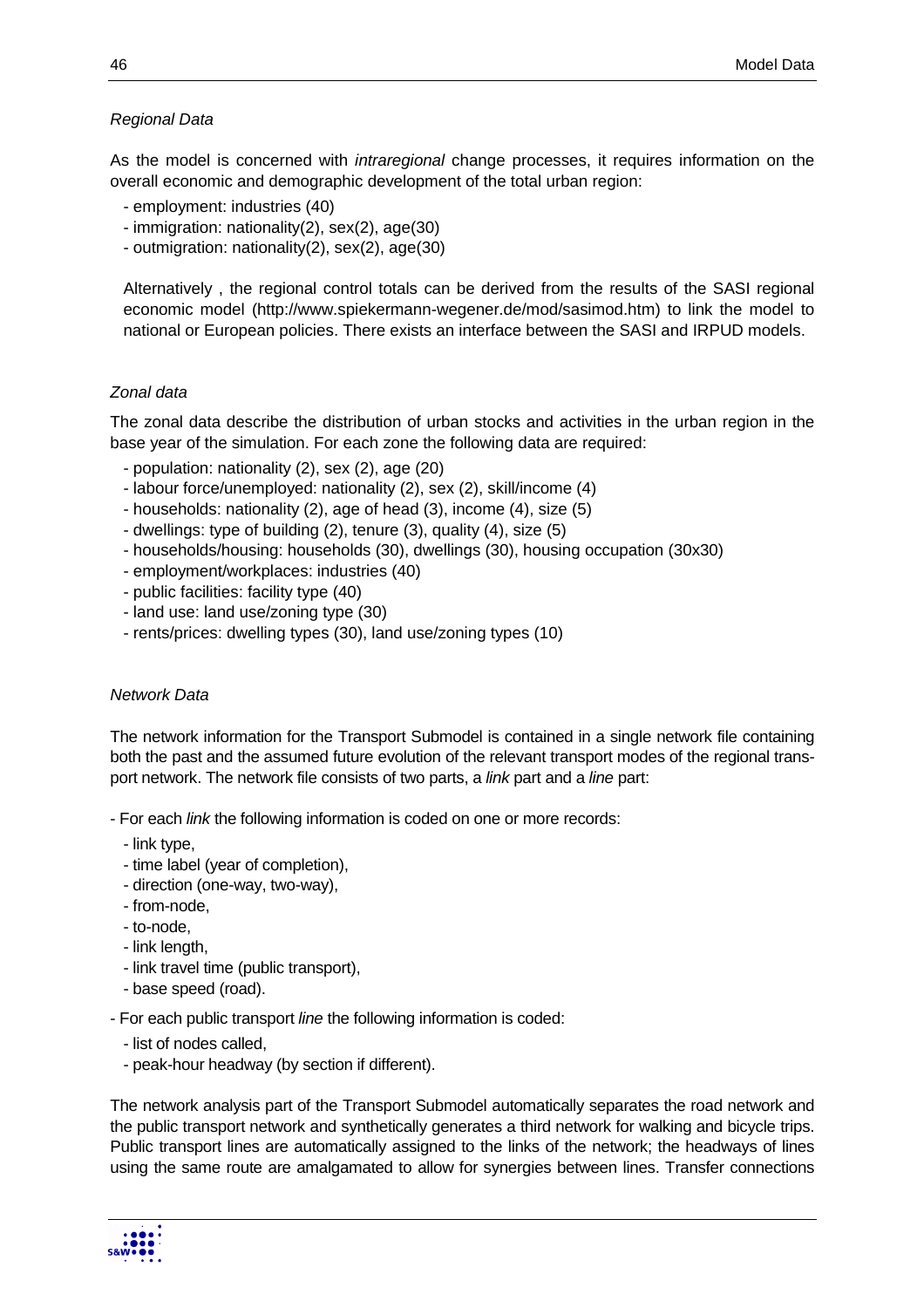### Regional Data

As the model is concerned with *intraregional* change processes, it requires information on the overall economic and demographic development of the total urban region:

- employment: industries (40)
- immigration: nationality(2), sex(2), age(30)
- outmigration: nationality(2), sex(2), age(30)

Alternatively , the regional control totals can be derived from the results of the SASI regional economic model (http://www.spiekermann-wegener.de/mod/sasimod.htm) to link the model to national or European policies. There exists an interface between the SASI and IRPUD models.

### Zonal data

The zonal data describe the distribution of urban stocks and activities in the urban region in the base year of the simulation. For each zone the following data are required:

- population: nationality (2), sex (2), age (20)
- labour force/unemployed: nationality (2), sex (2), skill/income (4)
- households: nationality (2), age of head (3), income (4), size (5)
- dwellings: type of building (2), tenure (3), quality (4), size (5)
- households/housing: households (30), dwellings (30), housing occupation (30x30)
- employment/workplaces: industries (40)
- public facilities: facility type (40)
- land use: land use/zoning type (30)
- rents/prices: dwelling types (30), land use/zoning types (10)

### Network Data

The network information for the Transport Submodel is contained in a single network file containing both the past and the assumed future evolution of the relevant transport modes of the regional transport network. The network file consists of two parts, a link part and a line part:

- For each *link* the following information is coded on one or more records:
	- link type,
	- time label (year of completion),
	- direction (one-way, two-way),
	- from-node,
	- to-node,
	- link length,
	- link travel time (public transport),
	- base speed (road).
- For each public transport line the following information is coded:
	- list of nodes called,
	- peak-hour headway (by section if different).

The network analysis part of the Transport Submodel automatically separates the road network and the public transport network and synthetically generates a third network for walking and bicycle trips. Public transport lines are automatically assigned to the links of the network; the headways of lines using the same route are amalgamated to allow for synergies between lines. Transfer connections

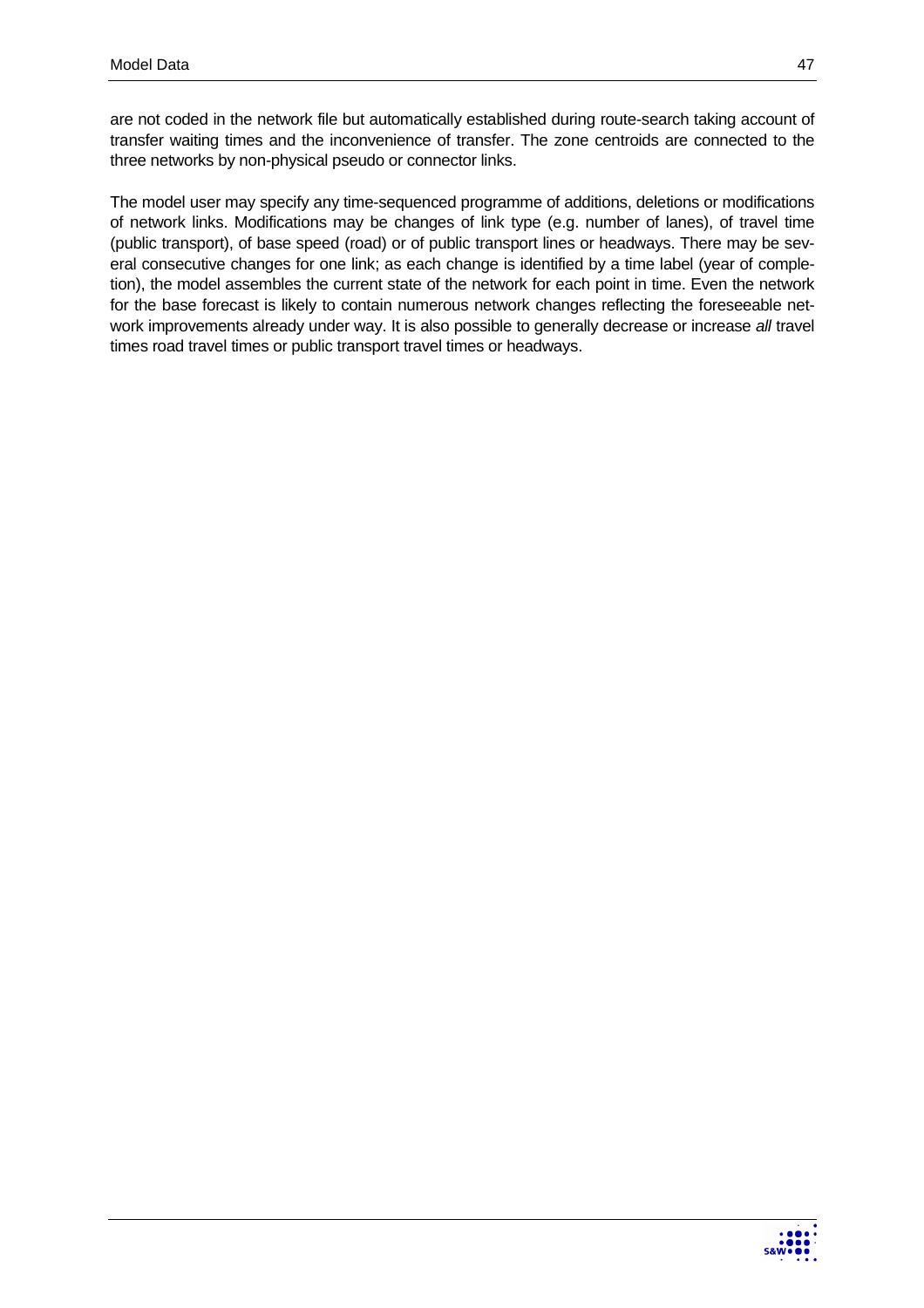are not coded in the network file but automatically established during route-search taking account of transfer waiting times and the inconvenience of transfer. The zone centroids are connected to the three networks by non-physical pseudo or connector links.

The model user may specify any time-sequenced programme of additions, deletions or modifications of network links. Modifications may be changes of link type (e.g. number of lanes), of travel time (public transport), of base speed (road) or of public transport lines or headways. There may be several consecutive changes for one link; as each change is identified by a time label (year of completion), the model assembles the current state of the network for each point in time. Even the network for the base forecast is likely to contain numerous network changes reflecting the foreseeable network improvements already under way. It is also possible to generally decrease or increase all travel times road travel times or public transport travel times or headways.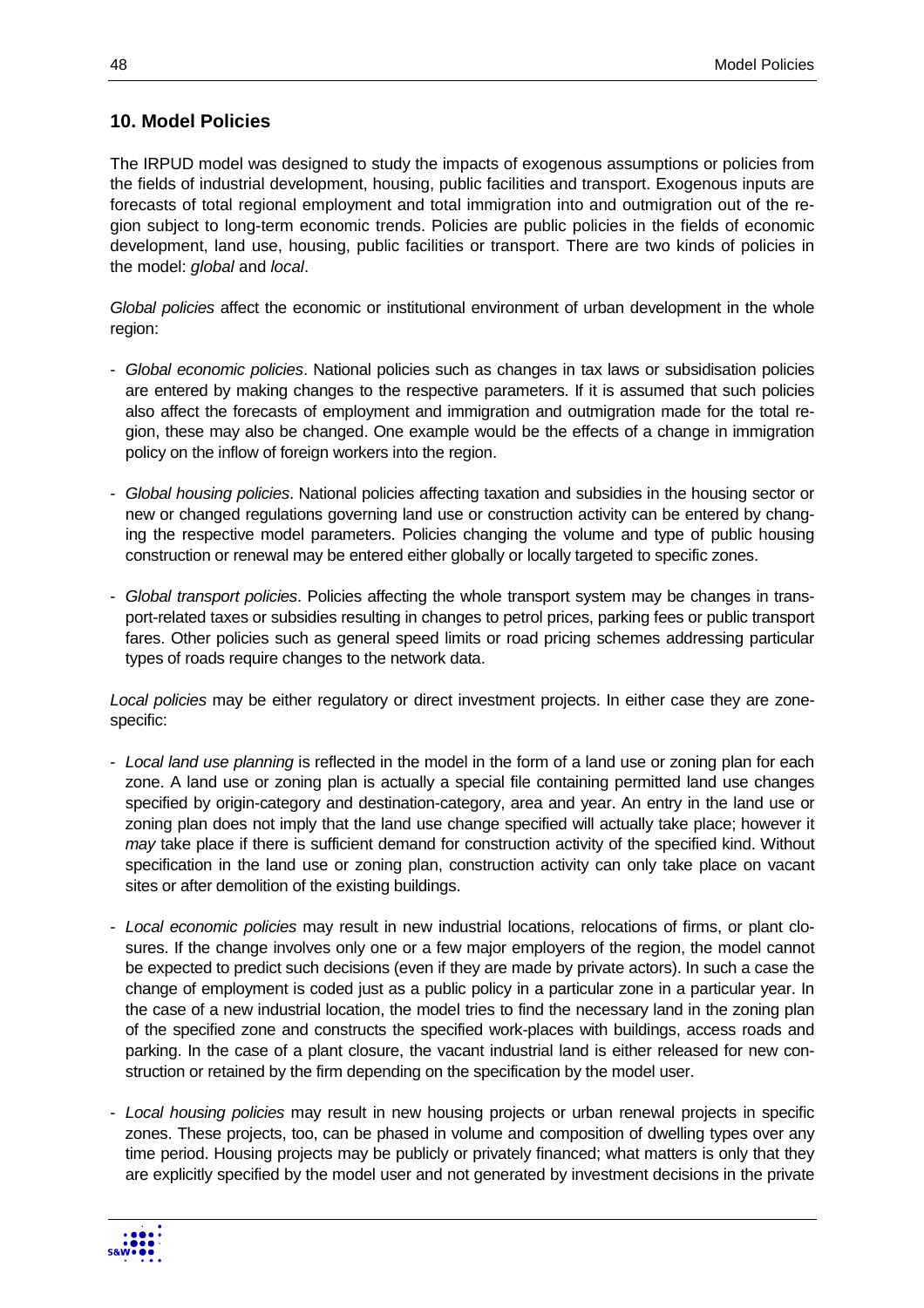# **10. Model Policies**

The IRPUD model was designed to study the impacts of exogenous assumptions or policies from the fields of industrial development, housing, public facilities and transport. Exogenous inputs are forecasts of total regional employment and total immigration into and outmigration out of the region subject to long-term economic trends. Policies are public policies in the fields of economic development, land use, housing, public facilities or transport. There are two kinds of policies in the model: global and local.

Global policies affect the economic or institutional environment of urban development in the whole region:

- Global economic policies. National policies such as changes in tax laws or subsidisation policies are entered by making changes to the respective parameters. If it is assumed that such policies also affect the forecasts of employment and immigration and outmigration made for the total region, these may also be changed. One example would be the effects of a change in immigration policy on the inflow of foreign workers into the region.
- Global housing policies. National policies affecting taxation and subsidies in the housing sector or new or changed regulations governing land use or construction activity can be entered by changing the respective model parameters. Policies changing the volume and type of public housing construction or renewal may be entered either globally or locally targeted to specific zones.
- Global transport policies. Policies affecting the whole transport system may be changes in transport-related taxes or subsidies resulting in changes to petrol prices, parking fees or public transport fares. Other policies such as general speed limits or road pricing schemes addressing particular types of roads require changes to the network data.

Local policies may be either regulatory or direct investment projects. In either case they are zonespecific:

- Local land use planning is reflected in the model in the form of a land use or zoning plan for each zone. A land use or zoning plan is actually a special file containing permitted land use changes specified by origin-category and destination-category, area and year. An entry in the land use or zoning plan does not imply that the land use change specified will actually take place; however it may take place if there is sufficient demand for construction activity of the specified kind. Without specification in the land use or zoning plan, construction activity can only take place on vacant sites or after demolition of the existing buildings.
- Local economic policies may result in new industrial locations, relocations of firms, or plant closures. If the change involves only one or a few major employers of the region, the model cannot be expected to predict such decisions (even if they are made by private actors). In such a case the change of employment is coded just as a public policy in a particular zone in a particular year. In the case of a new industrial location, the model tries to find the necessary land in the zoning plan of the specified zone and constructs the specified work-places with buildings, access roads and parking. In the case of a plant closure, the vacant industrial land is either released for new construction or retained by the firm depending on the specification by the model user.
- Local housing policies may result in new housing projects or urban renewal projects in specific zones. These projects, too, can be phased in volume and composition of dwelling types over any time period. Housing projects may be publicly or privately financed; what matters is only that they are explicitly specified by the model user and not generated by investment decisions in the private

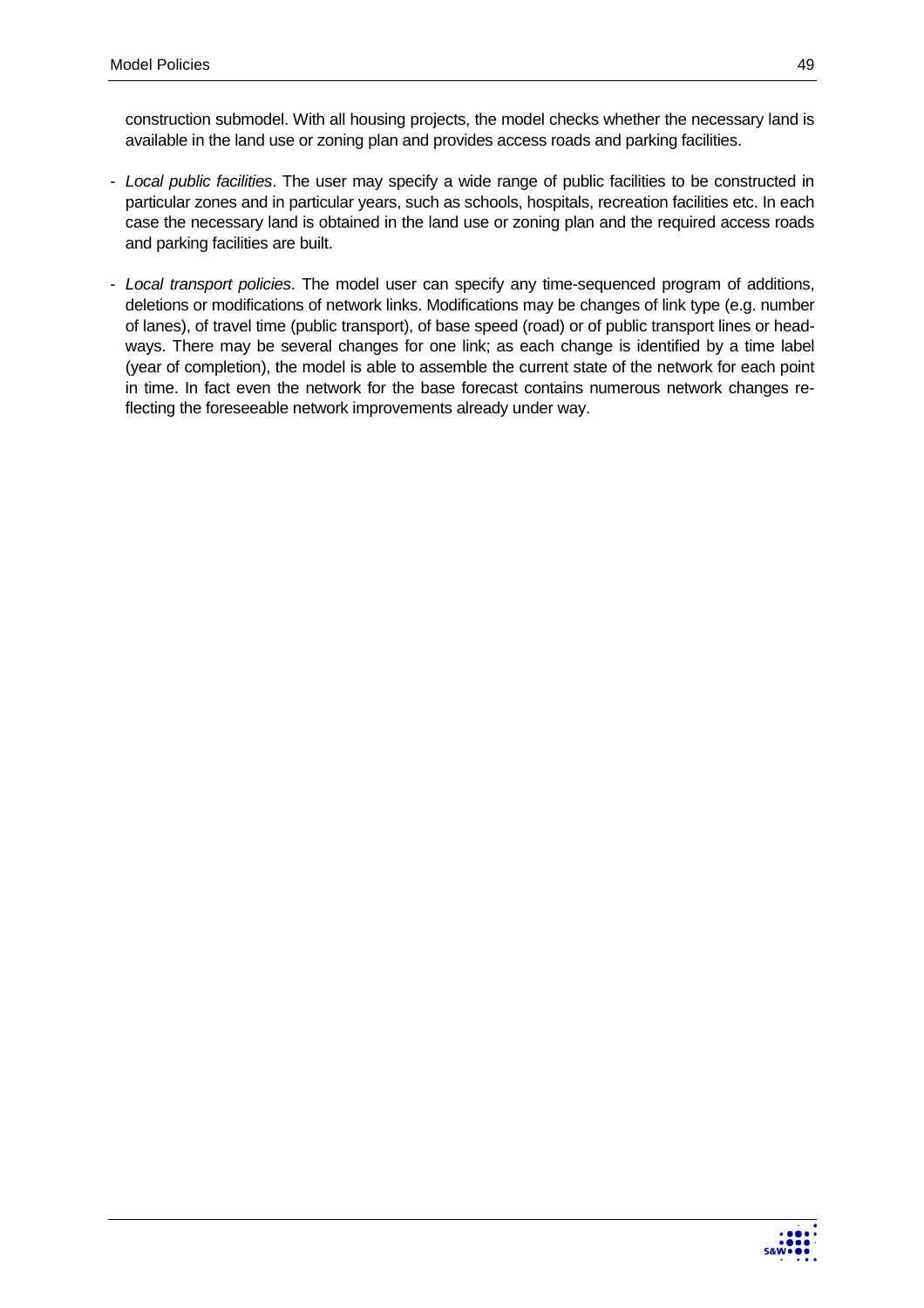construction submodel. With all housing projects, the model checks whether the necessary land is available in the land use or zoning plan and provides access roads and parking facilities.

- Local public facilities. The user may specify a wide range of public facilities to be constructed in particular zones and in particular years, such as schools, hospitals, recreation facilities etc. In each case the necessary land is obtained in the land use or zoning plan and the required access roads and parking facilities are built.
- Local transport policies. The model user can specify any time-sequenced program of additions, deletions or modifications of network links. Modifications may be changes of link type (e.g. number of lanes), of travel time (public transport), of base speed (road) or of public transport lines or headways. There may be several changes for one link; as each change is identified by a time label (year of completion), the model is able to assemble the current state of the network for each point in time. In fact even the network for the base forecast contains numerous network changes reflecting the foreseeable network improvements already under way.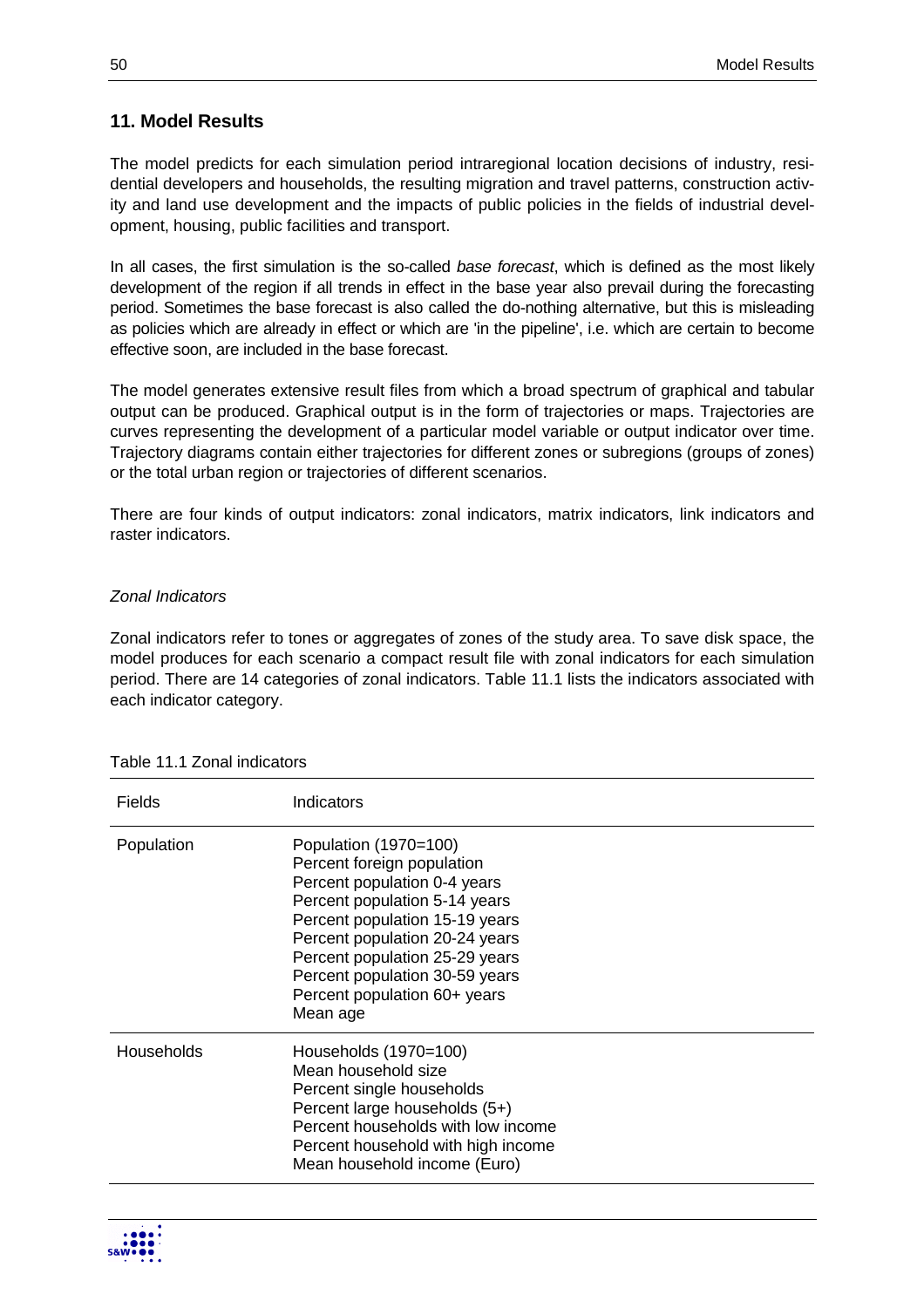# **11. Model Results**

The model predicts for each simulation period intraregional location decisions of industry, residential developers and households, the resulting migration and travel patterns, construction activity and land use development and the impacts of public policies in the fields of industrial development, housing, public facilities and transport.

In all cases, the first simulation is the so-called base forecast, which is defined as the most likely development of the region if all trends in effect in the base year also prevail during the forecasting period. Sometimes the base forecast is also called the do-nothing alternative, but this is misleading as policies which are already in effect or which are 'in the pipeline', i.e. which are certain to become effective soon, are included in the base forecast.

The model generates extensive result files from which a broad spectrum of graphical and tabular output can be produced. Graphical output is in the form of trajectories or maps. Trajectories are curves representing the development of a particular model variable or output indicator over time. Trajectory diagrams contain either trajectories for different zones or subregions (groups of zones) or the total urban region or trajectories of different scenarios.

There are four kinds of output indicators: zonal indicators, matrix indicators, link indicators and raster indicators.

#### Zonal Indicators

Zonal indicators refer to tones or aggregates of zones of the study area. To save disk space, the model produces for each scenario a compact result file with zonal indicators for each simulation period. There are 14 categories of zonal indicators. Table 11.1 lists the indicators associated with each indicator category.

| <b>Fields</b> | Indicators                                                                                                                                                                                                                                                                                               |
|---------------|----------------------------------------------------------------------------------------------------------------------------------------------------------------------------------------------------------------------------------------------------------------------------------------------------------|
| Population    | Population (1970=100)<br>Percent foreign population<br>Percent population 0-4 years<br>Percent population 5-14 years<br>Percent population 15-19 years<br>Percent population 20-24 years<br>Percent population 25-29 years<br>Percent population 30-59 years<br>Percent population 60+ years<br>Mean age |
| Households    | Households (1970=100)<br>Mean household size<br>Percent single households<br>Percent large households (5+)<br>Percent households with low income<br>Percent household with high income<br>Mean household income (Euro)                                                                                   |

Table 11.1 Zonal indicators

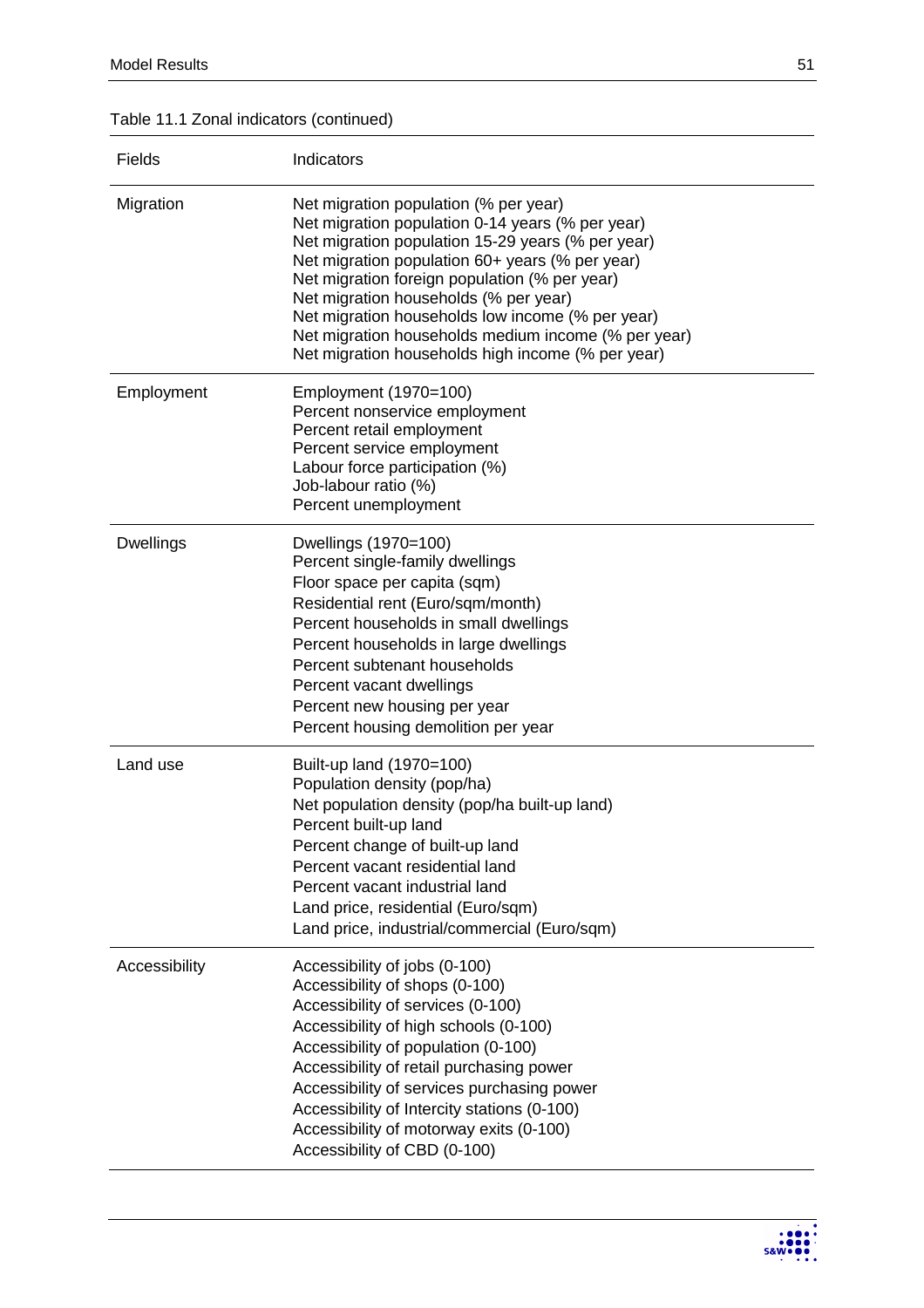# Table 11.1 Zonal indicators (continued)

| Fields           | Indicators                                                                                                                                                                                                                                                                                                                                                                                                                                                  |
|------------------|-------------------------------------------------------------------------------------------------------------------------------------------------------------------------------------------------------------------------------------------------------------------------------------------------------------------------------------------------------------------------------------------------------------------------------------------------------------|
| Migration        | Net migration population (% per year)<br>Net migration population 0-14 years (% per year)<br>Net migration population 15-29 years (% per year)<br>Net migration population 60+ years (% per year)<br>Net migration foreign population (% per year)<br>Net migration households (% per year)<br>Net migration households low income (% per year)<br>Net migration households medium income (% per year)<br>Net migration households high income (% per year) |
| Employment       | Employment (1970=100)<br>Percent nonservice employment<br>Percent retail employment<br>Percent service employment<br>Labour force participation (%)<br>Job-labour ratio (%)<br>Percent unemployment                                                                                                                                                                                                                                                         |
| <b>Dwellings</b> | Dwellings (1970=100)<br>Percent single-family dwellings<br>Floor space per capita (sqm)<br>Residential rent (Euro/sqm/month)<br>Percent households in small dwellings<br>Percent households in large dwellings<br>Percent subtenant households<br>Percent vacant dwellings<br>Percent new housing per year<br>Percent housing demolition per year                                                                                                           |
| Land use         | Built-up land (1970=100)<br>Population density (pop/ha)<br>Net population density (pop/ha built-up land)<br>Percent built-up land<br>Percent change of built-up land<br>Percent vacant residential land<br>Percent vacant industrial land<br>Land price, residential (Euro/sqm)<br>Land price, industrial/commercial (Euro/sqm)                                                                                                                             |
| Accessibility    | Accessibility of jobs (0-100)<br>Accessibility of shops (0-100)<br>Accessibility of services (0-100)<br>Accessibility of high schools (0-100)<br>Accessibility of population (0-100)<br>Accessibility of retail purchasing power<br>Accessibility of services purchasing power<br>Accessibility of Intercity stations (0-100)<br>Accessibility of motorway exits (0-100)<br>Accessibility of CBD (0-100)                                                    |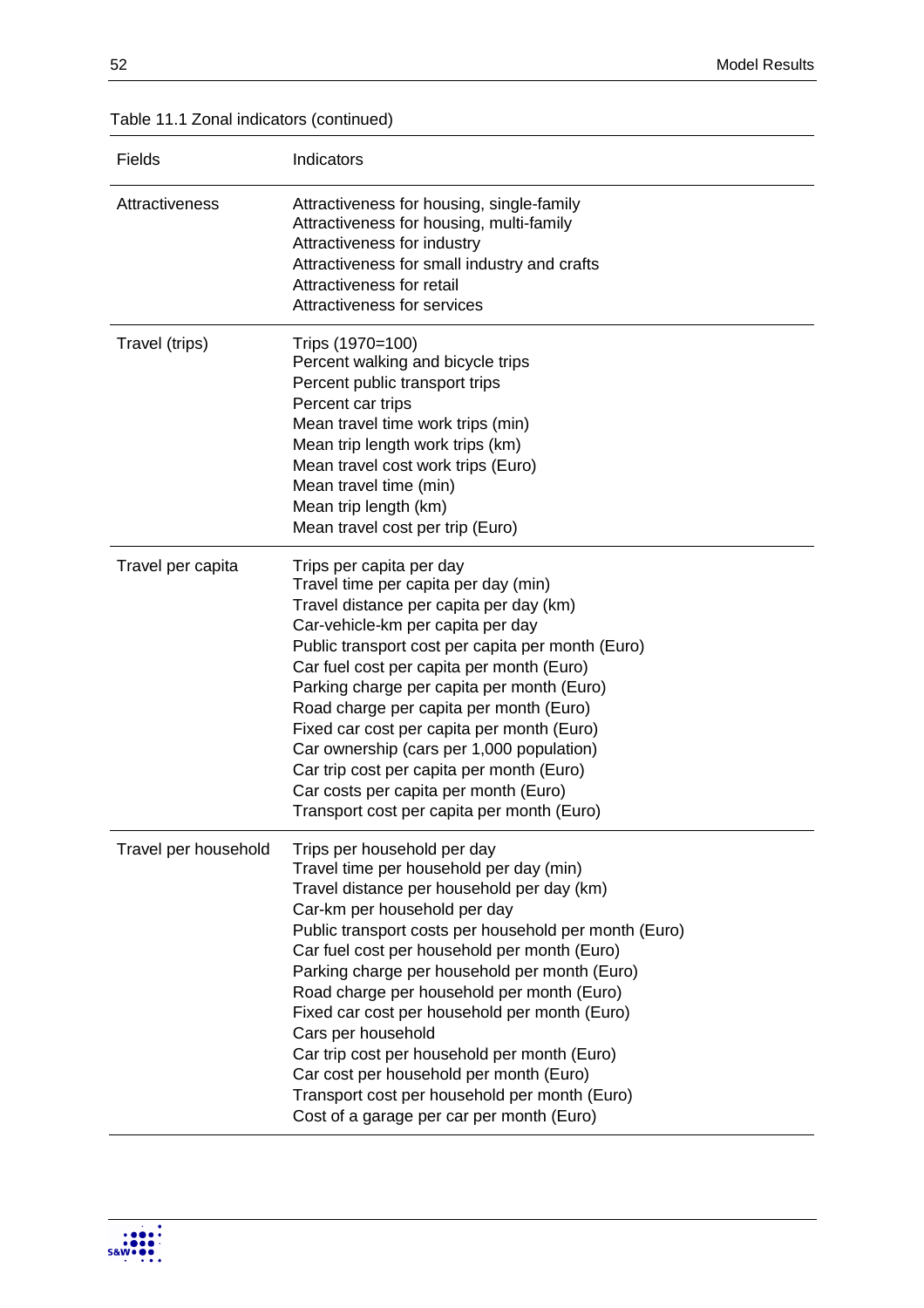| Fields               | Indicators                                                                                                                                                                                                                                                                                                                                                                                                                                                                                                                                                                                                                   |
|----------------------|------------------------------------------------------------------------------------------------------------------------------------------------------------------------------------------------------------------------------------------------------------------------------------------------------------------------------------------------------------------------------------------------------------------------------------------------------------------------------------------------------------------------------------------------------------------------------------------------------------------------------|
| Attractiveness       | Attractiveness for housing, single-family<br>Attractiveness for housing, multi-family<br>Attractiveness for industry<br>Attractiveness for small industry and crafts<br>Attractiveness for retail<br>Attractiveness for services                                                                                                                                                                                                                                                                                                                                                                                             |
| Travel (trips)       | Trips (1970=100)<br>Percent walking and bicycle trips<br>Percent public transport trips<br>Percent car trips<br>Mean travel time work trips (min)<br>Mean trip length work trips (km)<br>Mean travel cost work trips (Euro)<br>Mean travel time (min)<br>Mean trip length (km)<br>Mean travel cost per trip (Euro)                                                                                                                                                                                                                                                                                                           |
| Travel per capita    | Trips per capita per day<br>Travel time per capita per day (min)<br>Travel distance per capita per day (km)<br>Car-vehicle-km per capita per day<br>Public transport cost per capita per month (Euro)<br>Car fuel cost per capita per month (Euro)<br>Parking charge per capita per month (Euro)<br>Road charge per capita per month (Euro)<br>Fixed car cost per capita per month (Euro)<br>Car ownership (cars per 1,000 population)<br>Car trip cost per capita per month (Euro)<br>Car costs per capita per month (Euro)<br>Transport cost per capita per month (Euro)                                                   |
| Travel per household | Trips per household per day<br>Travel time per household per day (min)<br>Travel distance per household per day (km)<br>Car-km per household per day<br>Public transport costs per household per month (Euro)<br>Car fuel cost per household per month (Euro)<br>Parking charge per household per month (Euro)<br>Road charge per household per month (Euro)<br>Fixed car cost per household per month (Euro)<br>Cars per household<br>Car trip cost per household per month (Euro)<br>Car cost per household per month (Euro)<br>Transport cost per household per month (Euro)<br>Cost of a garage per car per month (Euro) |

Table 11.1 Zonal indicators (continued)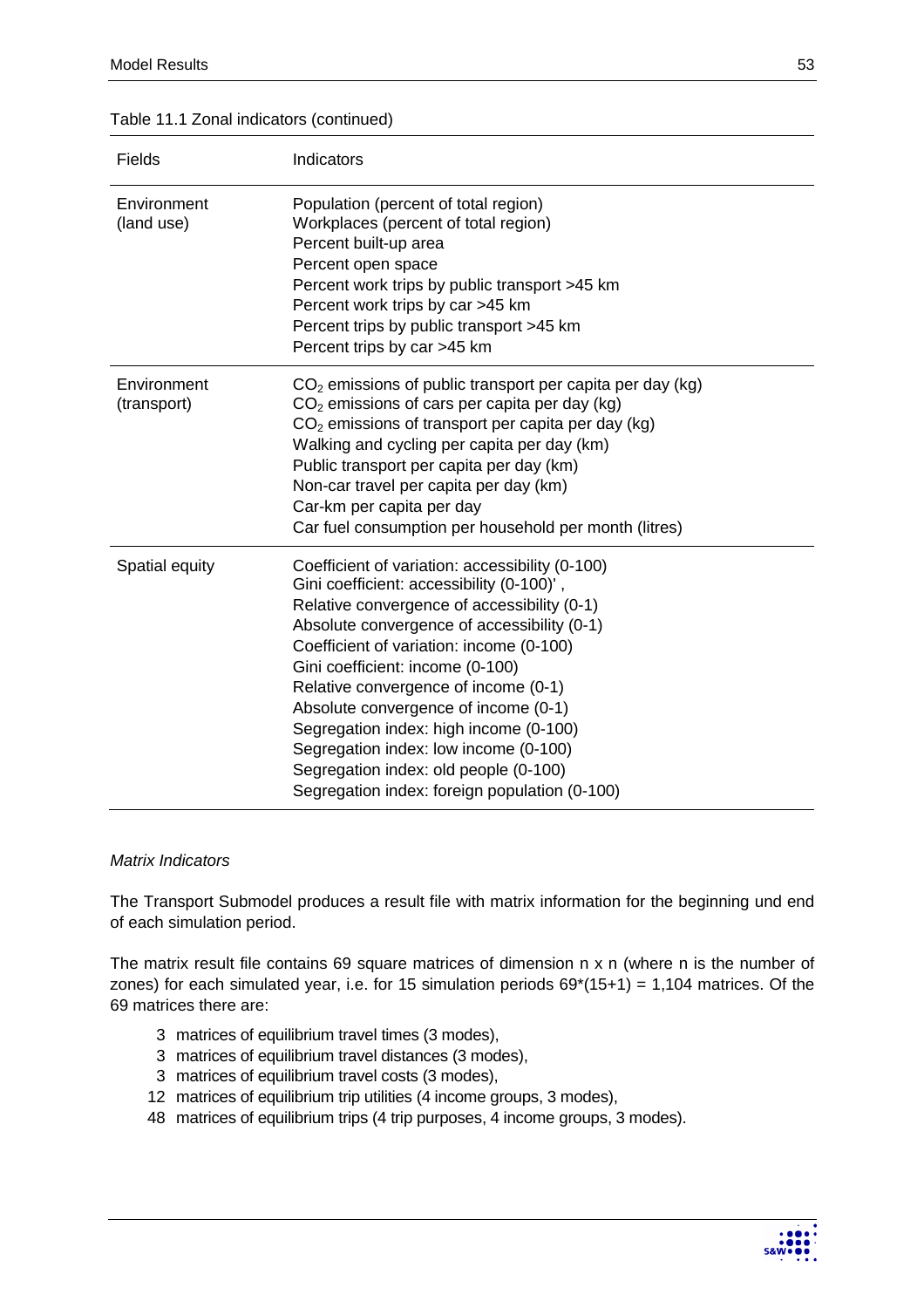|  | Table 11.1 Zonal indicators (continued) |  |
|--|-----------------------------------------|--|
|  |                                         |  |

| Fields                     | Indicators                                                                                                                                                                                                                                                                                                                                                                                                                                                                                                                              |
|----------------------------|-----------------------------------------------------------------------------------------------------------------------------------------------------------------------------------------------------------------------------------------------------------------------------------------------------------------------------------------------------------------------------------------------------------------------------------------------------------------------------------------------------------------------------------------|
| Environment<br>(land use)  | Population (percent of total region)<br>Workplaces (percent of total region)<br>Percent built-up area<br>Percent open space<br>Percent work trips by public transport >45 km<br>Percent work trips by car >45 km<br>Percent trips by public transport >45 km<br>Percent trips by car >45 km                                                                                                                                                                                                                                             |
| Environment<br>(transport) | $CO2$ emissions of public transport per capita per day (kg)<br>$CO2$ emissions of cars per capita per day (kg)<br>$CO2$ emissions of transport per capita per day (kg)<br>Walking and cycling per capita per day (km)<br>Public transport per capita per day (km)<br>Non-car travel per capita per day (km)<br>Car-km per capita per day<br>Car fuel consumption per household per month (litres)                                                                                                                                       |
| Spatial equity             | Coefficient of variation: accessibility (0-100)<br>Gini coefficient: accessibility (0-100)',<br>Relative convergence of accessibility (0-1)<br>Absolute convergence of accessibility (0-1)<br>Coefficient of variation: income (0-100)<br>Gini coefficient: income (0-100)<br>Relative convergence of income (0-1)<br>Absolute convergence of income (0-1)<br>Segregation index: high income (0-100)<br>Segregation index: low income (0-100)<br>Segregation index: old people (0-100)<br>Segregation index: foreign population (0-100) |

# Matrix Indicators

The Transport Submodel produces a result file with matrix information for the beginning und end of each simulation period.

The matrix result file contains 69 square matrices of dimension n x n (where n is the number of zones) for each simulated year, i.e. for 15 simulation periods  $69*(15+1) = 1,104$  matrices. Of the 69 matrices there are:

- 3 matrices of equilibrium travel times (3 modes),
- 3 matrices of equilibrium travel distances (3 modes),
- 3 matrices of equilibrium travel costs (3 modes),
- 12 matrices of equilibrium trip utilities (4 income groups, 3 modes),
- 48 matrices of equilibrium trips (4 trip purposes, 4 income groups, 3 modes).

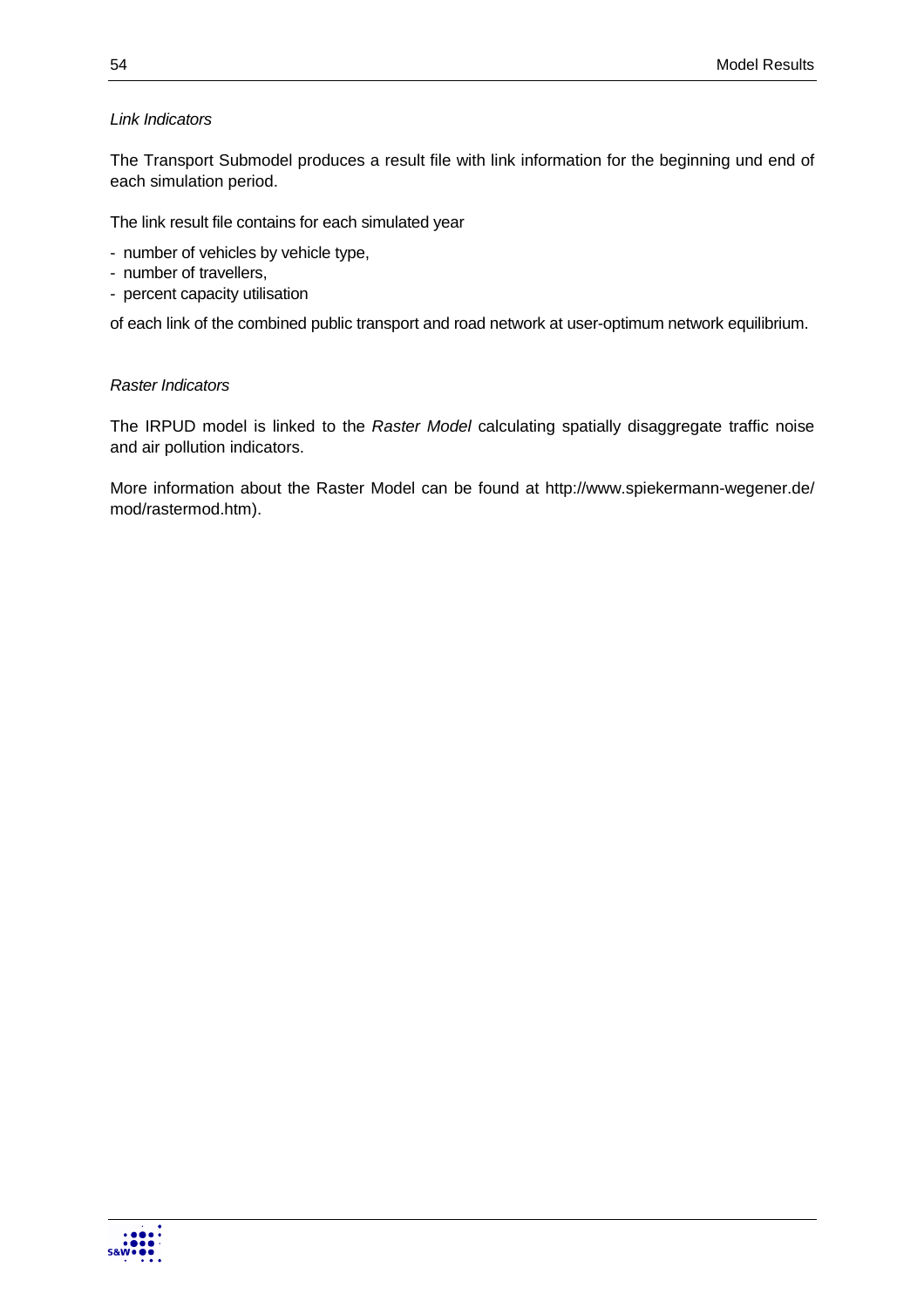#### Link Indicators

The Transport Submodel produces a result file with link information for the beginning und end of each simulation period.

The link result file contains for each simulated year

- number of vehicles by vehicle type,
- number of travellers,
- percent capacity utilisation

of each link of the combined public transport and road network at user-optimum network equilibrium.

### Raster Indicators

The IRPUD model is linked to the Raster Model calculating spatially disaggregate traffic noise and air pollution indicators.

More information about the Raster Model can be found at http://www.spiekermann-wegener.de/ mod/rastermod.htm).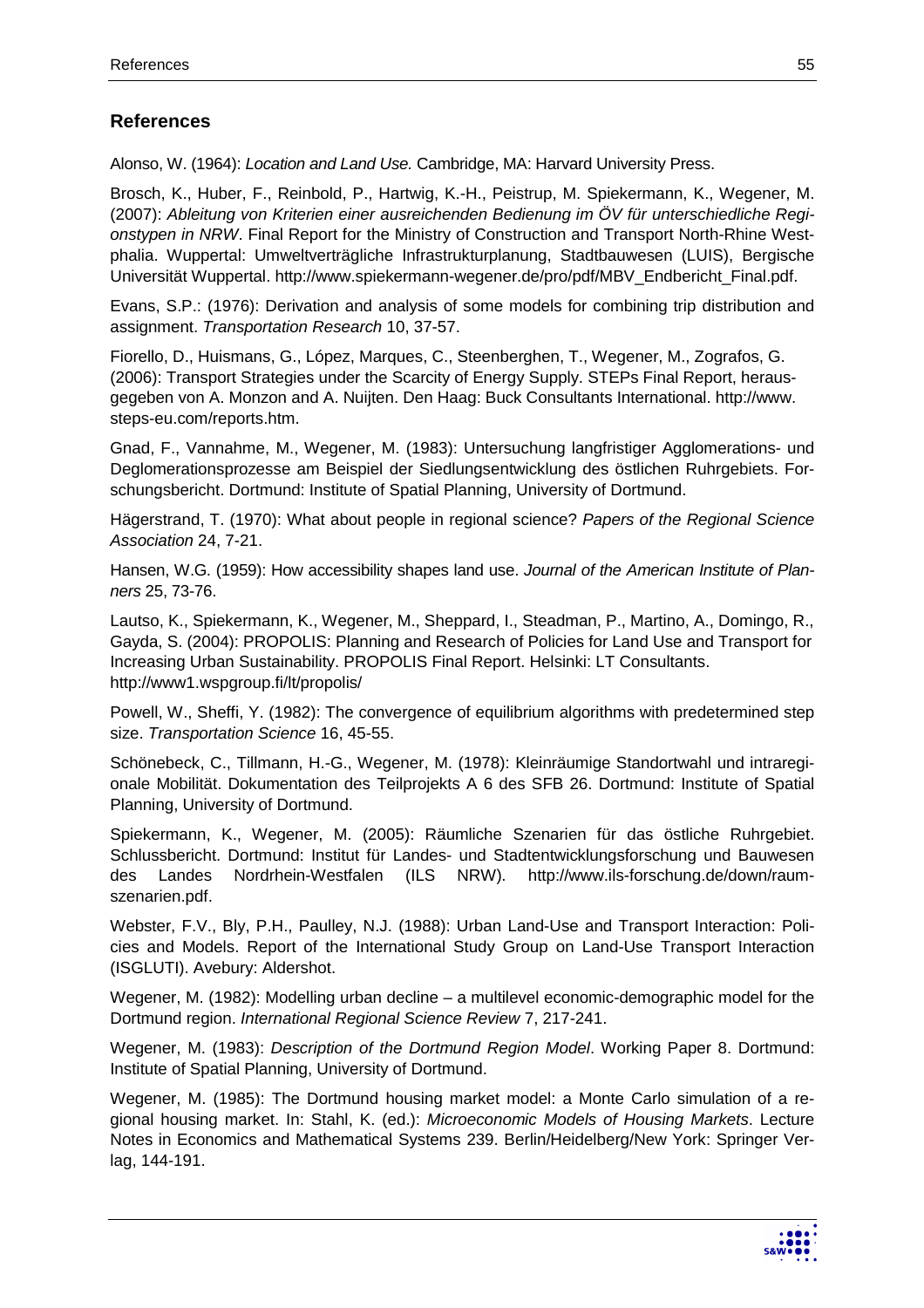# **References**

Alonso, W. (1964): Location and Land Use. Cambridge, MA: Harvard University Press.

Brosch, K., Huber, F., Reinbold, P., Hartwig, K.-H., Peistrup, M. Spiekermann, K., Wegener, M. (2007): Ableitung von Kriterien einer ausreichenden Bedienung im ÖV für unterschiedliche Regionstypen in NRW. Final Report for the Ministry of Construction and Transport North-Rhine Westphalia. Wuppertal: Umweltverträgliche Infrastrukturplanung, Stadtbauwesen (LUIS), Bergische Universität Wuppertal. http://www.spiekermann-wegener.de/pro/pdf/MBV\_Endbericht\_Final.pdf.

Evans, S.P.: (1976): Derivation and analysis of some models for combining trip distribution and assignment. Transportation Research 10, 37-57.

Fiorello, D., Huismans, G., López, Marques, C., Steenberghen, T., Wegener, M., Zografos, G. (2006): Transport Strategies under the Scarcity of Energy Supply. STEPs Final Report, herausgegeben von A. Monzon and A. Nuijten. Den Haag: Buck Consultants International. http://www. steps-eu.com/reports.htm.

Gnad, F., Vannahme, M., Wegener, M. (1983): Untersuchung langfristiger Agglomerations- und Deglomerationsprozesse am Beispiel der Siedlungsentwicklung des östlichen Ruhrgebiets. Forschungsbericht. Dortmund: Institute of Spatial Planning, University of Dortmund.

Hägerstrand, T. (1970): What about people in regional science? Papers of the Regional Science Association 24, 7-21.

Hansen, W.G. (1959): How accessibility shapes land use. Journal of the American Institute of Planners 25, 73-76.

Lautso, K., Spiekermann, K., Wegener, M., Sheppard, I., Steadman, P., Martino, A., Domingo, R., Gayda, S. (2004): PROPOLIS: Planning and Research of Policies for Land Use and Transport for Increasing Urban Sustainability. PROPOLIS Final Report. Helsinki: LT Consultants. http://www1.wspgroup.fi/lt/propolis/

Powell, W., Sheffi, Y. (1982): The convergence of equilibrium algorithms with predetermined step size. Transportation Science 16, 45-55.

Schönebeck, C., Tillmann, H.-G., Wegener, M. (1978): Kleinräumige Standortwahl und intraregionale Mobilität. Dokumentation des Teilprojekts A 6 des SFB 26. Dortmund: Institute of Spatial Planning, University of Dortmund.

Spiekermann, K., Wegener, M. (2005): Räumliche Szenarien für das östliche Ruhrgebiet. Schlussbericht. Dortmund: Institut für Landes- und Stadtentwicklungsforschung und Bauwesen des Landes Nordrhein-Westfalen (ILS NRW). http://www.ils-forschung.de/down/raumszenarien.pdf.

Webster, F.V., Bly, P.H., Paulley, N.J. (1988): Urban Land-Use and Transport Interaction: Policies and Models. Report of the International Study Group on Land-Use Transport Interaction (ISGLUTI). Avebury: Aldershot.

Wegener, M. (1982): Modelling urban decline – a multilevel economic-demographic model for the Dortmund region. International Regional Science Review 7, 217-241.

Wegener, M. (1983): Description of the Dortmund Region Model. Working Paper 8. Dortmund: Institute of Spatial Planning, University of Dortmund.

Wegener, M. (1985): The Dortmund housing market model: a Monte Carlo simulation of a regional housing market. In: Stahl, K. (ed.): Microeconomic Models of Housing Markets. Lecture Notes in Economics and Mathematical Systems 239. Berlin/Heidelberg/New York: Springer Verlag, 144-191.